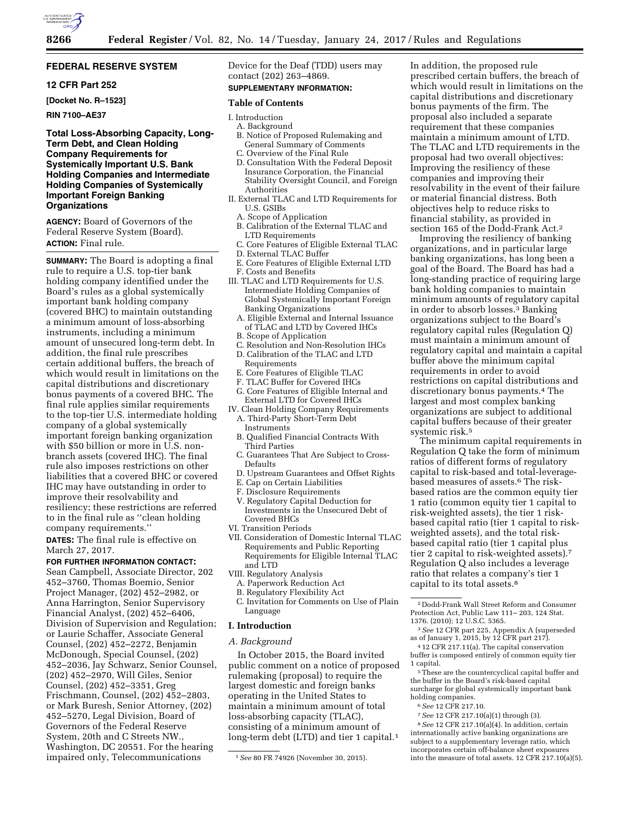

## **FEDERAL RESERVE SYSTEM**

## **12 CFR Part 252**

**[Docket No. R–1523]** 

## **RIN 7100–AE37**

## **Total Loss-Absorbing Capacity, Long-Term Debt, and Clean Holding Company Requirements for Systemically Important U.S. Bank Holding Companies and Intermediate Holding Companies of Systemically Important Foreign Banking Organizations**

**AGENCY:** Board of Governors of the Federal Reserve System (Board). **ACTION:** Final rule.

**SUMMARY:** The Board is adopting a final rule to require a U.S. top-tier bank holding company identified under the Board's rules as a global systemically important bank holding company (covered BHC) to maintain outstanding a minimum amount of loss-absorbing instruments, including a minimum amount of unsecured long-term debt. In addition, the final rule prescribes certain additional buffers, the breach of which would result in limitations on the capital distributions and discretionary bonus payments of a covered BHC. The final rule applies similar requirements to the top-tier U.S. intermediate holding company of a global systemically important foreign banking organization with \$50 billion or more in U.S. nonbranch assets (covered IHC). The final rule also imposes restrictions on other liabilities that a covered BHC or covered IHC may have outstanding in order to improve their resolvability and resiliency; these restrictions are referred to in the final rule as ''clean holding company requirements.''

**DATES:** The final rule is effective on March 27, 2017.

#### **FOR FURTHER INFORMATION CONTACT:**

Sean Campbell, Associate Director, 202 452–3760, Thomas Boemio, Senior Project Manager, (202) 452–2982, or Anna Harrington, Senior Supervisory Financial Analyst, (202) 452–6406, Division of Supervision and Regulation; or Laurie Schaffer, Associate General Counsel, (202) 452–2272, Benjamin McDonough, Special Counsel, (202) 452–2036, Jay Schwarz, Senior Counsel, (202) 452–2970, Will Giles, Senior Counsel, (202) 452–3351, Greg Frischmann, Counsel, (202) 452–2803, or Mark Buresh, Senior Attorney, (202) 452–5270, Legal Division, Board of Governors of the Federal Reserve System, 20th and C Streets NW., Washington, DC 20551. For the hearing impaired only, Telecommunications

Device for the Deaf (TDD) users may contact (202) 263–4869.

# **SUPPLEMENTARY INFORMATION:**

## **Table of Contents**

I. Introduction

- A. Background B. Notice of Proposed Rulemaking and General Summary of Comments
- C. Overview of the Final Rule
- D. Consultation With the Federal Deposit Insurance Corporation, the Financial Stability Oversight Council, and Foreign Authorities
- II. External TLAC and LTD Requirements for U.S. GSIBs
	- A. Scope of Application
	- B. Calibration of the External TLAC and LTD Requirements
	- C. Core Features of Eligible External TLAC
	- D. External TLAC Buffer
	- E. Core Features of Eligible External LTD
- F. Costs and Benefits
- III. TLAC and LTD Requirements for U.S. Intermediate Holding Companies of Global Systemically Important Foreign Banking Organizations
	- A. Eligible External and Internal Issuance of TLAC and LTD by Covered IHCs
	- B. Scope of Application
	- C. Resolution and Non-Resolution IHCs D. Calibration of the TLAC and LTD
	- Requirements
	- E. Core Features of Eligible TLAC
	- F. TLAC Buffer for Covered IHCs
- G. Core Features of Eligible Internal and External LTD for Covered IHCs
- IV. Clean Holding Company Requirements A. Third-Party Short-Term Debt **Instruments** 
	- B. Qualified Financial Contracts With Third Parties
	- C. Guarantees That Are Subject to Cross-Defaults
- D. Upstream Guarantees and Offset Rights
- E. Cap on Certain Liabilities
- F. Disclosure Requirements
- V. Regulatory Capital Deduction for Investments in the Unsecured Debt of Covered BHCs
- VI. Transition Periods
- VII. Consideration of Domestic Internal TLAC Requirements and Public Reporting Requirements for Eligible Internal TLAC and LTD
- VIII. Regulatory Analysis
- A. Paperwork Reduction Act
- B. Regulatory Flexibility Act
- C. Invitation for Comments on Use of Plain Language

## **I. Introduction**

### *A. Background*

In October 2015, the Board invited public comment on a notice of proposed rulemaking (proposal) to require the largest domestic and foreign banks operating in the United States to maintain a minimum amount of total loss-absorbing capacity (TLAC), consisting of a minimum amount of long-term debt (LTD) and tier 1 capital.<sup>1</sup>

In addition, the proposed rule prescribed certain buffers, the breach of which would result in limitations on the capital distributions and discretionary bonus payments of the firm. The proposal also included a separate requirement that these companies maintain a minimum amount of LTD. The TLAC and LTD requirements in the proposal had two overall objectives: Improving the resiliency of these companies and improving their resolvability in the event of their failure or material financial distress. Both objectives help to reduce risks to financial stability, as provided in section 165 of the Dodd-Frank Act.2

Improving the resiliency of banking organizations, and in particular large banking organizations, has long been a goal of the Board. The Board has had a long-standing practice of requiring large bank holding companies to maintain minimum amounts of regulatory capital in order to absorb losses.3 Banking organizations subject to the Board's regulatory capital rules (Regulation Q) must maintain a minimum amount of regulatory capital and maintain a capital buffer above the minimum capital requirements in order to avoid restrictions on capital distributions and discretionary bonus payments.4 The largest and most complex banking organizations are subject to additional capital buffers because of their greater systemic risk.5

The minimum capital requirements in Regulation Q take the form of minimum ratios of different forms of regulatory capital to risk-based and total-leveragebased measures of assets.6 The riskbased ratios are the common equity tier 1 ratio (common equity tier 1 capital to risk-weighted assets), the tier 1 riskbased capital ratio (tier 1 capital to riskweighted assets), and the total riskbased capital ratio (tier 1 capital plus tier 2 capital to risk-weighted assets).7 Regulation Q also includes a leverage ratio that relates a company's tier 1 capital to its total assets.8

- 3*See* 12 CFR part 225, Appendix A (superseded as of January 1, 2015, by 12 CFR part 217).
- 4 12 CFR 217.11(a). The capital conservation buffer is composed entirely of common equity tier 1 capital.

5These are the countercyclical capital buffer and the buffer in the Board's risk-based capital surcharge for global systemically important bank holding companies.

- 6*See* 12 CFR 217.10.
- 7*See* 12 CFR 217.10(a)(1) through (3).

8*See* 12 CFR 217.10(a)(4). In addition, certain internationally active banking organizations are subject to a supplementary leverage ratio, which incorporates certain off-balance sheet exposures into the measure of total assets. 12 CFR 217.10(a)(5).

<sup>1</sup>*See* 80 FR 74926 (November 30, 2015).

<sup>2</sup> Dodd-Frank Wall Street Reform and Consumer Protection Act, Public Law 111– 203, 124 Stat. 1376. (2010); 12 U.S.C. 5365.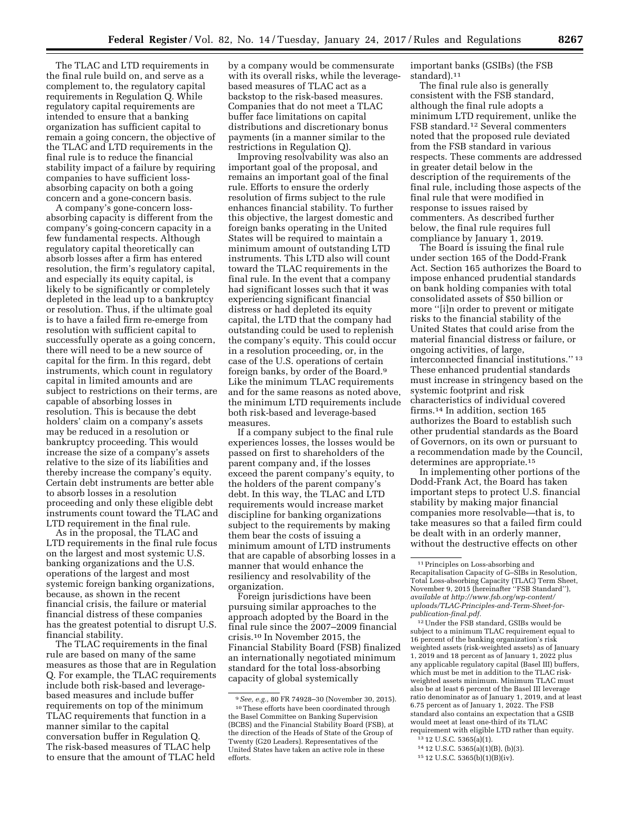The TLAC and LTD requirements in the final rule build on, and serve as a complement to, the regulatory capital requirements in Regulation Q. While regulatory capital requirements are intended to ensure that a banking organization has sufficient capital to remain a going concern, the objective of the TLAC and LTD requirements in the final rule is to reduce the financial stability impact of a failure by requiring companies to have sufficient lossabsorbing capacity on both a going concern and a gone-concern basis.

A company's gone-concern lossabsorbing capacity is different from the company's going-concern capacity in a few fundamental respects. Although regulatory capital theoretically can absorb losses after a firm has entered resolution, the firm's regulatory capital, and especially its equity capital, is likely to be significantly or completely depleted in the lead up to a bankruptcy or resolution. Thus, if the ultimate goal is to have a failed firm re-emerge from resolution with sufficient capital to successfully operate as a going concern, there will need to be a new source of capital for the firm. In this regard, debt instruments, which count in regulatory capital in limited amounts and are subject to restrictions on their terms, are capable of absorbing losses in resolution. This is because the debt holders' claim on a company's assets may be reduced in a resolution or bankruptcy proceeding. This would increase the size of a company's assets relative to the size of its liabilities and thereby increase the company's equity. Certain debt instruments are better able to absorb losses in a resolution proceeding and only these eligible debt instruments count toward the TLAC and LTD requirement in the final rule.

As in the proposal, the TLAC and LTD requirements in the final rule focus on the largest and most systemic U.S. banking organizations and the U.S. operations of the largest and most systemic foreign banking organizations, because, as shown in the recent financial crisis, the failure or material financial distress of these companies has the greatest potential to disrupt U.S. financial stability.

The TLAC requirements in the final rule are based on many of the same measures as those that are in Regulation Q. For example, the TLAC requirements include both risk-based and leveragebased measures and include buffer requirements on top of the minimum TLAC requirements that function in a manner similar to the capital conversation buffer in Regulation Q. The risk-based measures of TLAC help to ensure that the amount of TLAC held

by a company would be commensurate with its overall risks, while the leveragebased measures of TLAC act as a backstop to the risk-based measures. Companies that do not meet a TLAC buffer face limitations on capital distributions and discretionary bonus payments (in a manner similar to the restrictions in Regulation Q).

Improving resolvability was also an important goal of the proposal, and remains an important goal of the final rule. Efforts to ensure the orderly resolution of firms subject to the rule enhances financial stability. To further this objective, the largest domestic and foreign banks operating in the United States will be required to maintain a minimum amount of outstanding LTD instruments. This LTD also will count toward the TLAC requirements in the final rule. In the event that a company had significant losses such that it was experiencing significant financial distress or had depleted its equity capital, the LTD that the company had outstanding could be used to replenish the company's equity. This could occur in a resolution proceeding, or, in the case of the U.S. operations of certain foreign banks, by order of the Board.9 Like the minimum TLAC requirements and for the same reasons as noted above, the minimum LTD requirements include both risk-based and leverage-based measures.

If a company subject to the final rule experiences losses, the losses would be passed on first to shareholders of the parent company and, if the losses exceed the parent company's equity, to the holders of the parent company's debt. In this way, the TLAC and LTD requirements would increase market discipline for banking organizations subject to the requirements by making them bear the costs of issuing a minimum amount of LTD instruments that are capable of absorbing losses in a manner that would enhance the resiliency and resolvability of the organization.

Foreign jurisdictions have been pursuing similar approaches to the approach adopted by the Board in the final rule since the 2007–2009 financial crisis.10 In November 2015, the Financial Stability Board (FSB) finalized an internationally negotiated minimum standard for the total loss-absorbing capacity of global systemically

important banks (GSIBs) (the FSB standard).11

The final rule also is generally consistent with the FSB standard, although the final rule adopts a minimum LTD requirement, unlike the FSB standard.12 Several commenters noted that the proposed rule deviated from the FSB standard in various respects. These comments are addressed in greater detail below in the description of the requirements of the final rule, including those aspects of the final rule that were modified in response to issues raised by commenters. As described further below, the final rule requires full compliance by January 1, 2019.

The Board is issuing the final rule under section 165 of the Dodd-Frank Act. Section 165 authorizes the Board to impose enhanced prudential standards on bank holding companies with total consolidated assets of \$50 billion or more ''[i]n order to prevent or mitigate risks to the financial stability of the United States that could arise from the material financial distress or failure, or ongoing activities, of large, interconnected financial institutions.'' 13 These enhanced prudential standards must increase in stringency based on the systemic footprint and risk characteristics of individual covered firms.14 In addition, section 165 authorizes the Board to establish such other prudential standards as the Board of Governors, on its own or pursuant to a recommendation made by the Council, determines are appropriate.15

In implementing other portions of the Dodd-Frank Act, the Board has taken important steps to protect U.S. financial stability by making major financial companies more resolvable—that is, to take measures so that a failed firm could be dealt with in an orderly manner, without the destructive effects on other

 $^{\rm 12}\rm Under$  the FSB standard, GSIBs would be subject to a minimum TLAC requirement equal to 16 percent of the banking organization's risk weighted assets (risk-weighted assets) as of January 1, 2019 and 18 percent as of January 1, 2022 plus any applicable regulatory capital (Basel III) buffers, which must be met in addition to the TLAC riskweighted assets minimum. Minimum TLAC must also be at least 6 percent of the Basel III leverage ratio denominator as of January 1, 2019, and at least 6.75 percent as of January 1, 2022. The FSB standard also contains an expectation that a GSIB would meet at least one-third of its TLAC requirement with eligible LTD rather than equity.

<sup>9</sup>*See, e.g.,* 80 FR 74928–30 (November 30, 2015). 10These efforts have been coordinated through the Basel Committee on Banking Supervision (BCBS) and the Financial Stability Board (FSB), at the direction of the Heads of State of the Group of Twenty (G20 Leaders). Representatives of the United States have taken an active role in these efforts.

<sup>11</sup>Principles on Loss-absorbing and Recapitalisation Capacity of G–SIBs in Resolution, Total Loss-absorbing Capacity (TLAC) Term Sheet, November 9, 2015 (hereinafter ''FSB Standard''), *available at [http://www.fsb.org/wp-content/](http://www.fsb.org/wp-content/uploads/TLAC-Principles-and-Term-Sheet-for-publication-final.pdf)  [uploads/TLAC-Principles-and-Term-Sheet-for](http://www.fsb.org/wp-content/uploads/TLAC-Principles-and-Term-Sheet-for-publication-final.pdf)[publication-final.pdf.](http://www.fsb.org/wp-content/uploads/TLAC-Principles-and-Term-Sheet-for-publication-final.pdf)* 

<sup>13</sup> 12 U.S.C. 5365(a)(1).

<sup>14</sup> 12 U.S.C. 5365(a)(1)(B), (b)(3).

<sup>15</sup> 12 U.S.C. 5365(b)(1)(B)(iv).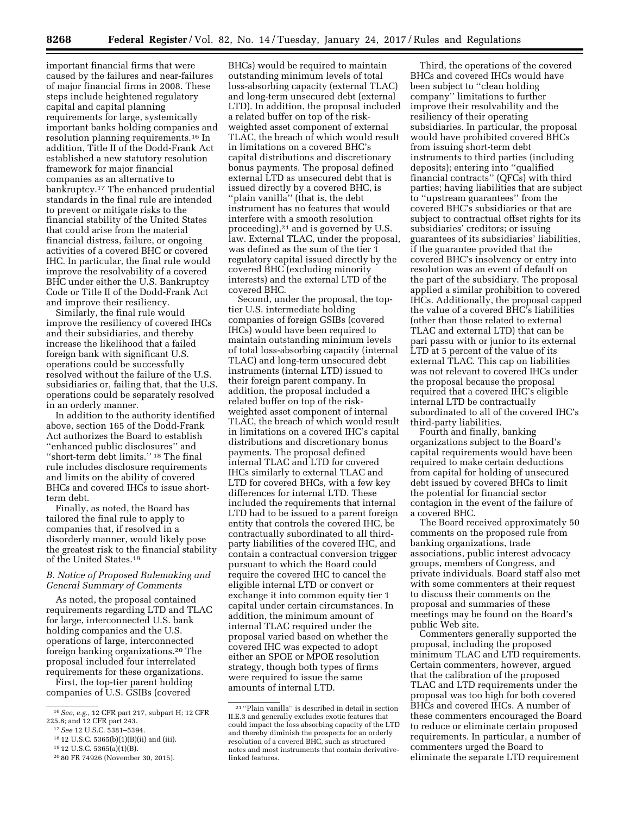important financial firms that were caused by the failures and near-failures of major financial firms in 2008. These steps include heightened regulatory capital and capital planning requirements for large, systemically important banks holding companies and resolution planning requirements.16 In addition, Title II of the Dodd-Frank Act established a new statutory resolution framework for major financial companies as an alternative to bankruptcy.17 The enhanced prudential standards in the final rule are intended to prevent or mitigate risks to the financial stability of the United States that could arise from the material financial distress, failure, or ongoing activities of a covered BHC or covered IHC. In particular, the final rule would improve the resolvability of a covered BHC under either the U.S. Bankruptcy Code or Title II of the Dodd-Frank Act and improve their resiliency.

Similarly, the final rule would improve the resiliency of covered IHCs and their subsidiaries, and thereby increase the likelihood that a failed foreign bank with significant U.S. operations could be successfully resolved without the failure of the U.S. subsidiaries or, failing that, that the U.S. operations could be separately resolved in an orderly manner.

In addition to the authority identified above, section 165 of the Dodd-Frank Act authorizes the Board to establish ''enhanced public disclosures'' and "short-term debt limits."<sup>18</sup> The final rule includes disclosure requirements and limits on the ability of covered BHCs and covered IHCs to issue shortterm debt.

Finally, as noted, the Board has tailored the final rule to apply to companies that, if resolved in a disorderly manner, would likely pose the greatest risk to the financial stability of the United States.19

## *B. Notice of Proposed Rulemaking and General Summary of Comments*

As noted, the proposal contained requirements regarding LTD and TLAC for large, interconnected U.S. bank holding companies and the U.S. operations of large, interconnected foreign banking organizations.20 The proposal included four interrelated requirements for these organizations.

First, the top-tier parent holding companies of U.S. GSIBs (covered

BHCs) would be required to maintain outstanding minimum levels of total loss-absorbing capacity (external TLAC) and long-term unsecured debt (external LTD). In addition, the proposal included a related buffer on top of the riskweighted asset component of external TLAC, the breach of which would result in limitations on a covered BHC's capital distributions and discretionary bonus payments. The proposal defined external LTD as unsecured debt that is issued directly by a covered BHC, is ''plain vanilla'' (that is, the debt instrument has no features that would interfere with a smooth resolution proceeding),21 and is governed by U.S. law. External TLAC, under the proposal, was defined as the sum of the tier 1 regulatory capital issued directly by the covered BHC (excluding minority interests) and the external LTD of the covered BHC.

Second, under the proposal, the toptier U.S. intermediate holding companies of foreign GSIBs (covered IHCs) would have been required to maintain outstanding minimum levels of total loss-absorbing capacity (internal TLAC) and long-term unsecured debt instruments (internal LTD) issued to their foreign parent company. In addition, the proposal included a related buffer on top of the riskweighted asset component of internal TLAC, the breach of which would result in limitations on a covered IHC's capital distributions and discretionary bonus payments. The proposal defined internal TLAC and LTD for covered IHCs similarly to external TLAC and LTD for covered BHCs, with a few key differences for internal LTD. These included the requirements that internal LTD had to be issued to a parent foreign entity that controls the covered IHC, be contractually subordinated to all thirdparty liabilities of the covered IHC, and contain a contractual conversion trigger pursuant to which the Board could require the covered IHC to cancel the eligible internal LTD or convert or exchange it into common equity tier 1 capital under certain circumstances. In addition, the minimum amount of internal TLAC required under the proposal varied based on whether the covered IHC was expected to adopt either an SPOE or MPOE resolution strategy, though both types of firms were required to issue the same amounts of internal LTD.

Third, the operations of the covered BHCs and covered IHCs would have been subject to ''clean holding company'' limitations to further improve their resolvability and the resiliency of their operating subsidiaries. In particular, the proposal would have prohibited covered BHCs from issuing short-term debt instruments to third parties (including deposits); entering into ''qualified financial contracts'' (QFCs) with third parties; having liabilities that are subject to ''upstream guarantees'' from the covered BHC's subsidiaries or that are subject to contractual offset rights for its subsidiaries' creditors; or issuing guarantees of its subsidiaries' liabilities, if the guarantee provided that the covered BHC's insolvency or entry into resolution was an event of default on the part of the subsidiary. The proposal applied a similar prohibition to covered IHCs. Additionally, the proposal capped the value of a covered BHC's liabilities (other than those related to external TLAC and external LTD) that can be pari passu with or junior to its external LTD at 5 percent of the value of its external TLAC. This cap on liabilities was not relevant to covered IHCs under the proposal because the proposal required that a covered IHC's eligible internal LTD be contractually subordinated to all of the covered IHC's third-party liabilities.

Fourth and finally, banking organizations subject to the Board's capital requirements would have been required to make certain deductions from capital for holding of unsecured debt issued by covered BHCs to limit the potential for financial sector contagion in the event of the failure of a covered BHC.

The Board received approximately 50 comments on the proposed rule from banking organizations, trade associations, public interest advocacy groups, members of Congress, and private individuals. Board staff also met with some commenters at their request to discuss their comments on the proposal and summaries of these meetings may be found on the Board's public Web site.

Commenters generally supported the proposal, including the proposed minimum TLAC and LTD requirements. Certain commenters, however, argued that the calibration of the proposed TLAC and LTD requirements under the proposal was too high for both covered BHCs and covered IHCs. A number of these commenters encouraged the Board to reduce or eliminate certain proposed requirements. In particular, a number of commenters urged the Board to eliminate the separate LTD requirement

<sup>16</sup>*See, e.g.,* 12 CFR part 217, subpart H; 12 CFR 225.8; and 12 CFR part 243.

<sup>17</sup>*See* 12 U.S.C. 5381–5394.

<sup>18</sup> 12 U.S.C. 5365(b)(1)(B)(ii) and (iii).

<sup>19</sup> 12 U.S.C. 5365(a)(1)(B).

<sup>20</sup> 80 FR 74926 (November 30, 2015).

<sup>21</sup> ''Plain vanilla'' is described in detail in section II.E.3 and generally excludes exotic features that could impact the loss absorbing capacity of the LTD and thereby diminish the prospects for an orderly resolution of a covered BHC, such as structured notes and most instruments that contain derivativelinked features.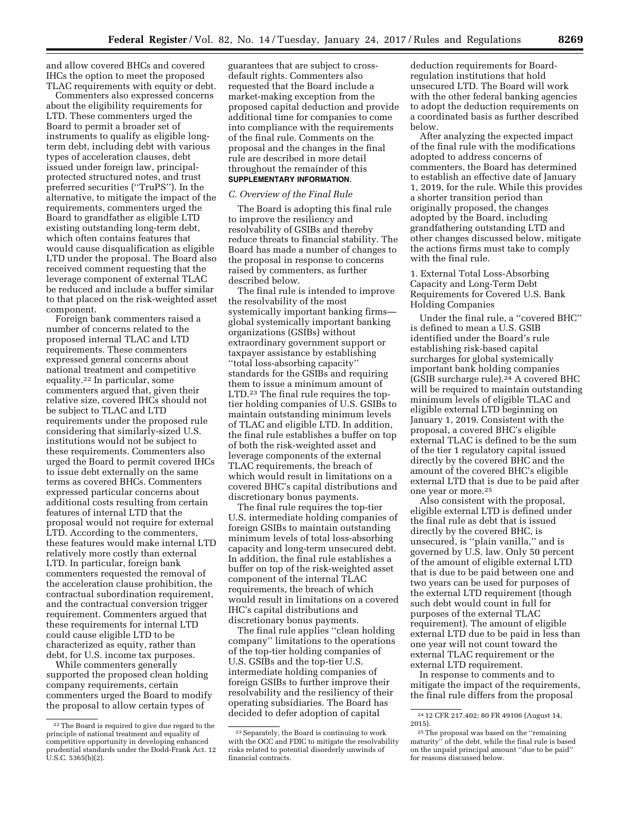and allow covered BHCs and covered IHCs the option to meet the proposed TLAC requirements with equity or debt.

Commenters also expressed concerns about the eligibility requirements for LTD. These commenters urged the Board to permit a broader set of instruments to qualify as eligible longterm debt, including debt with various types of acceleration clauses, debt issued under foreign law, principalprotected structured notes, and trust preferred securities (''TruPS''). In the alternative, to mitigate the impact of the requirements, commenters urged the Board to grandfather as eligible LTD existing outstanding long-term debt, which often contains features that would cause disqualification as eligible LTD under the proposal. The Board also received comment requesting that the leverage component of external TLAC be reduced and include a buffer similar to that placed on the risk-weighted asset component.

Foreign bank commenters raised a number of concerns related to the proposed internal TLAC and LTD requirements. These commenters expressed general concerns about national treatment and competitive equality.22 In particular, some commenters argued that, given their relative size, covered IHCs should not be subject to TLAC and LTD requirements under the proposed rule considering that similarly-sized U.S. institutions would not be subject to these requirements. Commenters also urged the Board to permit covered IHCs to issue debt externally on the same terms as covered BHCs. Commenters expressed particular concerns about additional costs resulting from certain features of internal LTD that the proposal would not require for external LTD. According to the commenters, these features would make internal LTD relatively more costly than external LTD. In particular, foreign bank commenters requested the removal of the acceleration clause prohibition, the contractual subordination requirement, and the contractual conversion trigger requirement. Commenters argued that these requirements for internal LTD could cause eligible LTD to be characterized as equity, rather than debt, for U.S. income tax purposes.

While commenters generally supported the proposed clean holding company requirements, certain commenters urged the Board to modify the proposal to allow certain types of

guarantees that are subject to crossdefault rights. Commenters also requested that the Board include a market-making exception from the proposed capital deduction and provide additional time for companies to come into compliance with the requirements of the final rule. Comments on the proposal and the changes in the final rule are described in more detail throughout the remainder of this **SUPPLEMENTARY INFORMATION**.

#### *C. Overview of the Final Rule*

The Board is adopting this final rule to improve the resiliency and resolvability of GSIBs and thereby reduce threats to financial stability. The Board has made a number of changes to the proposal in response to concerns raised by commenters, as further described below.

The final rule is intended to improve the resolvability of the most systemically important banking firms global systemically important banking organizations (GSIBs) without extraordinary government support or taxpayer assistance by establishing ''total loss-absorbing capacity'' standards for the GSIBs and requiring them to issue a minimum amount of LTD.23 The final rule requires the toptier holding companies of U.S. GSIBs to maintain outstanding minimum levels of TLAC and eligible LTD. In addition, the final rule establishes a buffer on top of both the risk-weighted asset and leverage components of the external TLAC requirements, the breach of which would result in limitations on a covered BHC's capital distributions and discretionary bonus payments.

The final rule requires the top-tier U.S. intermediate holding companies of foreign GSIBs to maintain outstanding minimum levels of total loss-absorbing capacity and long-term unsecured debt. In addition, the final rule establishes a buffer on top of the risk-weighted asset component of the internal TLAC requirements, the breach of which would result in limitations on a covered IHC's capital distributions and discretionary bonus payments.

The final rule applies ''clean holding company'' limitations to the operations of the top-tier holding companies of U.S. GSIBs and the top-tier U.S. intermediate holding companies of foreign GSIBs to further improve their resolvability and the resiliency of their operating subsidiaries. The Board has decided to defer adoption of capital

deduction requirements for Boardregulation institutions that hold unsecured LTD. The Board will work with the other federal banking agencies to adopt the deduction requirements on a coordinated basis as further described below.

After analyzing the expected impact of the final rule with the modifications adopted to address concerns of commenters, the Board has determined to establish an effective date of January 1, 2019, for the rule. While this provides a shorter transition period than originally proposed, the changes adopted by the Board, including grandfathering outstanding LTD and other changes discussed below, mitigate the actions firms must take to comply with the final rule.

1. External Total Loss-Absorbing Capacity and Long-Term Debt Requirements for Covered U.S. Bank Holding Companies

Under the final rule, a ''covered BHC'' is defined to mean a U.S. GSIB identified under the Board's rule establishing risk-based capital surcharges for global systemically important bank holding companies (GSIB surcharge rule).<sup>24</sup> A covered BHC will be required to maintain outstanding minimum levels of eligible TLAC and eligible external LTD beginning on January 1, 2019. Consistent with the proposal, a covered BHC's eligible external TLAC is defined to be the sum of the tier 1 regulatory capital issued directly by the covered BHC and the amount of the covered BHC's eligible external LTD that is due to be paid after one year or more.25

Also consistent with the proposal, eligible external LTD is defined under the final rule as debt that is issued directly by the covered BHC, is unsecured, is ''plain vanilla,'' and is governed by U.S. law. Only 50 percent of the amount of eligible external LTD that is due to be paid between one and two years can be used for purposes of the external LTD requirement (though such debt would count in full for purposes of the external TLAC requirement). The amount of eligible external LTD due to be paid in less than one year will not count toward the external TLAC requirement or the external LTD requirement.

In response to comments and to mitigate the impact of the requirements, the final rule differs from the proposal

<sup>22</sup>The Board is required to give due regard to the principle of national treatment and equality of competitive opportunity in developing enhanced prudential standards under the Dodd-Frank Act. 12 U.S.C. 5365(b)(2).

<sup>23</sup>Separately, the Board is continuing to work with the OCC and FDIC to mitigate the resolvability risks related to potential disorderly unwinds of financial contracts.

<sup>24</sup> 12 CFR 217.402; 80 FR 49106 (August 14, 2015).

<sup>25</sup>The proposal was based on the ''remaining maturity'' of the debt, while the final rule is based on the unpaid principal amount ''due to be paid'' for reasons discussed below.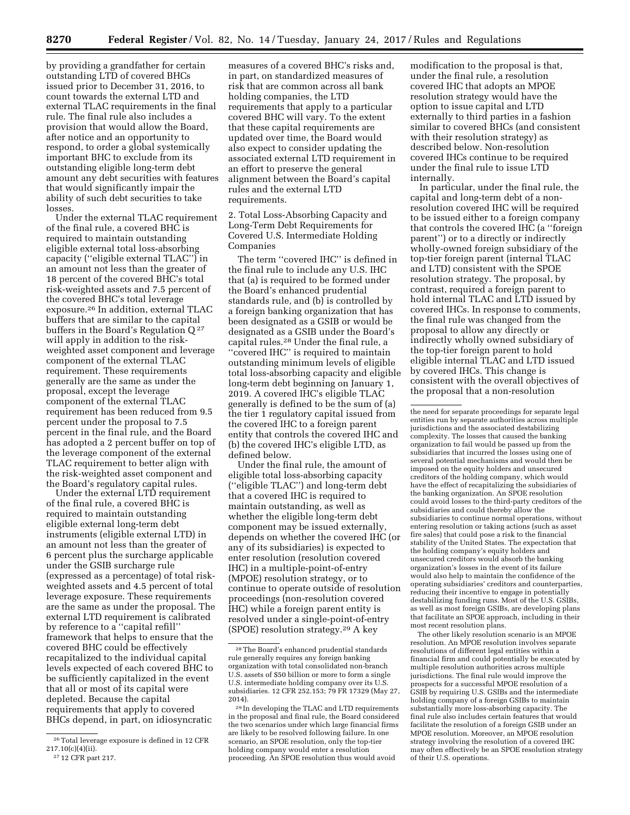by providing a grandfather for certain outstanding LTD of covered BHCs issued prior to December 31, 2016, to count towards the external LTD and external TLAC requirements in the final rule. The final rule also includes a provision that would allow the Board, after notice and an opportunity to respond, to order a global systemically important BHC to exclude from its outstanding eligible long-term debt amount any debt securities with features that would significantly impair the ability of such debt securities to take losses.

Under the external TLAC requirement of the final rule, a covered BHC is required to maintain outstanding eligible external total loss-absorbing capacity (''eligible external TLAC'') in an amount not less than the greater of 18 percent of the covered BHC's total risk-weighted assets and 7.5 percent of the covered BHC's total leverage exposure.26 In addition, external TLAC buffers that are similar to the capital buffers in the Board's Regulation Q 27 will apply in addition to the riskweighted asset component and leverage component of the external TLAC requirement. These requirements generally are the same as under the proposal, except the leverage component of the external TLAC requirement has been reduced from 9.5 percent under the proposal to 7.5 percent in the final rule, and the Board has adopted a 2 percent buffer on top of the leverage component of the external TLAC requirement to better align with the risk-weighted asset component and the Board's regulatory capital rules.

Under the external LTD requirement of the final rule, a covered BHC is required to maintain outstanding eligible external long-term debt instruments (eligible external LTD) in an amount not less than the greater of 6 percent plus the surcharge applicable under the GSIB surcharge rule (expressed as a percentage) of total riskweighted assets and 4.5 percent of total leverage exposure. These requirements are the same as under the proposal. The external LTD requirement is calibrated by reference to a ''capital refill'' framework that helps to ensure that the covered BHC could be effectively recapitalized to the individual capital levels expected of each covered BHC to be sufficiently capitalized in the event that all or most of its capital were depleted. Because the capital requirements that apply to covered BHCs depend, in part, on idiosyncratic

27 12 CFR part 217.

measures of a covered BHC's risks and, in part, on standardized measures of risk that are common across all bank holding companies, the LTD requirements that apply to a particular covered BHC will vary. To the extent that these capital requirements are updated over time, the Board would also expect to consider updating the associated external LTD requirement in an effort to preserve the general alignment between the Board's capital rules and the external LTD requirements.

2. Total Loss-Absorbing Capacity and Long-Term Debt Requirements for Covered U.S. Intermediate Holding Companies

The term ''covered IHC'' is defined in the final rule to include any U.S. IHC that (a) is required to be formed under the Board's enhanced prudential standards rule, and (b) is controlled by a foreign banking organization that has been designated as a GSIB or would be designated as a GSIB under the Board's capital rules.28 Under the final rule, a ''covered IHC'' is required to maintain outstanding minimum levels of eligible total loss-absorbing capacity and eligible long-term debt beginning on January 1, 2019. A covered IHC's eligible TLAC generally is defined to be the sum of (a) the tier 1 regulatory capital issued from the covered IHC to a foreign parent entity that controls the covered IHC and (b) the covered IHC's eligible LTD, as defined below.

Under the final rule, the amount of eligible total loss-absorbing capacity (''eligible TLAC'') and long-term debt that a covered IHC is required to maintain outstanding, as well as whether the eligible long-term debt component may be issued externally, depends on whether the covered IHC (or any of its subsidiaries) is expected to enter resolution (resolution covered IHC) in a multiple-point-of-entry (MPOE) resolution strategy, or to continue to operate outside of resolution proceedings (non-resolution covered IHC) while a foreign parent entity is resolved under a single-point-of-entry (SPOE) resolution strategy.29 A key

modification to the proposal is that, under the final rule, a resolution covered IHC that adopts an MPOE resolution strategy would have the option to issue capital and LTD externally to third parties in a fashion similar to covered BHCs (and consistent with their resolution strategy) as described below. Non-resolution covered IHCs continue to be required under the final rule to issue LTD internally.

In particular, under the final rule, the capital and long-term debt of a nonresolution covered IHC will be required to be issued either to a foreign company that controls the covered IHC (a ''foreign parent'') or to a directly or indirectly wholly-owned foreign subsidiary of the top-tier foreign parent (internal TLAC and LTD) consistent with the SPOE resolution strategy. The proposal, by contrast, required a foreign parent to hold internal TLAC and LTD issued by covered IHCs. In response to comments, the final rule was changed from the proposal to allow any directly or indirectly wholly owned subsidiary of the top-tier foreign parent to hold eligible internal TLAC and LTD issued by covered IHCs. This change is consistent with the overall objectives of the proposal that a non-resolution

the need for separate proceedings for separate legal entities run by separate authorities across multiple jurisdictions and the associated destabilizing complexity. The losses that caused the banking organization to fail would be passed up from the subsidiaries that incurred the losses using one of several potential mechanisms and would then be imposed on the equity holders and unsecured creditors of the holding company, which would have the effect of recapitalizing the subsidiaries of the banking organization. An SPOE resolution could avoid losses to the third-party creditors of the subsidiaries and could thereby allow the subsidiaries to continue normal operations, without entering resolution or taking actions (such as asset fire sales) that could pose a risk to the financial stability of the United States. The expectation that the holding company's equity holders and unsecured creditors would absorb the banking organization's losses in the event of its failure would also help to maintain the confidence of the operating subsidiaries' creditors and counterparties, reducing their incentive to engage in potentially destabilizing funding runs. Most of the U.S. GSIBs, as well as most foreign GSIBs, are developing plans that facilitate an SPOE approach, including in their most recent resolution plans.

The other likely resolution scenario is an MPOE resolution. An MPOE resolution involves separate resolutions of different legal entities within a financial firm and could potentially be executed by multiple resolution authorities across multiple jurisdictions. The final rule would improve the prospects for a successful MPOE resolution of a GSIB by requiring U.S. GSIBs and the intermediate holding company of a foreign GSIBs to maintain substantially more loss-absorbing capacity. The final rule also includes certain features that would facilitate the resolution of a foreign GSIB under an MPOE resolution. Moreover, an MPOE resolution strategy involving the resolution of a covered IHC may often effectively be an SPOE resolution strategy of their U.S. operations.

 $^{\rm 26}$  Total leverage exposure is defined in 12 CFR  $217.10(c)(4)(ii)$ .

<sup>28</sup>The Board's enhanced prudential standards rule generally requires any foreign banking organization with total consolidated non-branch U.S. assets of \$50 billion or more to form a single U.S. intermediate holding company over its U.S. subsidiaries. 12 CFR 252.153; 79 FR 17329 (May 27, 2014).

<sup>29</sup> In developing the TLAC and LTD requirements in the proposal and final rule, the Board considered the two scenarios under which large financial firms are likely to be resolved following failure. In one scenario, an SPOE resolution, only the top-tier holding company would enter a resolution proceeding. An SPOE resolution thus would avoid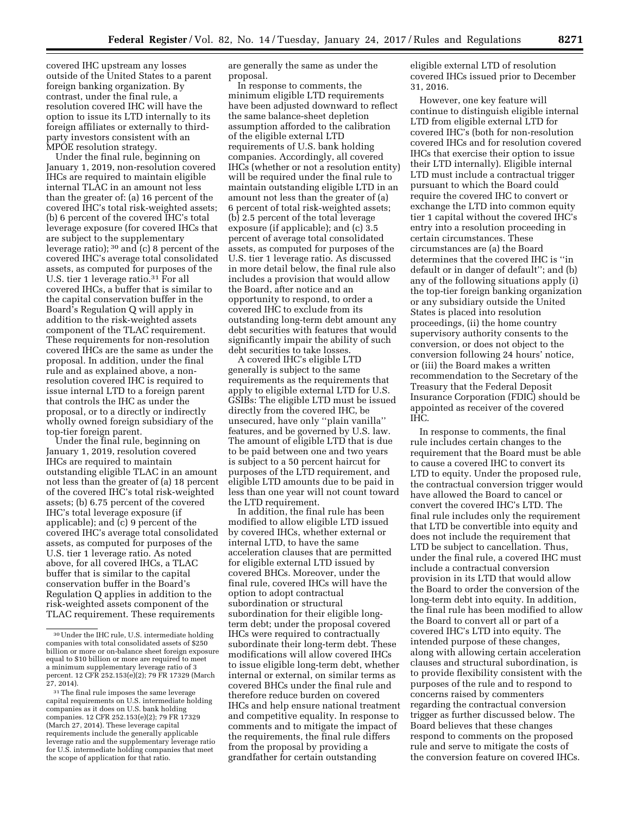covered IHC upstream any losses outside of the United States to a parent foreign banking organization. By contrast, under the final rule, a resolution covered IHC will have the option to issue its LTD internally to its foreign affiliates or externally to thirdparty investors consistent with an MPOE resolution strategy.

Under the final rule, beginning on January 1, 2019, non-resolution covered IHCs are required to maintain eligible internal TLAC in an amount not less than the greater of: (a) 16 percent of the covered IHC's total risk-weighted assets; (b) 6 percent of the covered IHC's total leverage exposure (for covered IHCs that are subject to the supplementary leverage ratio); 30 and (c) 8 percent of the covered IHC's average total consolidated assets, as computed for purposes of the U.S. tier 1 leverage ratio.<sup>31</sup> For all covered IHCs, a buffer that is similar to the capital conservation buffer in the Board's Regulation Q will apply in addition to the risk-weighted assets component of the TLAC requirement. These requirements for non-resolution covered IHCs are the same as under the proposal. In addition, under the final rule and as explained above, a nonresolution covered IHC is required to issue internal LTD to a foreign parent that controls the IHC as under the proposal, or to a directly or indirectly wholly owned foreign subsidiary of the top-tier foreign parent.

Under the final rule, beginning on January 1, 2019, resolution covered IHCs are required to maintain outstanding eligible TLAC in an amount not less than the greater of (a) 18 percent of the covered IHC's total risk-weighted assets; (b) 6.75 percent of the covered IHC's total leverage exposure (if applicable); and (c) 9 percent of the covered IHC's average total consolidated assets, as computed for purposes of the U.S. tier 1 leverage ratio. As noted above, for all covered IHCs, a TLAC buffer that is similar to the capital conservation buffer in the Board's Regulation Q applies in addition to the risk-weighted assets component of the TLAC requirement. These requirements

are generally the same as under the proposal.

In response to comments, the minimum eligible LTD requirements have been adjusted downward to reflect the same balance-sheet depletion assumption afforded to the calibration of the eligible external LTD requirements of U.S. bank holding companies. Accordingly, all covered IHCs (whether or not a resolution entity) will be required under the final rule to maintain outstanding eligible LTD in an amount not less than the greater of (a) 6 percent of total risk-weighted assets; (b) 2.5 percent of the total leverage exposure (if applicable); and (c) 3.5 percent of average total consolidated assets, as computed for purposes of the U.S. tier 1 leverage ratio. As discussed in more detail below, the final rule also includes a provision that would allow the Board, after notice and an opportunity to respond, to order a covered IHC to exclude from its outstanding long-term debt amount any debt securities with features that would significantly impair the ability of such debt securities to take losses.

A covered IHC's eligible LTD generally is subject to the same requirements as the requirements that apply to eligible external LTD for U.S. GSIBs: The eligible LTD must be issued directly from the covered IHC, be unsecured, have only ''plain vanilla'' features, and be governed by U.S. law. The amount of eligible LTD that is due to be paid between one and two years is subject to a 50 percent haircut for purposes of the LTD requirement, and eligible LTD amounts due to be paid in less than one year will not count toward the LTD requirement.

In addition, the final rule has been modified to allow eligible LTD issued by covered IHCs, whether external or internal LTD, to have the same acceleration clauses that are permitted for eligible external LTD issued by covered BHCs. Moreover, under the final rule, covered IHCs will have the option to adopt contractual subordination or structural subordination for their eligible longterm debt; under the proposal covered IHCs were required to contractually subordinate their long-term debt. These modifications will allow covered IHCs to issue eligible long-term debt, whether internal or external, on similar terms as covered BHCs under the final rule and therefore reduce burden on covered IHCs and help ensure national treatment and competitive equality. In response to comments and to mitigate the impact of the requirements, the final rule differs from the proposal by providing a grandfather for certain outstanding

eligible external LTD of resolution covered IHCs issued prior to December 31, 2016.

However, one key feature will continue to distinguish eligible internal LTD from eligible external LTD for covered IHC's (both for non-resolution covered IHCs and for resolution covered IHCs that exercise their option to issue their LTD internally). Eligible internal LTD must include a contractual trigger pursuant to which the Board could require the covered IHC to convert or exchange the LTD into common equity tier 1 capital without the covered IHC's entry into a resolution proceeding in certain circumstances. These circumstances are (a) the Board determines that the covered IHC is ''in default or in danger of default''; and (b) any of the following situations apply (i) the top-tier foreign banking organization or any subsidiary outside the United States is placed into resolution proceedings, (ii) the home country supervisory authority consents to the conversion, or does not object to the conversion following 24 hours' notice, or (iii) the Board makes a written recommendation to the Secretary of the Treasury that the Federal Deposit Insurance Corporation (FDIC) should be appointed as receiver of the covered IHC.

In response to comments, the final rule includes certain changes to the requirement that the Board must be able to cause a covered IHC to convert its LTD to equity. Under the proposed rule, the contractual conversion trigger would have allowed the Board to cancel or convert the covered IHC's LTD. The final rule includes only the requirement that LTD be convertible into equity and does not include the requirement that LTD be subject to cancellation. Thus, under the final rule, a covered IHC must include a contractual conversion provision in its LTD that would allow the Board to order the conversion of the long-term debt into equity. In addition, the final rule has been modified to allow the Board to convert all or part of a covered IHC's LTD into equity. The intended purpose of these changes, along with allowing certain acceleration clauses and structural subordination, is to provide flexibility consistent with the purposes of the rule and to respond to concerns raised by commenters regarding the contractual conversion trigger as further discussed below. The Board believes that these changes respond to comments on the proposed rule and serve to mitigate the costs of the conversion feature on covered IHCs.

<sup>30</sup>Under the IHC rule, U.S. intermediate holding companies with total consolidated assets of \$250 billion or more or on-balance sheet foreign exposure equal to \$10 billion or more are required to meet a minimum supplementary leverage ratio of 3 percent. 12 CFR 252.153(e)(2); 79 FR 17329 (March 27, 2014).

<sup>&</sup>lt;sup>31</sup>The final rule imposes the same leverage capital requirements on U.S. intermediate holding companies as it does on U.S. bank holding companies. 12 CFR 252.153(e)(2); 79 FR 17329 (March 27, 2014). These leverage capital requirements include the generally applicable leverage ratio and the supplementary leverage ratio for U.S. intermediate holding companies that meet the scope of application for that ratio.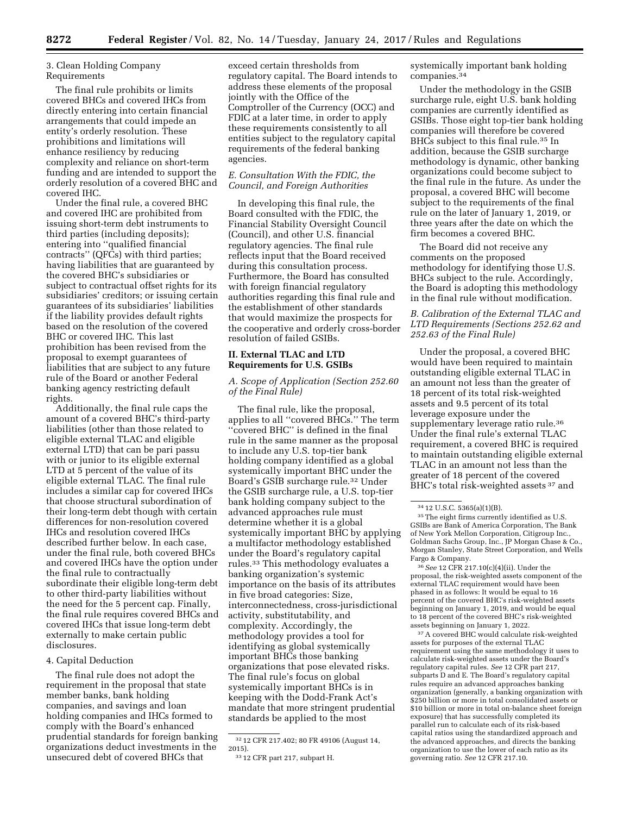## 3. Clean Holding Company Requirements

The final rule prohibits or limits covered BHCs and covered IHCs from directly entering into certain financial arrangements that could impede an entity's orderly resolution. These prohibitions and limitations will enhance resiliency by reducing complexity and reliance on short-term funding and are intended to support the orderly resolution of a covered BHC and covered IHC.

Under the final rule, a covered BHC and covered IHC are prohibited from issuing short-term debt instruments to third parties (including deposits); entering into ''qualified financial contracts'' (QFCs) with third parties; having liabilities that are guaranteed by the covered BHC's subsidiaries or subject to contractual offset rights for its subsidiaries' creditors; or issuing certain guarantees of its subsidiaries' liabilities if the liability provides default rights based on the resolution of the covered BHC or covered IHC. This last prohibition has been revised from the proposal to exempt guarantees of liabilities that are subject to any future rule of the Board or another Federal banking agency restricting default rights.

Additionally, the final rule caps the amount of a covered BHC's third-party liabilities (other than those related to eligible external TLAC and eligible external LTD) that can be pari passu with or junior to its eligible external LTD at 5 percent of the value of its eligible external TLAC. The final rule includes a similar cap for covered IHCs that choose structural subordination of their long-term debt though with certain differences for non-resolution covered IHCs and resolution covered IHCs described further below. In each case, under the final rule, both covered BHCs and covered IHCs have the option under the final rule to contractually subordinate their eligible long-term debt to other third-party liabilities without the need for the 5 percent cap. Finally, the final rule requires covered BHCs and covered IHCs that issue long-term debt externally to make certain public disclosures.

## 4. Capital Deduction

The final rule does not adopt the requirement in the proposal that state member banks, bank holding companies, and savings and loan holding companies and IHCs formed to comply with the Board's enhanced prudential standards for foreign banking organizations deduct investments in the unsecured debt of covered BHCs that

exceed certain thresholds from regulatory capital. The Board intends to address these elements of the proposal jointly with the Office of the Comptroller of the Currency (OCC) and FDIC at a later time, in order to apply these requirements consistently to all entities subject to the regulatory capital requirements of the federal banking agencies.

## *E. Consultation With the FDIC, the Council, and Foreign Authorities*

In developing this final rule, the Board consulted with the FDIC, the Financial Stability Oversight Council (Council), and other U.S. financial regulatory agencies. The final rule reflects input that the Board received during this consultation process. Furthermore, the Board has consulted with foreign financial regulatory authorities regarding this final rule and the establishment of other standards that would maximize the prospects for the cooperative and orderly cross-border resolution of failed GSIBs.

## **II. External TLAC and LTD Requirements for U.S. GSIBs**

## *A. Scope of Application (Section 252.60 of the Final Rule)*

The final rule, like the proposal, applies to all ''covered BHCs.'' The term ''covered BHC'' is defined in the final rule in the same manner as the proposal to include any U.S. top-tier bank holding company identified as a global systemically important BHC under the Board's GSIB surcharge rule.32 Under the GSIB surcharge rule, a U.S. top-tier bank holding company subject to the advanced approaches rule must determine whether it is a global systemically important BHC by applying a multifactor methodology established under the Board's regulatory capital rules.33 This methodology evaluates a banking organization's systemic importance on the basis of its attributes in five broad categories: Size, interconnectedness, cross-jurisdictional activity, substitutability, and complexity. Accordingly, the methodology provides a tool for identifying as global systemically important BHCs those banking organizations that pose elevated risks. The final rule's focus on global systemically important BHCs is in keeping with the Dodd-Frank Act's mandate that more stringent prudential standards be applied to the most

systemically important bank holding companies.34

Under the methodology in the GSIB surcharge rule, eight U.S. bank holding companies are currently identified as GSIBs. Those eight top-tier bank holding companies will therefore be covered BHCs subject to this final rule.35 In addition, because the GSIB surcharge methodology is dynamic, other banking organizations could become subject to the final rule in the future. As under the proposal, a covered BHC will become subject to the requirements of the final rule on the later of January 1, 2019, or three years after the date on which the firm becomes a covered BHC.

The Board did not receive any comments on the proposed methodology for identifying those U.S. BHCs subject to the rule. Accordingly, the Board is adopting this methodology in the final rule without modification.

## *B. Calibration of the External TLAC and LTD Requirements (Sections 252.62 and 252.63 of the Final Rule)*

Under the proposal, a covered BHC would have been required to maintain outstanding eligible external TLAC in an amount not less than the greater of 18 percent of its total risk-weighted assets and 9.5 percent of its total leverage exposure under the supplementary leverage ratio rule.<sup>36</sup> Under the final rule's external TLAC requirement, a covered BHC is required to maintain outstanding eligible external TLAC in an amount not less than the greater of 18 percent of the covered BHC's total risk-weighted assets 37 and

36*See* 12 CFR 217.10(c)(4)(ii). Under the proposal, the risk-weighted assets component of the external TLAC requirement would have been phased in as follows: It would be equal to 16 percent of the covered BHC's risk-weighted assets beginning on January 1, 2019, and would be equal to 18 percent of the covered BHC's risk-weighted assets beginning on January 1, 2022.

37A covered BHC would calculate risk-weighted assets for purposes of the external TLAC requirement using the same methodology it uses to calculate risk-weighted assets under the Board's regulatory capital rules. *See* 12 CFR part 217, subparts D and E. The Board's regulatory capital rules require an advanced approaches banking organization (generally, a banking organization with \$250 billion or more in total consolidated assets or \$10 billion or more in total on-balance sheet foreign exposure) that has successfully completed its parallel run to calculate each of its risk-based capital ratios using the standardized approach and the advanced approaches, and directs the banking organization to use the lower of each ratio as its governing ratio. *See* 12 CFR 217.10.

<sup>32</sup> 12 CFR 217.402; 80 FR 49106 (August 14, 2015).

<sup>33</sup> 12 CFR part 217, subpart H.

<sup>34</sup> 12 U.S.C. 5365(a)(1)(B).

<sup>35</sup>The eight firms currently identified as U.S. GSIBs are Bank of America Corporation, The Bank of New York Mellon Corporation, Citigroup Inc., Goldman Sachs Group, Inc., JP Morgan Chase & Co., Morgan Stanley, State Street Corporation, and Wells Fargo & Company.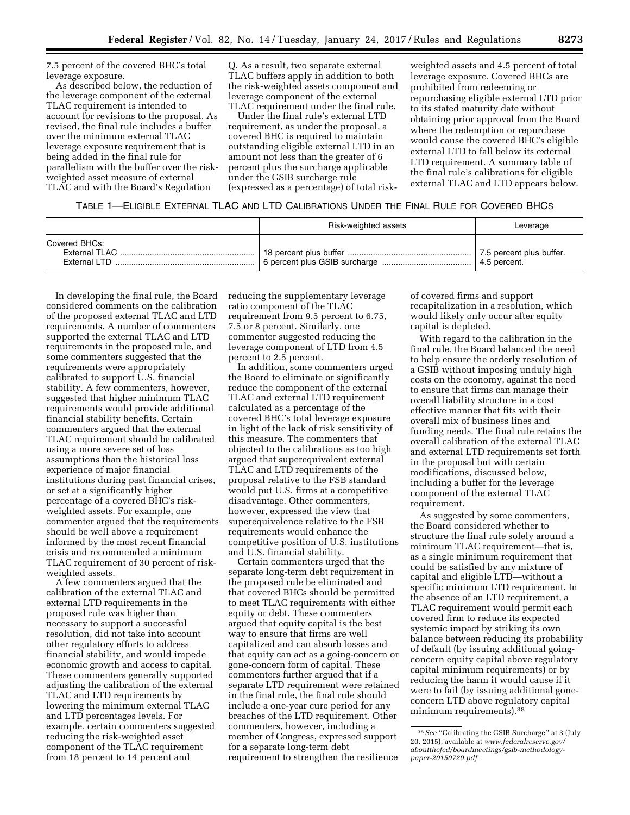7.5 percent of the covered BHC's total leverage exposure.

As described below, the reduction of the leverage component of the external TLAC requirement is intended to account for revisions to the proposal. As revised, the final rule includes a buffer over the minimum external TLAC leverage exposure requirement that is being added in the final rule for parallelism with the buffer over the riskweighted asset measure of external TLAC and with the Board's Regulation

Q. As a result, two separate external TLAC buffers apply in addition to both the risk-weighted assets component and leverage component of the external TLAC requirement under the final rule.

Under the final rule's external LTD requirement, as under the proposal, a covered BHC is required to maintain outstanding eligible external LTD in an amount not less than the greater of 6 percent plus the surcharge applicable under the GSIB surcharge rule (expressed as a percentage) of total risk-

weighted assets and 4.5 percent of total leverage exposure. Covered BHCs are prohibited from redeeming or repurchasing eligible external LTD prior to its stated maturity date without obtaining prior approval from the Board where the redemption or repurchase would cause the covered BHC's eligible external LTD to fall below its external LTD requirement. A summary table of the final rule's calibrations for eligible external TLAC and LTD appears below.

#### TABLE 1—ELIGIBLE EXTERNAL TLAC AND LTD CALIBRATIONS UNDER THE FINAL RULE FOR COVERED BHCS

|               | Risk-weighted assets | Leverage     |
|---------------|----------------------|--------------|
| Covered BHCs: |                      | 4.5 percent. |

In developing the final rule, the Board considered comments on the calibration of the proposed external TLAC and LTD requirements. A number of commenters supported the external TLAC and LTD requirements in the proposed rule, and some commenters suggested that the requirements were appropriately calibrated to support U.S. financial stability. A few commenters, however, suggested that higher minimum TLAC requirements would provide additional financial stability benefits. Certain commenters argued that the external TLAC requirement should be calibrated using a more severe set of loss assumptions than the historical loss experience of major financial institutions during past financial crises, or set at a significantly higher percentage of a covered BHC's riskweighted assets. For example, one commenter argued that the requirements should be well above a requirement informed by the most recent financial crisis and recommended a minimum TLAC requirement of 30 percent of riskweighted assets.

A few commenters argued that the calibration of the external TLAC and external LTD requirements in the proposed rule was higher than necessary to support a successful resolution, did not take into account other regulatory efforts to address financial stability, and would impede economic growth and access to capital. These commenters generally supported adjusting the calibration of the external TLAC and LTD requirements by lowering the minimum external TLAC and LTD percentages levels. For example, certain commenters suggested reducing the risk-weighted asset component of the TLAC requirement from 18 percent to 14 percent and

reducing the supplementary leverage ratio component of the TLAC requirement from 9.5 percent to 6.75, 7.5 or 8 percent. Similarly, one commenter suggested reducing the leverage component of LTD from 4.5 percent to 2.5 percent.

In addition, some commenters urged the Board to eliminate or significantly reduce the component of the external TLAC and external LTD requirement calculated as a percentage of the covered BHC's total leverage exposure in light of the lack of risk sensitivity of this measure. The commenters that objected to the calibrations as too high argued that superequivalent external TLAC and LTD requirements of the proposal relative to the FSB standard would put U.S. firms at a competitive disadvantage. Other commenters, however, expressed the view that superequivalence relative to the FSB requirements would enhance the competitive position of U.S. institutions and U.S. financial stability.

Certain commenters urged that the separate long-term debt requirement in the proposed rule be eliminated and that covered BHCs should be permitted to meet TLAC requirements with either equity or debt. These commenters argued that equity capital is the best way to ensure that firms are well capitalized and can absorb losses and that equity can act as a going-concern or gone-concern form of capital. These commenters further argued that if a separate LTD requirement were retained in the final rule, the final rule should include a one-year cure period for any breaches of the LTD requirement. Other commenters, however, including a member of Congress, expressed support for a separate long-term debt requirement to strengthen the resilience

of covered firms and support recapitalization in a resolution, which would likely only occur after equity capital is depleted.

With regard to the calibration in the final rule, the Board balanced the need to help ensure the orderly resolution of a GSIB without imposing unduly high costs on the economy, against the need to ensure that firms can manage their overall liability structure in a cost effective manner that fits with their overall mix of business lines and funding needs. The final rule retains the overall calibration of the external TLAC and external LTD requirements set forth in the proposal but with certain modifications, discussed below, including a buffer for the leverage component of the external TLAC requirement.

As suggested by some commenters, the Board considered whether to structure the final rule solely around a minimum TLAC requirement—that is, as a single minimum requirement that could be satisfied by any mixture of capital and eligible LTD—without a specific minimum LTD requirement. In the absence of an LTD requirement, a TLAC requirement would permit each covered firm to reduce its expected systemic impact by striking its own balance between reducing its probability of default (by issuing additional goingconcern equity capital above regulatory capital minimum requirements) or by reducing the harm it would cause if it were to fail (by issuing additional goneconcern LTD above regulatory capital minimum requirements).38

<sup>&</sup>lt;sup>38</sup> See "Calibrating the GSIB Surcharge" at 3 (July 20, 2015), available at *[www.federalreserve.gov/](http://www.federalreserve.gov/aboutthefed/boardmeetings/gsib-methodology-paper-20150720.pdf)  [aboutthefed/boardmeetings/gsib-methodology](http://www.federalreserve.gov/aboutthefed/boardmeetings/gsib-methodology-paper-20150720.pdf)[paper-20150720.pdf.](http://www.federalreserve.gov/aboutthefed/boardmeetings/gsib-methodology-paper-20150720.pdf)*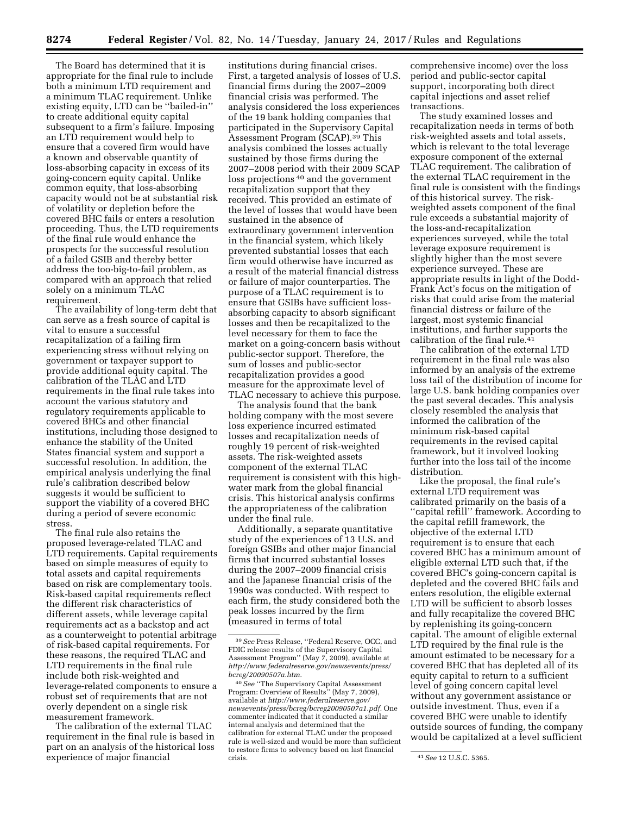The Board has determined that it is appropriate for the final rule to include both a minimum LTD requirement and a minimum TLAC requirement. Unlike existing equity, LTD can be ''bailed-in'' to create additional equity capital subsequent to a firm's failure. Imposing an LTD requirement would help to ensure that a covered firm would have a known and observable quantity of loss-absorbing capacity in excess of its going-concern equity capital. Unlike common equity, that loss-absorbing capacity would not be at substantial risk of volatility or depletion before the covered BHC fails or enters a resolution proceeding. Thus, the LTD requirements of the final rule would enhance the prospects for the successful resolution of a failed GSIB and thereby better address the too-big-to-fail problem, as compared with an approach that relied solely on a minimum TLAC requirement.

The availability of long-term debt that can serve as a fresh source of capital is vital to ensure a successful recapitalization of a failing firm experiencing stress without relying on government or taxpayer support to provide additional equity capital. The calibration of the TLAC and LTD requirements in the final rule takes into account the various statutory and regulatory requirements applicable to covered BHCs and other financial institutions, including those designed to enhance the stability of the United States financial system and support a successful resolution. In addition, the empirical analysis underlying the final rule's calibration described below suggests it would be sufficient to support the viability of a covered BHC during a period of severe economic stress.

The final rule also retains the proposed leverage-related TLAC and LTD requirements. Capital requirements based on simple measures of equity to total assets and capital requirements based on risk are complementary tools. Risk-based capital requirements reflect the different risk characteristics of different assets, while leverage capital requirements act as a backstop and act as a counterweight to potential arbitrage of risk-based capital requirements. For these reasons, the required TLAC and LTD requirements in the final rule include both risk-weighted and leverage-related components to ensure a robust set of requirements that are not overly dependent on a single risk measurement framework.

The calibration of the external TLAC requirement in the final rule is based in part on an analysis of the historical loss experience of major financial

institutions during financial crises. First, a targeted analysis of losses of U.S. financial firms during the 2007–2009 financial crisis was performed. The analysis considered the loss experiences of the 19 bank holding companies that participated in the Supervisory Capital Assessment Program (SCAP).39 This analysis combined the losses actually sustained by those firms during the 2007–2008 period with their 2009 SCAP loss projections 40 and the government recapitalization support that they received. This provided an estimate of the level of losses that would have been sustained in the absence of extraordinary government intervention in the financial system, which likely prevented substantial losses that each firm would otherwise have incurred as a result of the material financial distress or failure of major counterparties. The purpose of a TLAC requirement is to ensure that GSIBs have sufficient lossabsorbing capacity to absorb significant losses and then be recapitalized to the level necessary for them to face the market on a going-concern basis without public-sector support. Therefore, the sum of losses and public-sector recapitalization provides a good measure for the approximate level of TLAC necessary to achieve this purpose.

The analysis found that the bank holding company with the most severe loss experience incurred estimated losses and recapitalization needs of roughly 19 percent of risk-weighted assets. The risk-weighted assets component of the external TLAC requirement is consistent with this highwater mark from the global financial crisis. This historical analysis confirms the appropriateness of the calibration under the final rule.

Additionally, a separate quantitative study of the experiences of 13 U.S. and foreign GSIBs and other major financial firms that incurred substantial losses during the 2007–2009 financial crisis and the Japanese financial crisis of the 1990s was conducted. With respect to each firm, the study considered both the peak losses incurred by the firm (measured in terms of total

comprehensive income) over the loss period and public-sector capital support, incorporating both direct capital injections and asset relief transactions.

The study examined losses and recapitalization needs in terms of both risk-weighted assets and total assets, which is relevant to the total leverage exposure component of the external TLAC requirement. The calibration of the external TLAC requirement in the final rule is consistent with the findings of this historical survey. The riskweighted assets component of the final rule exceeds a substantial majority of the loss-and-recapitalization experiences surveyed, while the total leverage exposure requirement is slightly higher than the most severe experience surveyed. These are appropriate results in light of the Dodd-Frank Act's focus on the mitigation of risks that could arise from the material financial distress or failure of the largest, most systemic financial institutions, and further supports the calibration of the final rule.<sup>41</sup>

The calibration of the external LTD requirement in the final rule was also informed by an analysis of the extreme loss tail of the distribution of income for large U.S. bank holding companies over the past several decades. This analysis closely resembled the analysis that informed the calibration of the minimum risk-based capital requirements in the revised capital framework, but it involved looking further into the loss tail of the income distribution.

Like the proposal, the final rule's external LTD requirement was calibrated primarily on the basis of a ''capital refill'' framework. According to the capital refill framework, the objective of the external LTD requirement is to ensure that each covered BHC has a minimum amount of eligible external LTD such that, if the covered BHC's going-concern capital is depleted and the covered BHC fails and enters resolution, the eligible external LTD will be sufficient to absorb losses and fully recapitalize the covered BHC by replenishing its going-concern capital. The amount of eligible external LTD required by the final rule is the amount estimated to be necessary for a covered BHC that has depleted all of its equity capital to return to a sufficient level of going concern capital level without any government assistance or outside investment. Thus, even if a covered BHC were unable to identify outside sources of funding, the company would be capitalized at a level sufficient

<sup>39</sup>*See* Press Release, ''Federal Reserve, OCC, and FDIC release results of the Supervisory Capital Assessment Program'' (May 7, 2009), available at *[http://www.federalreserve.gov/newsevents/press/](http://www.federalreserve.gov/newsevents/press/bcreg/20090507a.htm) [bcreg/20090507a.htm.](http://www.federalreserve.gov/newsevents/press/bcreg/20090507a.htm)* 

<sup>40</sup>*See* ''The Supervisory Capital Assessment Program: Overview of Results'' (May 7, 2009), available at *[http://www.federalreserve.gov/](http://www.federalreserve.gov/newsevents/press/bcreg/bcreg20090507a1.pdf)  [newsevents/press/bcreg/bcreg20090507a1.pdf.](http://www.federalreserve.gov/newsevents/press/bcreg/bcreg20090507a1.pdf)* One commenter indicated that it conducted a similar internal analysis and determined that the calibration for external TLAC under the proposed rule is well-sized and would be more than sufficient to restore firms to solvency based on last financial

crisis. 41*See* 12 U.S.C. 5365.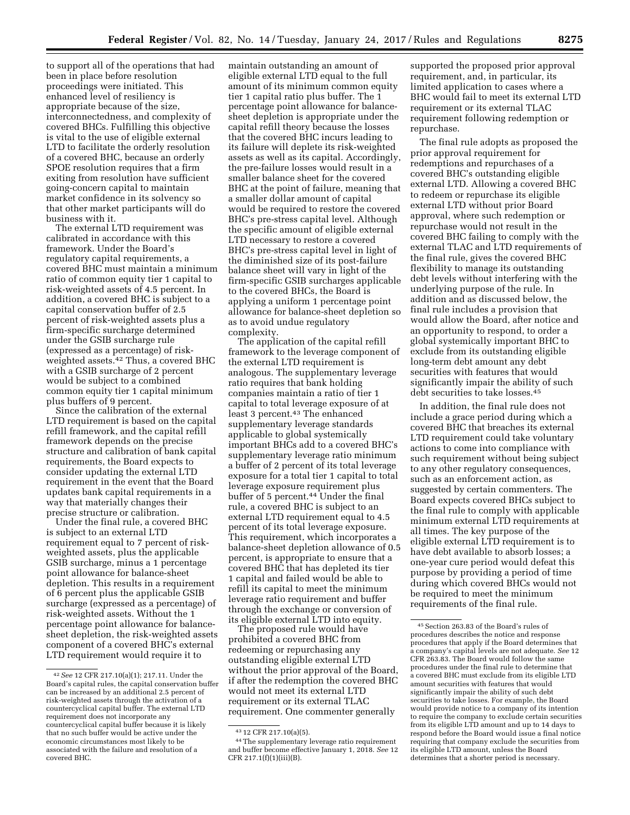to support all of the operations that had been in place before resolution proceedings were initiated. This enhanced level of resiliency is appropriate because of the size, interconnectedness, and complexity of covered BHCs. Fulfilling this objective is vital to the use of eligible external LTD to facilitate the orderly resolution of a covered BHC, because an orderly SPOE resolution requires that a firm exiting from resolution have sufficient going-concern capital to maintain market confidence in its solvency so that other market participants will do business with it.

The external LTD requirement was calibrated in accordance with this framework. Under the Board's regulatory capital requirements, a covered BHC must maintain a minimum ratio of common equity tier 1 capital to risk-weighted assets of 4.5 percent. In addition, a covered BHC is subject to a capital conservation buffer of 2.5 percent of risk-weighted assets plus a firm-specific surcharge determined under the GSIB surcharge rule (expressed as a percentage) of riskweighted assets.42 Thus, a covered BHC with a GSIB surcharge of 2 percent would be subject to a combined common equity tier 1 capital minimum plus buffers of 9 percent.

Since the calibration of the external LTD requirement is based on the capital refill framework, and the capital refill framework depends on the precise structure and calibration of bank capital requirements, the Board expects to consider updating the external LTD requirement in the event that the Board updates bank capital requirements in a way that materially changes their precise structure or calibration.

Under the final rule, a covered BHC is subject to an external LTD requirement equal to 7 percent of riskweighted assets, plus the applicable GSIB surcharge, minus a 1 percentage point allowance for balance-sheet depletion. This results in a requirement of 6 percent plus the applicable GSIB surcharge (expressed as a percentage) of risk-weighted assets. Without the 1 percentage point allowance for balancesheet depletion, the risk-weighted assets component of a covered BHC's external LTD requirement would require it to

maintain outstanding an amount of eligible external LTD equal to the full amount of its minimum common equity tier 1 capital ratio plus buffer. The 1 percentage point allowance for balancesheet depletion is appropriate under the capital refill theory because the losses that the covered BHC incurs leading to its failure will deplete its risk-weighted assets as well as its capital. Accordingly, the pre-failure losses would result in a smaller balance sheet for the covered BHC at the point of failure, meaning that a smaller dollar amount of capital would be required to restore the covered BHC's pre-stress capital level. Although the specific amount of eligible external LTD necessary to restore a covered BHC's pre-stress capital level in light of the diminished size of its post-failure balance sheet will vary in light of the firm-specific GSIB surcharges applicable to the covered BHCs, the Board is applying a uniform 1 percentage point allowance for balance-sheet depletion so as to avoid undue regulatory complexity.

The application of the capital refill framework to the leverage component of the external LTD requirement is analogous. The supplementary leverage ratio requires that bank holding companies maintain a ratio of tier 1 capital to total leverage exposure of at least 3 percent.<sup>43</sup> The enhanced supplementary leverage standards applicable to global systemically important BHCs add to a covered BHC's supplementary leverage ratio minimum a buffer of 2 percent of its total leverage exposure for a total tier 1 capital to total leverage exposure requirement plus buffer of 5 percent.44 Under the final rule, a covered BHC is subject to an external LTD requirement equal to 4.5 percent of its total leverage exposure. This requirement, which incorporates a balance-sheet depletion allowance of 0.5 percent, is appropriate to ensure that a covered BHC that has depleted its tier 1 capital and failed would be able to refill its capital to meet the minimum leverage ratio requirement and buffer through the exchange or conversion of its eligible external LTD into equity.

The proposed rule would have prohibited a covered BHC from redeeming or repurchasing any outstanding eligible external LTD without the prior approval of the Board, if after the redemption the covered BHC would not meet its external LTD requirement or its external TLAC requirement. One commenter generally

supported the proposed prior approval requirement, and, in particular, its limited application to cases where a BHC would fail to meet its external LTD requirement or its external TLAC requirement following redemption or repurchase.

The final rule adopts as proposed the prior approval requirement for redemptions and repurchases of a covered BHC's outstanding eligible external LTD. Allowing a covered BHC to redeem or repurchase its eligible external LTD without prior Board approval, where such redemption or repurchase would not result in the covered BHC failing to comply with the external TLAC and LTD requirements of the final rule, gives the covered BHC flexibility to manage its outstanding debt levels without interfering with the underlying purpose of the rule. In addition and as discussed below, the final rule includes a provision that would allow the Board, after notice and an opportunity to respond, to order a global systemically important BHC to exclude from its outstanding eligible long-term debt amount any debt securities with features that would significantly impair the ability of such debt securities to take losses.45

In addition, the final rule does not include a grace period during which a covered BHC that breaches its external LTD requirement could take voluntary actions to come into compliance with such requirement without being subject to any other regulatory consequences, such as an enforcement action, as suggested by certain commenters. The Board expects covered BHCs subject to the final rule to comply with applicable minimum external LTD requirements at all times. The key purpose of the eligible external LTD requirement is to have debt available to absorb losses; a one-year cure period would defeat this purpose by providing a period of time during which covered BHCs would not be required to meet the minimum requirements of the final rule.

<sup>42</sup>*See* 12 CFR 217.10(a)(1); 217.11. Under the Board's capital rules, the capital conservation buffer can be increased by an additional 2.5 percent of risk-weighted assets through the activation of a countercyclical capital buffer. The external LTD requirement does not incorporate any countercyclical capital buffer because it is likely that no such buffer would be active under the economic circumstances most likely to be associated with the failure and resolution of a covered BHC.

<sup>43</sup> 12 CFR 217.10(a)(5).

<sup>44</sup>The supplementary leverage ratio requirement and buffer become effective January 1, 2018. *See* 12 CFR 217.1(f)(1)(iii)(B).

<sup>45</sup>Section 263.83 of the Board's rules of procedures describes the notice and response procedures that apply if the Board determines that a company's capital levels are not adequate. *See* 12 CFR 263.83. The Board would follow the same procedures under the final rule to determine that a covered BHC must exclude from its eligible LTD amount securities with features that would significantly impair the ability of such debt securities to take losses. For example, the Board would provide notice to a company of its intention to require the company to exclude certain securities from its eligible LTD amount and up to 14 days to respond before the Board would issue a final notice requiring that company exclude the securities from its eligible LTD amount, unless the Board determines that a shorter period is necessary.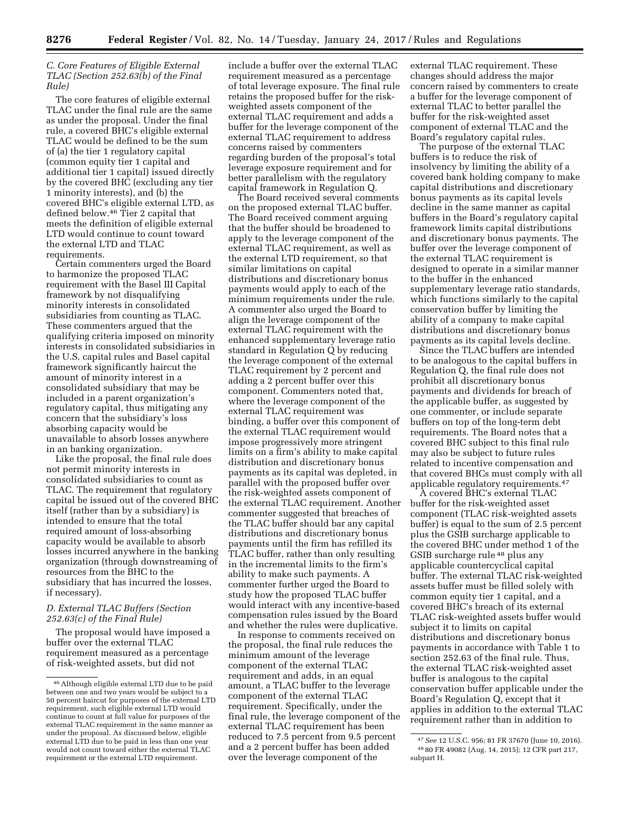## *C. Core Features of Eligible External TLAC (Section 252.63(b) of the Final Rule)*

The core features of eligible external TLAC under the final rule are the same as under the proposal. Under the final rule, a covered BHC's eligible external TLAC would be defined to be the sum of (a) the tier 1 regulatory capital (common equity tier 1 capital and additional tier 1 capital) issued directly by the covered BHC (excluding any tier 1 minority interests), and (b) the covered BHC's eligible external LTD, as defined below.46 Tier 2 capital that meets the definition of eligible external LTD would continue to count toward the external LTD and TLAC requirements.

Certain commenters urged the Board to harmonize the proposed TLAC requirement with the Basel III Capital framework by not disqualifying minority interests in consolidated subsidiaries from counting as TLAC. These commenters argued that the qualifying criteria imposed on minority interests in consolidated subsidiaries in the U.S. capital rules and Basel capital framework significantly haircut the amount of minority interest in a consolidated subsidiary that may be included in a parent organization's regulatory capital, thus mitigating any concern that the subsidiary's loss absorbing capacity would be unavailable to absorb losses anywhere in an banking organization.

Like the proposal, the final rule does not permit minority interests in consolidated subsidiaries to count as TLAC. The requirement that regulatory capital be issued out of the covered BHC itself (rather than by a subsidiary) is intended to ensure that the total required amount of loss-absorbing capacity would be available to absorb losses incurred anywhere in the banking organization (through downstreaming of resources from the BHC to the subsidiary that has incurred the losses, if necessary).

## *D. External TLAC Buffers (Section 252.63(c) of the Final Rule)*

The proposal would have imposed a buffer over the external TLAC requirement measured as a percentage of risk-weighted assets, but did not

include a buffer over the external TLAC requirement measured as a percentage of total leverage exposure. The final rule retains the proposed buffer for the riskweighted assets component of the external TLAC requirement and adds a buffer for the leverage component of the external TLAC requirement to address concerns raised by commenters regarding burden of the proposal's total leverage exposure requirement and for better parallelism with the regulatory capital framework in Regulation Q.

The Board received several comments on the proposed external TLAC buffer. The Board received comment arguing that the buffer should be broadened to apply to the leverage component of the external TLAC requirement, as well as the external LTD requirement, so that similar limitations on capital distributions and discretionary bonus payments would apply to each of the minimum requirements under the rule. A commenter also urged the Board to align the leverage component of the external TLAC requirement with the enhanced supplementary leverage ratio standard in Regulation Q by reducing the leverage component of the external TLAC requirement by 2 percent and adding a 2 percent buffer over this component. Commenters noted that, where the leverage component of the external TLAC requirement was binding, a buffer over this component of the external TLAC requirement would impose progressively more stringent limits on a firm's ability to make capital distribution and discretionary bonus payments as its capital was depleted, in parallel with the proposed buffer over the risk-weighted assets component of the external TLAC requirement. Another commenter suggested that breaches of the TLAC buffer should bar any capital distributions and discretionary bonus payments until the firm has refilled its TLAC buffer, rather than only resulting in the incremental limits to the firm's ability to make such payments. A commenter further urged the Board to study how the proposed TLAC buffer would interact with any incentive-based compensation rules issued by the Board and whether the rules were duplicative.

In response to comments received on the proposal, the final rule reduces the minimum amount of the leverage component of the external TLAC requirement and adds, in an equal amount, a TLAC buffer to the leverage component of the external TLAC requirement. Specifically, under the final rule, the leverage component of the external TLAC requirement has been reduced to 7.5 percent from 9.5 percent and a 2 percent buffer has been added over the leverage component of the

external TLAC requirement. These changes should address the major concern raised by commenters to create a buffer for the leverage component of external TLAC to better parallel the buffer for the risk-weighted asset component of external TLAC and the Board's regulatory capital rules.

The purpose of the external TLAC buffers is to reduce the risk of insolvency by limiting the ability of a covered bank holding company to make capital distributions and discretionary bonus payments as its capital levels decline in the same manner as capital buffers in the Board's regulatory capital framework limits capital distributions and discretionary bonus payments. The buffer over the leverage component of the external TLAC requirement is designed to operate in a similar manner to the buffer in the enhanced supplementary leverage ratio standards, which functions similarly to the capital conservation buffer by limiting the ability of a company to make capital distributions and discretionary bonus payments as its capital levels decline.

Since the TLAC buffers are intended to be analogous to the capital buffers in Regulation Q, the final rule does not prohibit all discretionary bonus payments and dividends for breach of the applicable buffer, as suggested by one commenter, or include separate buffers on top of the long-term debt requirements. The Board notes that a covered BHC subject to this final rule may also be subject to future rules related to incentive compensation and that covered BHCs must comply with all applicable regulatory requirements.<sup>47</sup>

A covered BHC's external TLAC buffer for the risk-weighted asset component (TLAC risk-weighted assets buffer) is equal to the sum of 2.5 percent plus the GSIB surcharge applicable to the covered BHC under method 1 of the GSIB surcharge rule 48 plus any applicable countercyclical capital buffer. The external TLAC risk-weighted assets buffer must be filled solely with common equity tier 1 capital, and a covered BHC's breach of its external TLAC risk-weighted assets buffer would subject it to limits on capital distributions and discretionary bonus payments in accordance with Table 1 to section 252.63 of the final rule. Thus, the external TLAC risk-weighted asset buffer is analogous to the capital conservation buffer applicable under the Board's Regulation Q, except that it applies in addition to the external TLAC requirement rather than in addition to

<sup>46</sup>Although eligible external LTD due to be paid between one and two years would be subject to a 50 percent haircut for purposes of the external LTD requirement, such eligible external LTD would continue to count at full value for purposes of the external TLAC requirement in the same manner as under the proposal. As discussed below, eligible external LTD due to be paid in less than one year would not count toward either the external TLAC requirement or the external LTD requirement.

<sup>47</sup>*See* 12 U.S.C. 956; 81 FR 37670 (June 10, 2016). 48 80 FR 49082 (Aug. 14, 2015); 12 CFR part 217, subpart H.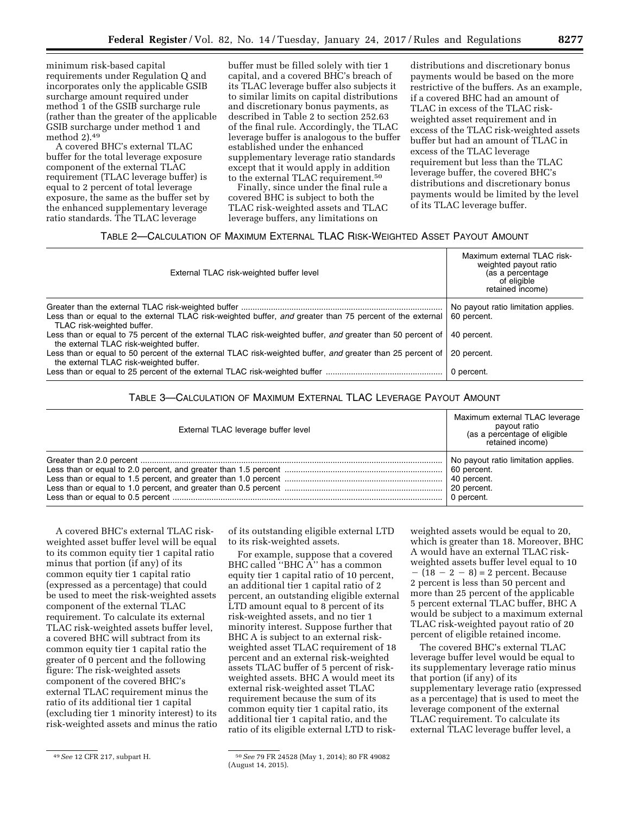minimum risk-based capital requirements under Regulation Q and incorporates only the applicable GSIB surcharge amount required under method 1 of the GSIB surcharge rule (rather than the greater of the applicable GSIB surcharge under method 1 and method 2).49

A covered BHC's external TLAC buffer for the total leverage exposure component of the external TLAC requirement (TLAC leverage buffer) is equal to 2 percent of total leverage exposure, the same as the buffer set by the enhanced supplementary leverage ratio standards. The TLAC leverage

buffer must be filled solely with tier 1 capital, and a covered BHC's breach of its TLAC leverage buffer also subjects it to similar limits on capital distributions and discretionary bonus payments, as described in Table 2 to section 252.63 of the final rule. Accordingly, the TLAC leverage buffer is analogous to the buffer established under the enhanced supplementary leverage ratio standards except that it would apply in addition to the external TLAC requirement.50

Finally, since under the final rule a covered BHC is subject to both the TLAC risk-weighted assets and TLAC leverage buffers, any limitations on

distributions and discretionary bonus payments would be based on the more restrictive of the buffers. As an example, if a covered BHC had an amount of TLAC in excess of the TLAC riskweighted asset requirement and in excess of the TLAC risk-weighted assets buffer but had an amount of TLAC in excess of the TLAC leverage requirement but less than the TLAC leverage buffer, the covered BHC's distributions and discretionary bonus payments would be limited by the level of its TLAC leverage buffer.

## TABLE 2—CALCULATION OF MAXIMUM EXTERNAL TLAC RISK-WEIGHTED ASSET PAYOUT AMOUNT

| External TLAC risk-weighted buffer level                                                                                                                                            | Maximum external TLAC risk-<br>weighted payout ratio<br>(as a percentage)<br>of eligible<br>retained income) |
|-------------------------------------------------------------------------------------------------------------------------------------------------------------------------------------|--------------------------------------------------------------------------------------------------------------|
| Less than or equal to the external TLAC risk-weighted buffer, and greater than 75 percent of the external                                                                           | No payout ratio limitation applies.<br>60 percent.                                                           |
| TLAC risk-weighted buffer.<br>Less than or equal to 75 percent of the external TLAC risk-weighted buffer, and greater than 50 percent of<br>the external TLAC risk-weighted buffer. | 40 percent.                                                                                                  |
| Less than or equal to 50 percent of the external TLAC risk-weighted buffer, and greater than 25 percent of<br>the external TLAC risk-weighted buffer.                               | 20 percent.                                                                                                  |
|                                                                                                                                                                                     | 0 percent.                                                                                                   |

# TABLE 3—CALCULATION OF MAXIMUM EXTERNAL TLAC LEVERAGE PAYOUT AMOUNT

| External TLAC leverage buffer level | Maximum external TLAC leverage<br>payout ratio<br>(as a percentage of eligible<br>retained income) |
|-------------------------------------|----------------------------------------------------------------------------------------------------|
|                                     | No payout ratio limitation applies.                                                                |
|                                     |                                                                                                    |
|                                     | 0 percent.                                                                                         |

A covered BHC's external TLAC riskweighted asset buffer level will be equal to its common equity tier 1 capital ratio minus that portion (if any) of its common equity tier 1 capital ratio (expressed as a percentage) that could be used to meet the risk-weighted assets component of the external TLAC requirement. To calculate its external TLAC risk-weighted assets buffer level, a covered BHC will subtract from its common equity tier 1 capital ratio the greater of 0 percent and the following figure: The risk-weighted assets component of the covered BHC's external TLAC requirement minus the ratio of its additional tier 1 capital (excluding tier 1 minority interest) to its risk-weighted assets and minus the ratio

of its outstanding eligible external LTD to its risk-weighted assets.

For example, suppose that a covered BHC called ''BHC A'' has a common equity tier 1 capital ratio of 10 percent, an additional tier 1 capital ratio of 2 percent, an outstanding eligible external LTD amount equal to 8 percent of its risk-weighted assets, and no tier 1 minority interest. Suppose further that BHC A is subject to an external riskweighted asset TLAC requirement of 18 percent and an external risk-weighted assets TLAC buffer of 5 percent of riskweighted assets. BHC A would meet its external risk-weighted asset TLAC requirement because the sum of its common equity tier 1 capital ratio, its additional tier 1 capital ratio, and the ratio of its eligible external LTD to risk-

weighted assets would be equal to 20, which is greater than 18. Moreover, BHC A would have an external TLAC riskweighted assets buffer level equal to 10  $-(18 - 2 - 8) = 2$  percent. Because 2 percent is less than 50 percent and more than 25 percent of the applicable 5 percent external TLAC buffer, BHC A would be subject to a maximum external TLAC risk-weighted payout ratio of 20 percent of eligible retained income.

The covered BHC's external TLAC leverage buffer level would be equal to its supplementary leverage ratio minus that portion (if any) of its supplementary leverage ratio (expressed as a percentage) that is used to meet the leverage component of the external TLAC requirement. To calculate its external TLAC leverage buffer level, a

<sup>49</sup>*See* 12 CFR 217, subpart H. 50*See* 79 FR 24528 (May 1, 2014); 80 FR 49082 (August 14, 2015).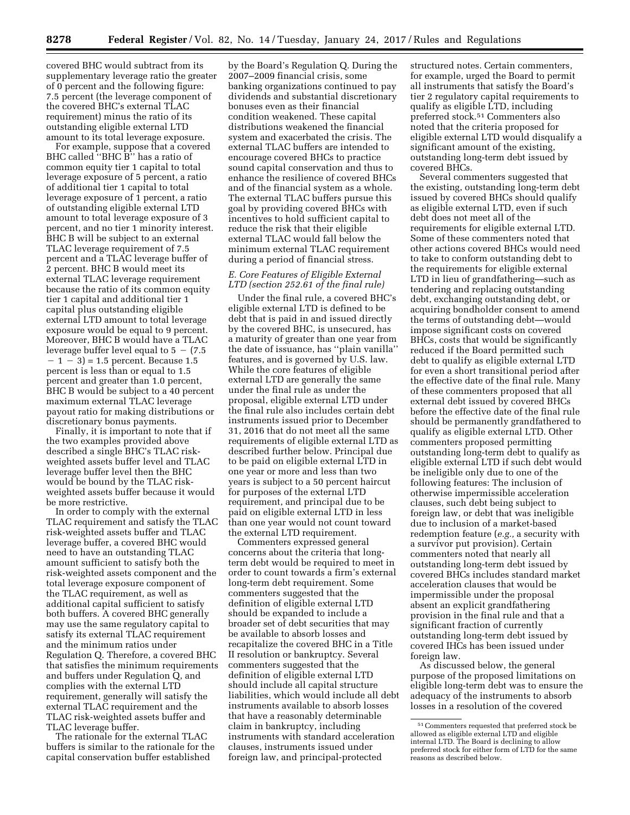covered BHC would subtract from its supplementary leverage ratio the greater of 0 percent and the following figure: 7.5 percent (the leverage component of the covered BHC's external TLAC requirement) minus the ratio of its outstanding eligible external LTD amount to its total leverage exposure.

For example, suppose that a covered BHC called ''BHC B'' has a ratio of common equity tier 1 capital to total leverage exposure of 5 percent, a ratio of additional tier 1 capital to total leverage exposure of 1 percent, a ratio of outstanding eligible external LTD amount to total leverage exposure of 3 percent, and no tier 1 minority interest. BHC B will be subject to an external TLAC leverage requirement of 7.5 percent and a TLAC leverage buffer of 2 percent. BHC B would meet its external TLAC leverage requirement because the ratio of its common equity tier 1 capital and additional tier 1 capital plus outstanding eligible external LTD amount to total leverage exposure would be equal to 9 percent. Moreover, BHC B would have a TLAC leverage buffer level equal to  $5 - (7.5)$  $-1 - 3 = 1.5$  percent. Because 1.5 percent is less than or equal to 1.5 percent and greater than 1.0 percent, BHC B would be subject to a 40 percent maximum external TLAC leverage payout ratio for making distributions or discretionary bonus payments.

Finally, it is important to note that if the two examples provided above described a single BHC's TLAC riskweighted assets buffer level and TLAC leverage buffer level then the BHC would be bound by the TLAC riskweighted assets buffer because it would be more restrictive.

In order to comply with the external TLAC requirement and satisfy the TLAC risk-weighted assets buffer and TLAC leverage buffer, a covered BHC would need to have an outstanding TLAC amount sufficient to satisfy both the risk-weighted assets component and the total leverage exposure component of the TLAC requirement, as well as additional capital sufficient to satisfy both buffers. A covered BHC generally may use the same regulatory capital to satisfy its external TLAC requirement and the minimum ratios under Regulation Q. Therefore, a covered BHC that satisfies the minimum requirements and buffers under Regulation Q, and complies with the external LTD requirement, generally will satisfy the external TLAC requirement and the TLAC risk-weighted assets buffer and TLAC leverage buffer.

The rationale for the external TLAC buffers is similar to the rationale for the capital conservation buffer established

by the Board's Regulation Q. During the 2007–2009 financial crisis, some banking organizations continued to pay dividends and substantial discretionary bonuses even as their financial condition weakened. These capital distributions weakened the financial system and exacerbated the crisis. The external TLAC buffers are intended to encourage covered BHCs to practice sound capital conservation and thus to enhance the resilience of covered BHCs and of the financial system as a whole. The external TLAC buffers pursue this goal by providing covered BHCs with incentives to hold sufficient capital to reduce the risk that their eligible external TLAC would fall below the minimum external TLAC requirement during a period of financial stress.

## *E. Core Features of Eligible External LTD (section 252.61 of the final rule)*

Under the final rule, a covered BHC's eligible external LTD is defined to be debt that is paid in and issued directly by the covered BHC, is unsecured, has a maturity of greater than one year from the date of issuance, has ''plain vanilla'' features, and is governed by U.S. law. While the core features of eligible external LTD are generally the same under the final rule as under the proposal, eligible external LTD under the final rule also includes certain debt instruments issued prior to December 31, 2016 that do not meet all the same requirements of eligible external LTD as described further below. Principal due to be paid on eligible external LTD in one year or more and less than two years is subject to a 50 percent haircut for purposes of the external LTD requirement, and principal due to be paid on eligible external LTD in less than one year would not count toward the external LTD requirement.

Commenters expressed general concerns about the criteria that longterm debt would be required to meet in order to count towards a firm's external long-term debt requirement. Some commenters suggested that the definition of eligible external LTD should be expanded to include a broader set of debt securities that may be available to absorb losses and recapitalize the covered BHC in a Title II resolution or bankruptcy. Several commenters suggested that the definition of eligible external LTD should include all capital structure liabilities, which would include all debt instruments available to absorb losses that have a reasonably determinable claim in bankruptcy, including instruments with standard acceleration clauses, instruments issued under foreign law, and principal-protected

structured notes. Certain commenters, for example, urged the Board to permit all instruments that satisfy the Board's tier 2 regulatory capital requirements to qualify as eligible LTD, including preferred stock.51 Commenters also noted that the criteria proposed for eligible external LTD would disqualify a significant amount of the existing, outstanding long-term debt issued by covered BHCs.

Several commenters suggested that the existing, outstanding long-term debt issued by covered BHCs should qualify as eligible external LTD, even if such debt does not meet all of the requirements for eligible external LTD. Some of these commenters noted that other actions covered BHCs would need to take to conform outstanding debt to the requirements for eligible external LTD in lieu of grandfathering—such as tendering and replacing outstanding debt, exchanging outstanding debt, or acquiring bondholder consent to amend the terms of outstanding debt—would impose significant costs on covered BHCs, costs that would be significantly reduced if the Board permitted such debt to qualify as eligible external LTD for even a short transitional period after the effective date of the final rule. Many of these commenters proposed that all external debt issued by covered BHCs before the effective date of the final rule should be permanently grandfathered to qualify as eligible external LTD. Other commenters proposed permitting outstanding long-term debt to qualify as eligible external LTD if such debt would be ineligible only due to one of the following features: The inclusion of otherwise impermissible acceleration clauses, such debt being subject to foreign law, or debt that was ineligible due to inclusion of a market-based redemption feature (*e.g.,* a security with a survivor put provision). Certain commenters noted that nearly all outstanding long-term debt issued by covered BHCs includes standard market acceleration clauses that would be impermissible under the proposal absent an explicit grandfathering provision in the final rule and that a significant fraction of currently outstanding long-term debt issued by covered IHCs has been issued under foreign law.

As discussed below, the general purpose of the proposed limitations on eligible long-term debt was to ensure the adequacy of the instruments to absorb losses in a resolution of the covered

<sup>51</sup>Commenters requested that preferred stock be allowed as eligible external LTD and eligible internal LTD. The Board is declining to allow preferred stock for either form of LTD for the same reasons as described below.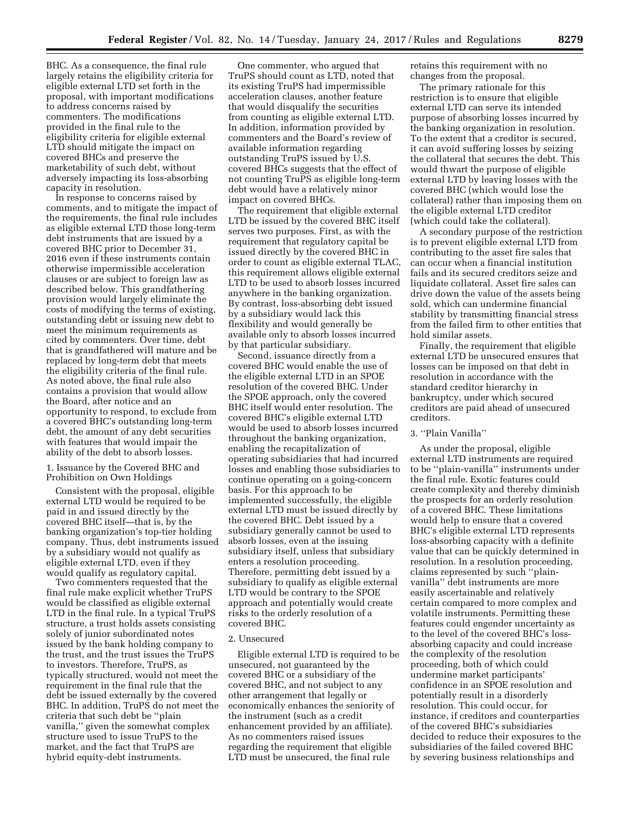BHC. As a consequence, the final rule largely retains the eligibility criteria for eligible external LTD set forth in the proposal, with important modifications to address concerns raised by commenters. The modifications provided in the final rule to the eligibility criteria for eligible external LTD should mitigate the impact on covered BHCs and preserve the marketability of such debt, without adversely impacting its loss-absorbing capacity in resolution.

In response to concerns raised by comments, and to mitigate the impact of the requirements, the final rule includes as eligible external LTD those long-term debt instruments that are issued by a covered BHC prior to December 31, 2016 even if these instruments contain otherwise impermissible acceleration clauses or are subject to foreign law as described below. This grandfathering provision would largely eliminate the costs of modifying the terms of existing, outstanding debt or issuing new debt to meet the minimum requirements as cited by commenters. Over time, debt that is grandfathered will mature and be replaced by long-term debt that meets the eligibility criteria of the final rule. As noted above, the final rule also contains a provision that would allow the Board, after notice and an opportunity to respond, to exclude from a covered BHC's outstanding long-term debt, the amount of any debt securities with features that would impair the ability of the debt to absorb losses.

1. Issuance by the Covered BHC and Prohibition on Own Holdings

Consistent with the proposal, eligible external LTD would be required to be paid in and issued directly by the covered BHC itself—that is, by the banking organization's top-tier holding company. Thus, debt instruments issued by a subsidiary would not qualify as eligible external LTD, even if they would qualify as regulatory capital.

Two commenters requested that the final rule make explicit whether TruPS would be classified as eligible external LTD in the final rule. In a typical TruPS structure, a trust holds assets consisting solely of junior subordinated notes issued by the bank holding company to the trust, and the trust issues the TruPS to investors. Therefore, TruPS, as typically structured, would not meet the requirement in the final rule that the debt be issued externally by the covered BHC. In addition, TruPS do not meet the criteria that such debt be ''plain vanilla,'' given the somewhat complex structure used to issue TruPS to the market, and the fact that TruPS are hybrid equity-debt instruments.

One commenter, who argued that TruPS should count as LTD, noted that its existing TruPS had impermissible acceleration clauses, another feature that would disqualify the securities from counting as eligible external LTD. In addition, information provided by commenters and the Board's review of available information regarding outstanding TruPS issued by U.S. covered BHCs suggests that the effect of not counting TruPS as eligible long-term debt would have a relatively minor impact on covered BHCs.

The requirement that eligible external LTD be issued by the covered BHC itself serves two purposes. First, as with the requirement that regulatory capital be issued directly by the covered BHC in order to count as eligible external TLAC, this requirement allows eligible external LTD to be used to absorb losses incurred anywhere in the banking organization. By contrast, loss-absorbing debt issued by a subsidiary would lack this flexibility and would generally be available only to absorb losses incurred by that particular subsidiary.

Second, issuance directly from a covered BHC would enable the use of the eligible external LTD in an SPOE resolution of the covered BHC. Under the SPOE approach, only the covered BHC itself would enter resolution. The covered BHC's eligible external LTD would be used to absorb losses incurred throughout the banking organization, enabling the recapitalization of operating subsidiaries that had incurred losses and enabling those subsidiaries to continue operating on a going-concern basis. For this approach to be implemented successfully, the eligible external LTD must be issued directly by the covered BHC. Debt issued by a subsidiary generally cannot be used to absorb losses, even at the issuing subsidiary itself, unless that subsidiary enters a resolution proceeding. Therefore, permitting debt issued by a subsidiary to qualify as eligible external LTD would be contrary to the SPOE approach and potentially would create risks to the orderly resolution of a covered BHC.

## 2. Unsecured

Eligible external LTD is required to be unsecured, not guaranteed by the covered BHC or a subsidiary of the covered BHC, and not subject to any other arrangement that legally or economically enhances the seniority of the instrument (such as a credit enhancement provided by an affiliate). As no commenters raised issues regarding the requirement that eligible LTD must be unsecured, the final rule

retains this requirement with no changes from the proposal.

The primary rationale for this restriction is to ensure that eligible external LTD can serve its intended purpose of absorbing losses incurred by the banking organization in resolution. To the extent that a creditor is secured, it can avoid suffering losses by seizing the collateral that secures the debt. This would thwart the purpose of eligible external LTD by leaving losses with the covered BHC (which would lose the collateral) rather than imposing them on the eligible external LTD creditor (which could take the collateral).

A secondary purpose of the restriction is to prevent eligible external LTD from contributing to the asset fire sales that can occur when a financial institution fails and its secured creditors seize and liquidate collateral. Asset fire sales can drive down the value of the assets being sold, which can undermine financial stability by transmitting financial stress from the failed firm to other entities that hold similar assets.

Finally, the requirement that eligible external LTD be unsecured ensures that losses can be imposed on that debt in resolution in accordance with the standard creditor hierarchy in bankruptcy, under which secured creditors are paid ahead of unsecured creditors.

## 3. ''Plain Vanilla''

As under the proposal, eligible external LTD instruments are required to be ''plain-vanilla'' instruments under the final rule. Exotic features could create complexity and thereby diminish the prospects for an orderly resolution of a covered BHC. These limitations would help to ensure that a covered BHC's eligible external LTD represents loss-absorbing capacity with a definite value that can be quickly determined in resolution. In a resolution proceeding, claims represented by such ''plainvanilla'' debt instruments are more easily ascertainable and relatively certain compared to more complex and volatile instruments. Permitting these features could engender uncertainty as to the level of the covered BHC's lossabsorbing capacity and could increase the complexity of the resolution proceeding, both of which could undermine market participants' confidence in an SPOE resolution and potentially result in a disorderly resolution. This could occur, for instance, if creditors and counterparties of the covered BHC's subsidiaries decided to reduce their exposures to the subsidiaries of the failed covered BHC by severing business relationships and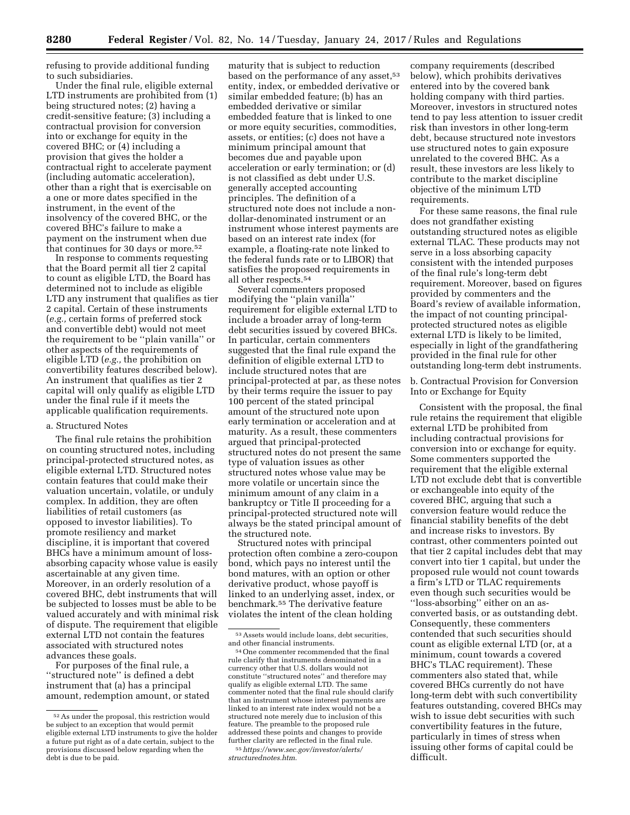refusing to provide additional funding to such subsidiaries.

Under the final rule, eligible external LTD instruments are prohibited from (1) being structured notes; (2) having a credit-sensitive feature; (3) including a contractual provision for conversion into or exchange for equity in the covered BHC; or (4) including a provision that gives the holder a contractual right to accelerate payment (including automatic acceleration), other than a right that is exercisable on a one or more dates specified in the instrument, in the event of the insolvency of the covered BHC, or the covered BHC's failure to make a payment on the instrument when due that continues for 30 days or more.<sup>52</sup>

In response to comments requesting that the Board permit all tier 2 capital to count as eligible LTD, the Board has determined not to include as eligible LTD any instrument that qualifies as tier 2 capital. Certain of these instruments (*e.g.,* certain forms of preferred stock and convertible debt) would not meet the requirement to be ''plain vanilla'' or other aspects of the requirements of eligible LTD (*e.g.,* the prohibition on convertibility features described below). An instrument that qualifies as tier 2 capital will only qualify as eligible LTD under the final rule if it meets the applicable qualification requirements.

## a. Structured Notes

The final rule retains the prohibition on counting structured notes, including principal-protected structured notes, as eligible external LTD. Structured notes contain features that could make their valuation uncertain, volatile, or unduly complex. In addition, they are often liabilities of retail customers (as opposed to investor liabilities). To promote resiliency and market discipline, it is important that covered BHCs have a minimum amount of lossabsorbing capacity whose value is easily ascertainable at any given time. Moreover, in an orderly resolution of a covered BHC, debt instruments that will be subjected to losses must be able to be valued accurately and with minimal risk of dispute. The requirement that eligible external LTD not contain the features associated with structured notes advances these goals.

For purposes of the final rule, a ''structured note'' is defined a debt instrument that (a) has a principal amount, redemption amount, or stated

maturity that is subject to reduction based on the performance of any asset,<sup>53</sup> entity, index, or embedded derivative or similar embedded feature; (b) has an embedded derivative or similar embedded feature that is linked to one or more equity securities, commodities, assets, or entities; (c) does not have a minimum principal amount that becomes due and payable upon acceleration or early termination; or (d) is not classified as debt under U.S. generally accepted accounting principles. The definition of a structured note does not include a nondollar-denominated instrument or an instrument whose interest payments are based on an interest rate index (for example, a floating-rate note linked to the federal funds rate or to LIBOR) that satisfies the proposed requirements in all other respects.54

Several commenters proposed modifying the ''plain vanilla'' requirement for eligible external LTD to include a broader array of long-term debt securities issued by covered BHCs. In particular, certain commenters suggested that the final rule expand the definition of eligible external LTD to include structured notes that are principal-protected at par, as these notes by their terms require the issuer to pay 100 percent of the stated principal amount of the structured note upon early termination or acceleration and at maturity. As a result, these commenters argued that principal-protected structured notes do not present the same type of valuation issues as other structured notes whose value may be more volatile or uncertain since the minimum amount of any claim in a bankruptcy or Title II proceeding for a principal-protected structured note will always be the stated principal amount of the structured note.

Structured notes with principal protection often combine a zero-coupon bond, which pays no interest until the bond matures, with an option or other derivative product, whose payoff is linked to an underlying asset, index, or benchmark.55 The derivative feature violates the intent of the clean holding

company requirements (described below), which prohibits derivatives entered into by the covered bank holding company with third parties. Moreover, investors in structured notes tend to pay less attention to issuer credit risk than investors in other long-term debt, because structured note investors use structured notes to gain exposure unrelated to the covered BHC. As a result, these investors are less likely to contribute to the market discipline objective of the minimum LTD requirements.

For these same reasons, the final rule does not grandfather existing outstanding structured notes as eligible external TLAC. These products may not serve in a loss absorbing capacity consistent with the intended purposes of the final rule's long-term debt requirement. Moreover, based on figures provided by commenters and the Board's review of available information, the impact of not counting principalprotected structured notes as eligible external LTD is likely to be limited, especially in light of the grandfathering provided in the final rule for other outstanding long-term debt instruments.

b. Contractual Provision for Conversion Into or Exchange for Equity

Consistent with the proposal, the final rule retains the requirement that eligible external LTD be prohibited from including contractual provisions for conversion into or exchange for equity. Some commenters supported the requirement that the eligible external LTD not exclude debt that is convertible or exchangeable into equity of the covered BHC, arguing that such a conversion feature would reduce the financial stability benefits of the debt and increase risks to investors. By contrast, other commenters pointed out that tier 2 capital includes debt that may convert into tier 1 capital, but under the proposed rule would not count towards a firm's LTD or TLAC requirements even though such securities would be ''loss-absorbing'' either on an asconverted basis, or as outstanding debt. Consequently, these commenters contended that such securities should count as eligible external LTD (or, at a minimum, count towards a covered BHC's TLAC requirement). These commenters also stated that, while covered BHCs currently do not have long-term debt with such convertibility features outstanding, covered BHCs may wish to issue debt securities with such convertibility features in the future, particularly in times of stress when issuing other forms of capital could be difficult.

<sup>52</sup>As under the proposal, this restriction would be subject to an exception that would permit eligible external LTD instruments to give the holder a future put right as of a date certain, subject to the provisions discussed below regarding when the debt is due to be paid.

 $\,$   $\,$  53 Assets would include loans, debt securities, and other financial instruments.

<sup>54</sup> One commenter recommended that the final rule clarify that instruments denominated in a currency other that U.S. dollars would not constitute ''structured notes'' and therefore may qualify as eligible external LTD. The same commenter noted that the final rule should clarify that an instrument whose interest payments are linked to an interest rate index would not be a structured note merely due to inclusion of this feature. The preamble to the proposed rule addressed these points and changes to provide further clarity are reflected in the final rule. 55*[https://www.sec.gov/investor/alerts/](https://www.sec.gov/investor/alerts/structurednotes.htm)* 

*[structurednotes.htm](https://www.sec.gov/investor/alerts/structurednotes.htm)*.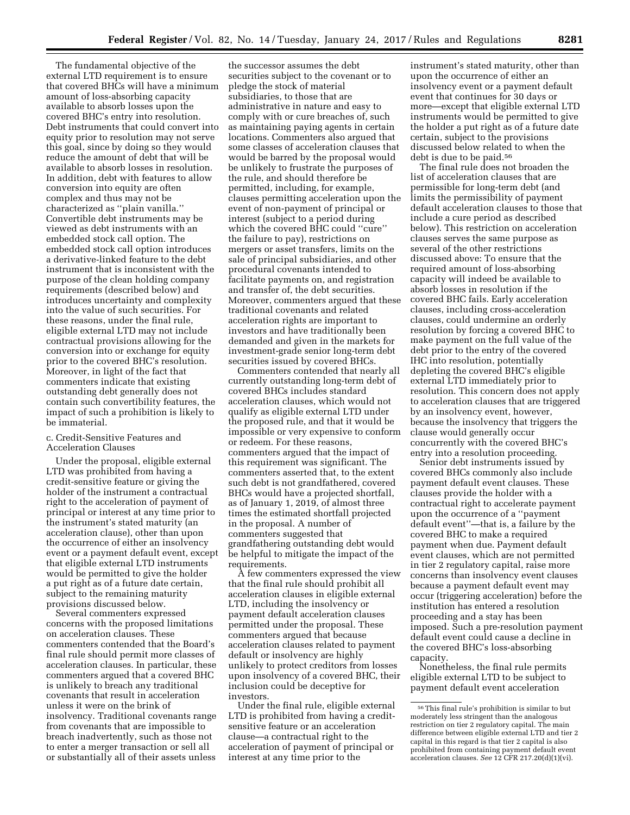The fundamental objective of the external LTD requirement is to ensure that covered BHCs will have a minimum amount of loss-absorbing capacity available to absorb losses upon the covered BHC's entry into resolution. Debt instruments that could convert into equity prior to resolution may not serve this goal, since by doing so they would reduce the amount of debt that will be available to absorb losses in resolution. In addition, debt with features to allow conversion into equity are often complex and thus may not be characterized as ''plain vanilla.'' Convertible debt instruments may be viewed as debt instruments with an embedded stock call option. The embedded stock call option introduces a derivative-linked feature to the debt instrument that is inconsistent with the purpose of the clean holding company requirements (described below) and introduces uncertainty and complexity into the value of such securities. For these reasons, under the final rule, eligible external LTD may not include contractual provisions allowing for the conversion into or exchange for equity prior to the covered BHC's resolution. Moreover, in light of the fact that commenters indicate that existing outstanding debt generally does not contain such convertibility features, the impact of such a prohibition is likely to be immaterial.

## c. Credit-Sensitive Features and Acceleration Clauses

Under the proposal, eligible external LTD was prohibited from having a credit-sensitive feature or giving the holder of the instrument a contractual right to the acceleration of payment of principal or interest at any time prior to the instrument's stated maturity (an acceleration clause), other than upon the occurrence of either an insolvency event or a payment default event, except that eligible external LTD instruments would be permitted to give the holder a put right as of a future date certain, subject to the remaining maturity provisions discussed below.

Several commenters expressed concerns with the proposed limitations on acceleration clauses. These commenters contended that the Board's final rule should permit more classes of acceleration clauses. In particular, these commenters argued that a covered BHC is unlikely to breach any traditional covenants that result in acceleration unless it were on the brink of insolvency. Traditional covenants range from covenants that are impossible to breach inadvertently, such as those not to enter a merger transaction or sell all or substantially all of their assets unless

the successor assumes the debt securities subject to the covenant or to pledge the stock of material subsidiaries, to those that are administrative in nature and easy to comply with or cure breaches of, such as maintaining paying agents in certain locations. Commenters also argued that some classes of acceleration clauses that would be barred by the proposal would be unlikely to frustrate the purposes of the rule, and should therefore be permitted, including, for example, clauses permitting acceleration upon the event of non-payment of principal or interest (subject to a period during which the covered BHC could ''cure'' the failure to pay), restrictions on mergers or asset transfers, limits on the sale of principal subsidiaries, and other procedural covenants intended to facilitate payments on, and registration and transfer of, the debt securities. Moreover, commenters argued that these traditional covenants and related acceleration rights are important to investors and have traditionally been demanded and given in the markets for investment-grade senior long-term debt securities issued by covered BHCs.

Commenters contended that nearly all currently outstanding long-term debt of covered BHCs includes standard acceleration clauses, which would not qualify as eligible external LTD under the proposed rule, and that it would be impossible or very expensive to conform or redeem. For these reasons, commenters argued that the impact of this requirement was significant. The commenters asserted that, to the extent such debt is not grandfathered, covered BHCs would have a projected shortfall, as of January 1, 2019, of almost three times the estimated shortfall projected in the proposal. A number of commenters suggested that grandfathering outstanding debt would be helpful to mitigate the impact of the requirements.

A few commenters expressed the view that the final rule should prohibit all acceleration clauses in eligible external LTD, including the insolvency or payment default acceleration clauses permitted under the proposal. These commenters argued that because acceleration clauses related to payment default or insolvency are highly unlikely to protect creditors from losses upon insolvency of a covered BHC, their inclusion could be deceptive for investors.

Under the final rule, eligible external LTD is prohibited from having a creditsensitive feature or an acceleration clause—a contractual right to the acceleration of payment of principal or interest at any time prior to the

instrument's stated maturity, other than upon the occurrence of either an insolvency event or a payment default event that continues for 30 days or more—except that eligible external LTD instruments would be permitted to give the holder a put right as of a future date certain, subject to the provisions discussed below related to when the debt is due to be paid.<sup>56</sup>

The final rule does not broaden the list of acceleration clauses that are permissible for long-term debt (and limits the permissibility of payment default acceleration clauses to those that include a cure period as described below). This restriction on acceleration clauses serves the same purpose as several of the other restrictions discussed above: To ensure that the required amount of loss-absorbing capacity will indeed be available to absorb losses in resolution if the covered BHC fails. Early acceleration clauses, including cross-acceleration clauses, could undermine an orderly resolution by forcing a covered BHC to make payment on the full value of the debt prior to the entry of the covered IHC into resolution, potentially depleting the covered BHC's eligible external LTD immediately prior to resolution. This concern does not apply to acceleration clauses that are triggered by an insolvency event, however, because the insolvency that triggers the clause would generally occur concurrently with the covered BHC's entry into a resolution proceeding.

Senior debt instruments issued by covered BHCs commonly also include payment default event clauses. These clauses provide the holder with a contractual right to accelerate payment upon the occurrence of a ''payment default event''—that is, a failure by the covered BHC to make a required payment when due. Payment default event clauses, which are not permitted in tier 2 regulatory capital, raise more concerns than insolvency event clauses because a payment default event may occur (triggering acceleration) before the institution has entered a resolution proceeding and a stay has been imposed. Such a pre-resolution payment default event could cause a decline in the covered BHC's loss-absorbing capacity.

Nonetheless, the final rule permits eligible external LTD to be subject to payment default event acceleration

<sup>56</sup>This final rule's prohibition is similar to but moderately less stringent than the analogous restriction on tier 2 regulatory capital. The main difference between eligible external LTD and tier 2 capital in this regard is that tier 2 capital is also prohibited from containing payment default event acceleration clauses. *See* 12 CFR 217.20(d)(1)(vi).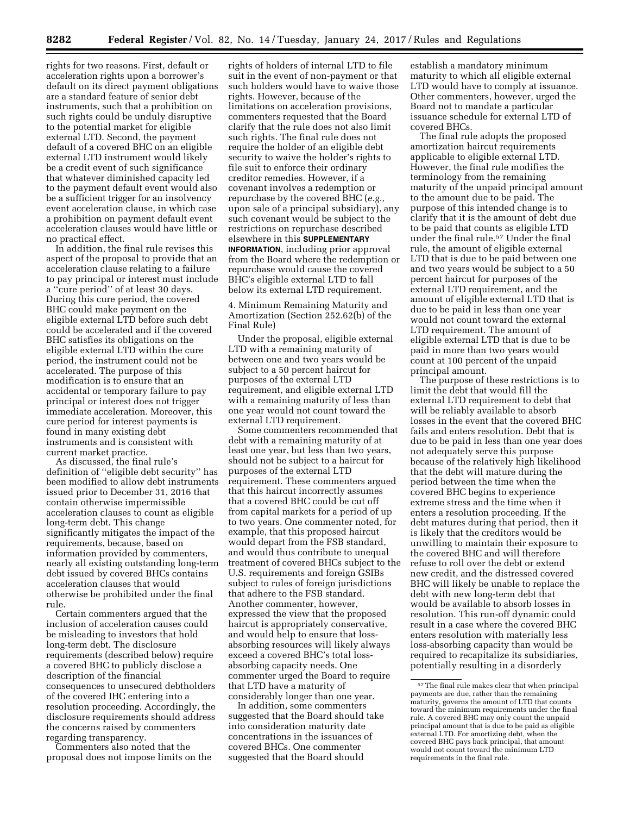rights for two reasons. First, default or acceleration rights upon a borrower's default on its direct payment obligations are a standard feature of senior debt instruments, such that a prohibition on such rights could be unduly disruptive to the potential market for eligible external LTD. Second, the payment default of a covered BHC on an eligible external LTD instrument would likely be a credit event of such significance that whatever diminished capacity led to the payment default event would also be a sufficient trigger for an insolvency event acceleration clause, in which case a prohibition on payment default event acceleration clauses would have little or no practical effect.

In addition, the final rule revises this aspect of the proposal to provide that an acceleration clause relating to a failure to pay principal or interest must include a ''cure period'' of at least 30 days. During this cure period, the covered BHC could make payment on the eligible external LTD before such debt could be accelerated and if the covered BHC satisfies its obligations on the eligible external LTD within the cure period, the instrument could not be accelerated. The purpose of this modification is to ensure that an accidental or temporary failure to pay principal or interest does not trigger immediate acceleration. Moreover, this cure period for interest payments is found in many existing debt instruments and is consistent with current market practice.

As discussed, the final rule's definition of ''eligible debt security'' has been modified to allow debt instruments issued prior to December 31, 2016 that contain otherwise impermissible acceleration clauses to count as eligible long-term debt. This change significantly mitigates the impact of the requirements, because, based on information provided by commenters, nearly all existing outstanding long-term debt issued by covered BHCs contains acceleration clauses that would otherwise be prohibited under the final rule.

Certain commenters argued that the inclusion of acceleration causes could be misleading to investors that hold long-term debt. The disclosure requirements (described below) require a covered BHC to publicly disclose a description of the financial consequences to unsecured debtholders of the covered IHC entering into a resolution proceeding. Accordingly, the disclosure requirements should address the concerns raised by commenters regarding transparency.

Commenters also noted that the proposal does not impose limits on the

rights of holders of internal LTD to file suit in the event of non-payment or that such holders would have to waive those rights. However, because of the limitations on acceleration provisions, commenters requested that the Board clarify that the rule does not also limit such rights. The final rule does not require the holder of an eligible debt security to waive the holder's rights to file suit to enforce their ordinary creditor remedies. However, if a covenant involves a redemption or repurchase by the covered BHC (*e.g.,*  upon sale of a principal subsidiary), any such covenant would be subject to the restrictions on repurchase described elsewhere in this **SUPPLEMENTARY INFORMATION**, including prior approval from the Board where the redemption or repurchase would cause the covered BHC's eligible external LTD to fall below its external LTD requirement.

4. Minimum Remaining Maturity and Amortization (Section 252.62(b) of the Final Rule)

Under the proposal, eligible external LTD with a remaining maturity of between one and two years would be subject to a 50 percent haircut for purposes of the external LTD requirement, and eligible external LTD with a remaining maturity of less than one year would not count toward the external LTD requirement.

Some commenters recommended that debt with a remaining maturity of at least one year, but less than two years, should not be subject to a haircut for purposes of the external LTD requirement. These commenters argued that this haircut incorrectly assumes that a covered BHC could be cut off from capital markets for a period of up to two years. One commenter noted, for example, that this proposed haircut would depart from the FSB standard, and would thus contribute to unequal treatment of covered BHCs subject to the U.S. requirements and foreign GSIBs subject to rules of foreign jurisdictions that adhere to the FSB standard. Another commenter, however, expressed the view that the proposed haircut is appropriately conservative, and would help to ensure that lossabsorbing resources will likely always exceed a covered BHC's total lossabsorbing capacity needs. One commenter urged the Board to require that LTD have a maturity of considerably longer than one year.

In addition, some commenters suggested that the Board should take into consideration maturity date concentrations in the issuances of covered BHCs. One commenter suggested that the Board should

establish a mandatory minimum maturity to which all eligible external LTD would have to comply at issuance. Other commenters, however, urged the Board not to mandate a particular issuance schedule for external LTD of covered BHCs.

The final rule adopts the proposed amortization haircut requirements applicable to eligible external LTD. However, the final rule modifies the terminology from the remaining maturity of the unpaid principal amount to the amount due to be paid. The purpose of this intended change is to clarify that it is the amount of debt due to be paid that counts as eligible LTD under the final rule.57 Under the final rule, the amount of eligible external LTD that is due to be paid between one and two years would be subject to a 50 percent haircut for purposes of the external LTD requirement, and the amount of eligible external LTD that is due to be paid in less than one year would not count toward the external LTD requirement. The amount of eligible external LTD that is due to be paid in more than two years would count at 100 percent of the unpaid principal amount.

The purpose of these restrictions is to limit the debt that would fill the external LTD requirement to debt that will be reliably available to absorb losses in the event that the covered BHC fails and enters resolution. Debt that is due to be paid in less than one year does not adequately serve this purpose because of the relatively high likelihood that the debt will mature during the period between the time when the covered BHC begins to experience extreme stress and the time when it enters a resolution proceeding. If the debt matures during that period, then it is likely that the creditors would be unwilling to maintain their exposure to the covered BHC and will therefore refuse to roll over the debt or extend new credit, and the distressed covered BHC will likely be unable to replace the debt with new long-term debt that would be available to absorb losses in resolution. This run-off dynamic could result in a case where the covered BHC enters resolution with materially less loss-absorbing capacity than would be required to recapitalize its subsidiaries, potentially resulting in a disorderly

 $^{\rm 57}$  The final rule makes clear that when principal payments are due, rather than the remaining maturity, governs the amount of LTD that counts toward the minimum requirements under the final rule. A covered BHC may only count the unpaid principal amount that is due to be paid as eligible external LTD. For amortizing debt, when the covered BHC pays back principal, that amount would not count toward the minimum LTD requirements in the final rule.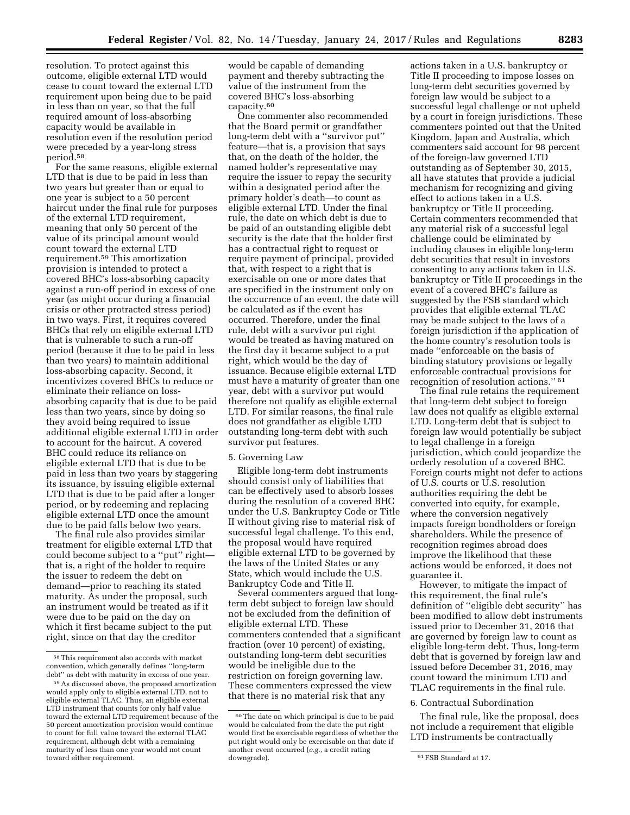resolution. To protect against this outcome, eligible external LTD would cease to count toward the external LTD requirement upon being due to be paid in less than on year, so that the full required amount of loss-absorbing capacity would be available in resolution even if the resolution period were preceded by a year-long stress period.58

For the same reasons, eligible external LTD that is due to be paid in less than two years but greater than or equal to one year is subject to a 50 percent haircut under the final rule for purposes of the external LTD requirement, meaning that only 50 percent of the value of its principal amount would count toward the external LTD requirement.59 This amortization provision is intended to protect a covered BHC's loss-absorbing capacity against a run-off period in excess of one year (as might occur during a financial crisis or other protracted stress period) in two ways. First, it requires covered BHCs that rely on eligible external LTD that is vulnerable to such a run-off period (because it due to be paid in less than two years) to maintain additional loss-absorbing capacity. Second, it incentivizes covered BHCs to reduce or eliminate their reliance on lossabsorbing capacity that is due to be paid less than two years, since by doing so they avoid being required to issue additional eligible external LTD in order to account for the haircut. A covered BHC could reduce its reliance on eligible external LTD that is due to be paid in less than two years by staggering its issuance, by issuing eligible external LTD that is due to be paid after a longer period, or by redeeming and replacing eligible external LTD once the amount due to be paid falls below two years.

The final rule also provides similar treatment for eligible external LTD that could become subject to a ''put'' right that is, a right of the holder to require the issuer to redeem the debt on demand—prior to reaching its stated maturity. As under the proposal, such an instrument would be treated as if it were due to be paid on the day on which it first became subject to the put right, since on that day the creditor

would be capable of demanding payment and thereby subtracting the value of the instrument from the covered BHC's loss-absorbing capacity.60

One commenter also recommended that the Board permit or grandfather long-term debt with a ''survivor put'' feature—that is, a provision that says that, on the death of the holder, the named holder's representative may require the issuer to repay the security within a designated period after the primary holder's death—to count as eligible external LTD. Under the final rule, the date on which debt is due to be paid of an outstanding eligible debt security is the date that the holder first has a contractual right to request or require payment of principal, provided that, with respect to a right that is exercisable on one or more dates that are specified in the instrument only on the occurrence of an event, the date will be calculated as if the event has occurred. Therefore, under the final rule, debt with a survivor put right would be treated as having matured on the first day it became subject to a put right, which would be the day of issuance. Because eligible external LTD must have a maturity of greater than one year, debt with a survivor put would therefore not qualify as eligible external LTD. For similar reasons, the final rule does not grandfather as eligible LTD outstanding long-term debt with such survivor put features.

#### 5. Governing Law

Eligible long-term debt instruments should consist only of liabilities that can be effectively used to absorb losses during the resolution of a covered BHC under the U.S. Bankruptcy Code or Title II without giving rise to material risk of successful legal challenge. To this end, the proposal would have required eligible external LTD to be governed by the laws of the United States or any State, which would include the U.S. Bankruptcy Code and Title II.

Several commenters argued that longterm debt subject to foreign law should not be excluded from the definition of eligible external LTD. These commenters contended that a significant fraction (over 10 percent) of existing, outstanding long-term debt securities would be ineligible due to the restriction on foreign governing law. These commenters expressed the view that there is no material risk that any

actions taken in a U.S. bankruptcy or Title II proceeding to impose losses on long-term debt securities governed by foreign law would be subject to a successful legal challenge or not upheld by a court in foreign jurisdictions. These commenters pointed out that the United Kingdom, Japan and Australia, which commenters said account for 98 percent of the foreign-law governed LTD outstanding as of September 30, 2015, all have statutes that provide a judicial mechanism for recognizing and giving effect to actions taken in a U.S. bankruptcy or Title II proceeding. Certain commenters recommended that any material risk of a successful legal challenge could be eliminated by including clauses in eligible long-term debt securities that result in investors consenting to any actions taken in U.S. bankruptcy or Title II proceedings in the event of a covered BHC's failure as suggested by the FSB standard which provides that eligible external TLAC may be made subject to the laws of a foreign jurisdiction if the application of the home country's resolution tools is made ''enforceable on the basis of binding statutory provisions or legally enforceable contractual provisions for recognition of resolution actions.'' 61

The final rule retains the requirement that long-term debt subject to foreign law does not qualify as eligible external LTD. Long-term debt that is subject to foreign law would potentially be subject to legal challenge in a foreign jurisdiction, which could jeopardize the orderly resolution of a covered BHC. Foreign courts might not defer to actions of U.S. courts or U.S. resolution authorities requiring the debt be converted into equity, for example, where the conversion negatively impacts foreign bondholders or foreign shareholders. While the presence of recognition regimes abroad does improve the likelihood that these actions would be enforced, it does not guarantee it.

However, to mitigate the impact of this requirement, the final rule's definition of ''eligible debt security'' has been modified to allow debt instruments issued prior to December 31, 2016 that are governed by foreign law to count as eligible long-term debt. Thus, long-term debt that is governed by foreign law and issued before December 31, 2016, may count toward the minimum LTD and TLAC requirements in the final rule.

#### 6. Contractual Subordination

The final rule, like the proposal, does not include a requirement that eligible LTD instruments be contractually

<sup>58</sup>This requirement also accords with market convention, which generally defines ''long-term debt'' as debt with maturity in excess of one year.

<sup>59</sup>As discussed above, the proposed amortization would apply only to eligible external LTD, not to eligible external TLAC. Thus, an eligible external LTD instrument that counts for only half value toward the external LTD requirement because of the 50 percent amortization provision would continue to count for full value toward the external TLAC requirement, although debt with a remaining maturity of less than one year would not count toward either requirement.

<sup>60</sup>The date on which principal is due to be paid would be calculated from the date the put right would first be exercisable regardless of whether the put right would only be exercisable on that date if another event occurred (*e.g.,* a credit rating

<sup>61</sup> FSB Standard at 17.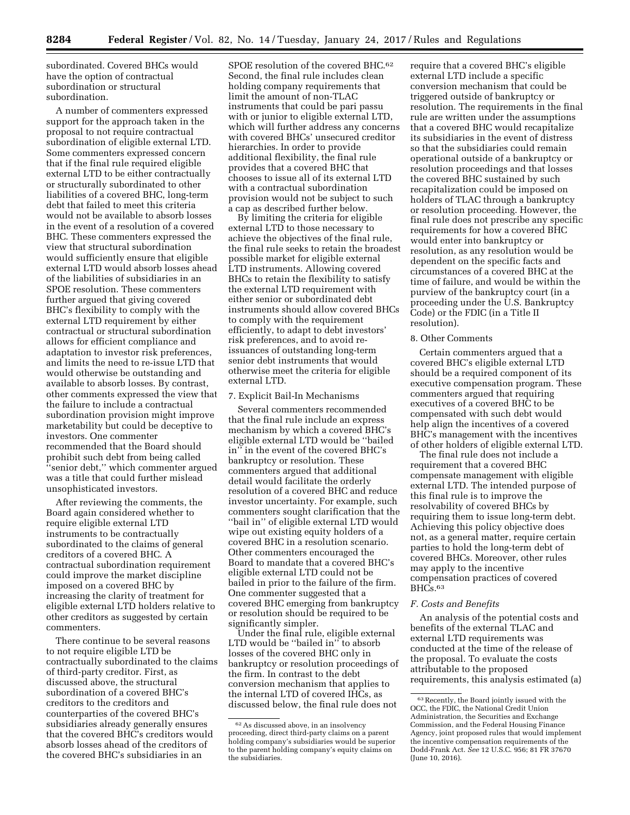subordinated. Covered BHCs would have the option of contractual subordination or structural subordination.

A number of commenters expressed support for the approach taken in the proposal to not require contractual subordination of eligible external LTD. Some commenters expressed concern that if the final rule required eligible external LTD to be either contractually or structurally subordinated to other liabilities of a covered BHC, long-term debt that failed to meet this criteria would not be available to absorb losses in the event of a resolution of a covered BHC. These commenters expressed the view that structural subordination would sufficiently ensure that eligible external LTD would absorb losses ahead of the liabilities of subsidiaries in an SPOE resolution. These commenters further argued that giving covered BHC's flexibility to comply with the external LTD requirement by either contractual or structural subordination allows for efficient compliance and adaptation to investor risk preferences, and limits the need to re-issue LTD that would otherwise be outstanding and available to absorb losses. By contrast, other comments expressed the view that the failure to include a contractual subordination provision might improve marketability but could be deceptive to investors. One commenter recommended that the Board should prohibit such debt from being called ''senior debt,'' which commenter argued was a title that could further mislead unsophisticated investors.

After reviewing the comments, the Board again considered whether to require eligible external LTD instruments to be contractually subordinated to the claims of general creditors of a covered BHC. A contractual subordination requirement could improve the market discipline imposed on a covered BHC by increasing the clarity of treatment for eligible external LTD holders relative to other creditors as suggested by certain commenters.

There continue to be several reasons to not require eligible LTD be contractually subordinated to the claims of third-party creditor. First, as discussed above, the structural subordination of a covered BHC's creditors to the creditors and counterparties of the covered BHC's subsidiaries already generally ensures that the covered BHC's creditors would absorb losses ahead of the creditors of the covered BHC's subsidiaries in an

SPOE resolution of the covered BHC.62 Second, the final rule includes clean holding company requirements that limit the amount of non-TLAC instruments that could be pari passu with or junior to eligible external LTD, which will further address any concerns with covered BHCs' unsecured creditor hierarchies. In order to provide additional flexibility, the final rule provides that a covered BHC that chooses to issue all of its external LTD with a contractual subordination provision would not be subject to such a cap as described further below.

By limiting the criteria for eligible external LTD to those necessary to achieve the objectives of the final rule, the final rule seeks to retain the broadest possible market for eligible external LTD instruments. Allowing covered BHCs to retain the flexibility to satisfy the external LTD requirement with either senior or subordinated debt instruments should allow covered BHCs to comply with the requirement efficiently, to adapt to debt investors' risk preferences, and to avoid reissuances of outstanding long-term senior debt instruments that would otherwise meet the criteria for eligible external LTD.

#### 7. Explicit Bail-In Mechanisms

Several commenters recommended that the final rule include an express mechanism by which a covered BHC's eligible external LTD would be ''bailed in'' in the event of the covered BHC's bankruptcy or resolution. These commenters argued that additional detail would facilitate the orderly resolution of a covered BHC and reduce investor uncertainty. For example, such commenters sought clarification that the ''bail in'' of eligible external LTD would wipe out existing equity holders of a covered BHC in a resolution scenario. Other commenters encouraged the Board to mandate that a covered BHC's eligible external LTD could not be bailed in prior to the failure of the firm. One commenter suggested that a covered BHC emerging from bankruptcy or resolution should be required to be significantly simpler.

Under the final rule, eligible external LTD would be ''bailed in'' to absorb losses of the covered BHC only in bankruptcy or resolution proceedings of the firm. In contrast to the debt conversion mechanism that applies to the internal LTD of covered IHCs, as discussed below, the final rule does not

require that a covered BHC's eligible external LTD include a specific conversion mechanism that could be triggered outside of bankruptcy or resolution. The requirements in the final rule are written under the assumptions that a covered BHC would recapitalize its subsidiaries in the event of distress so that the subsidiaries could remain operational outside of a bankruptcy or resolution proceedings and that losses the covered BHC sustained by such recapitalization could be imposed on holders of TLAC through a bankruptcy or resolution proceeding. However, the final rule does not prescribe any specific requirements for how a covered BHC would enter into bankruptcy or resolution, as any resolution would be dependent on the specific facts and circumstances of a covered BHC at the time of failure, and would be within the purview of the bankruptcy court (in a proceeding under the U.S. Bankruptcy Code) or the FDIC (in a Title II resolution).

#### 8. Other Comments

Certain commenters argued that a covered BHC's eligible external LTD should be a required component of its executive compensation program. These commenters argued that requiring executives of a covered BHC to be compensated with such debt would help align the incentives of a covered BHC's management with the incentives of other holders of eligible external LTD.

The final rule does not include a requirement that a covered BHC compensate management with eligible external LTD. The intended purpose of this final rule is to improve the resolvability of covered BHCs by requiring them to issue long-term debt. Achieving this policy objective does not, as a general matter, require certain parties to hold the long-term debt of covered BHCs. Moreover, other rules may apply to the incentive compensation practices of covered BHCs.63

## *F. Costs and Benefits*

An analysis of the potential costs and benefits of the external TLAC and external LTD requirements was conducted at the time of the release of the proposal. To evaluate the costs attributable to the proposed requirements, this analysis estimated (a)

<sup>62</sup>As discussed above, in an insolvency proceeding, direct third-party claims on a parent holding company's subsidiaries would be superior to the parent holding company's equity claims on the subsidiaries.

<sup>63</sup>Recently, the Board jointly issued with the OCC, the FDIC, the National Credit Union Administration, the Securities and Exchange Commission, and the Federal Housing Finance Agency, joint proposed rules that would implement the incentive compensation requirements of the Dodd-Frank Act. *See* 12 U.S.C. 956; 81 FR 37670 (June 10, 2016).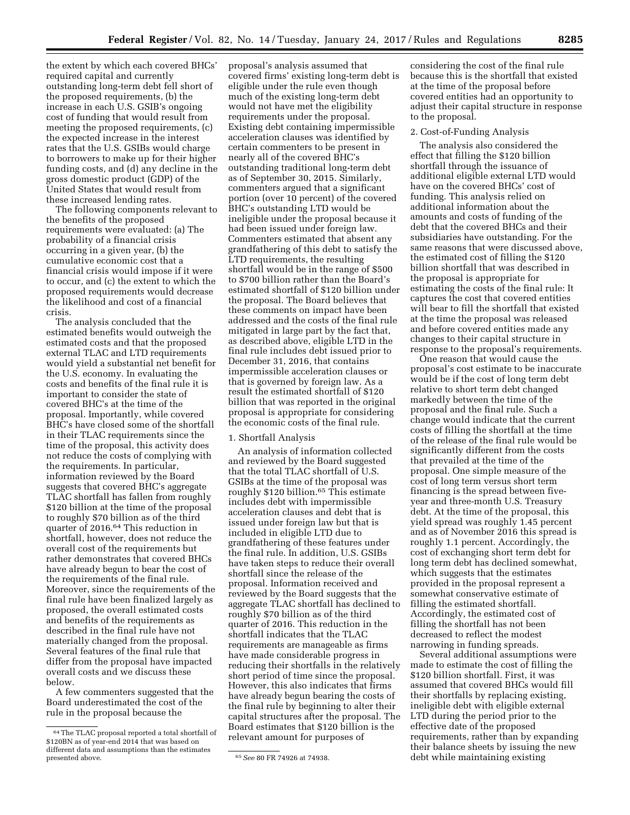the extent by which each covered BHCs' required capital and currently outstanding long-term debt fell short of the proposed requirements, (b) the increase in each U.S. GSIB's ongoing cost of funding that would result from meeting the proposed requirements, (c) the expected increase in the interest rates that the U.S. GSIBs would charge to borrowers to make up for their higher funding costs, and (d) any decline in the gross domestic product (GDP) of the United States that would result from these increased lending rates.

The following components relevant to the benefits of the proposed requirements were evaluated: (a) The probability of a financial crisis occurring in a given year, (b) the cumulative economic cost that a financial crisis would impose if it were to occur, and (c) the extent to which the proposed requirements would decrease the likelihood and cost of a financial crisis.

The analysis concluded that the estimated benefits would outweigh the estimated costs and that the proposed external TLAC and LTD requirements would yield a substantial net benefit for the U.S. economy. In evaluating the costs and benefits of the final rule it is important to consider the state of covered BHC's at the time of the proposal. Importantly, while covered BHC's have closed some of the shortfall in their TLAC requirements since the time of the proposal, this activity does not reduce the costs of complying with the requirements. In particular, information reviewed by the Board suggests that covered BHC's aggregate TLAC shortfall has fallen from roughly \$120 billion at the time of the proposal to roughly \$70 billion as of the third quarter of 2016.64 This reduction in shortfall, however, does not reduce the overall cost of the requirements but rather demonstrates that covered BHCs have already begun to bear the cost of the requirements of the final rule. Moreover, since the requirements of the final rule have been finalized largely as proposed, the overall estimated costs and benefits of the requirements as described in the final rule have not materially changed from the proposal. Several features of the final rule that differ from the proposal have impacted overall costs and we discuss these below.

A few commenters suggested that the Board underestimated the cost of the rule in the proposal because the

proposal's analysis assumed that covered firms' existing long-term debt is eligible under the rule even though much of the existing long-term debt would not have met the eligibility requirements under the proposal. Existing debt containing impermissible acceleration clauses was identified by certain commenters to be present in nearly all of the covered BHC's outstanding traditional long-term debt as of September 30, 2015. Similarly, commenters argued that a significant portion (over 10 percent) of the covered BHC's outstanding LTD would be ineligible under the proposal because it had been issued under foreign law. Commenters estimated that absent any grandfathering of this debt to satisfy the LTD requirements, the resulting shortfall would be in the range of \$500 to \$700 billion rather than the Board's estimated shortfall of \$120 billion under the proposal. The Board believes that these comments on impact have been addressed and the costs of the final rule mitigated in large part by the fact that, as described above, eligible LTD in the final rule includes debt issued prior to December 31, 2016, that contains impermissible acceleration clauses or that is governed by foreign law. As a result the estimated shortfall of \$120 billion that was reported in the original proposal is appropriate for considering the economic costs of the final rule.

#### 1. Shortfall Analysis

An analysis of information collected and reviewed by the Board suggested that the total TLAC shortfall of U.S. GSIBs at the time of the proposal was roughly \$120 billion.65 This estimate includes debt with impermissible acceleration clauses and debt that is issued under foreign law but that is included in eligible LTD due to grandfathering of these features under the final rule. In addition, U.S. GSIBs have taken steps to reduce their overall shortfall since the release of the proposal. Information received and reviewed by the Board suggests that the aggregate TLAC shortfall has declined to roughly \$70 billion as of the third quarter of 2016. This reduction in the shortfall indicates that the TLAC requirements are manageable as firms have made considerable progress in reducing their shortfalls in the relatively short period of time since the proposal. However, this also indicates that firms have already begun bearing the costs of the final rule by beginning to alter their capital structures after the proposal. The Board estimates that \$120 billion is the relevant amount for purposes of

considering the cost of the final rule because this is the shortfall that existed at the time of the proposal before covered entities had an opportunity to adjust their capital structure in response to the proposal.

#### 2. Cost-of-Funding Analysis

The analysis also considered the effect that filling the \$120 billion shortfall through the issuance of additional eligible external LTD would have on the covered BHCs' cost of funding. This analysis relied on additional information about the amounts and costs of funding of the debt that the covered BHCs and their subsidiaries have outstanding. For the same reasons that were discussed above, the estimated cost of filling the \$120 billion shortfall that was described in the proposal is appropriate for estimating the costs of the final rule: It captures the cost that covered entities will bear to fill the shortfall that existed at the time the proposal was released and before covered entities made any changes to their capital structure in response to the proposal's requirements.

One reason that would cause the proposal's cost estimate to be inaccurate would be if the cost of long term debt relative to short term debt changed markedly between the time of the proposal and the final rule. Such a change would indicate that the current costs of filling the shortfall at the time of the release of the final rule would be significantly different from the costs that prevailed at the time of the proposal. One simple measure of the cost of long term versus short term financing is the spread between fiveyear and three-month U.S. Treasury debt. At the time of the proposal, this yield spread was roughly 1.45 percent and as of November 2016 this spread is roughly 1.1 percent. Accordingly, the cost of exchanging short term debt for long term debt has declined somewhat, which suggests that the estimates provided in the proposal represent a somewhat conservative estimate of filling the estimated shortfall. Accordingly, the estimated cost of filling the shortfall has not been decreased to reflect the modest narrowing in funding spreads.

Several additional assumptions were made to estimate the cost of filling the \$120 billion shortfall. First, it was assumed that covered BHCs would fill their shortfalls by replacing existing, ineligible debt with eligible external LTD during the period prior to the effective date of the proposed requirements, rather than by expanding their balance sheets by issuing the new debt while maintaining existing

<sup>64</sup>The TLAC proposal reported a total shortfall of \$120BN as of year-end 2014 that was based on different data and assumptions than the estimates

<sup>&</sup>lt;sup>65</sup> See 80 FR 74926 at 74938.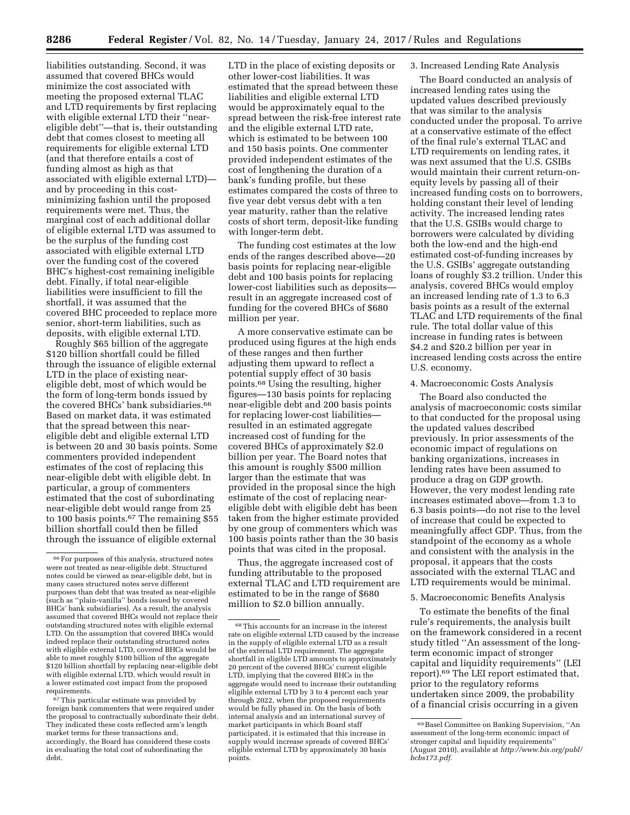liabilities outstanding. Second, it was assumed that covered BHCs would minimize the cost associated with meeting the proposed external TLAC and LTD requirements by first replacing with eligible external LTD their ''neareligible debt''—that is, their outstanding debt that comes closest to meeting all requirements for eligible external LTD (and that therefore entails a cost of funding almost as high as that associated with eligible external LTD) and by proceeding in this costminimizing fashion until the proposed requirements were met. Thus, the marginal cost of each additional dollar of eligible external LTD was assumed to be the surplus of the funding cost associated with eligible external LTD over the funding cost of the covered BHC's highest-cost remaining ineligible debt. Finally, if total near-eligible liabilities were insufficient to fill the shortfall, it was assumed that the covered BHC proceeded to replace more senior, short-term liabilities, such as deposits, with eligible external LTD.

Roughly \$65 billion of the aggregate \$120 billion shortfall could be filled through the issuance of eligible external LTD in the place of existing neareligible debt, most of which would be the form of long-term bonds issued by the covered BHCs' bank subsidiaries.<sup>66</sup> Based on market data, it was estimated that the spread between this neareligible debt and eligible external LTD is between 20 and 30 basis points. Some commenters provided independent estimates of the cost of replacing this near-eligible debt with eligible debt. In particular, a group of commenters estimated that the cost of subordinating near-eligible debt would range from 25 to 100 basis points.67 The remaining \$55 billion shortfall could then be filled through the issuance of eligible external

67This particular estimate was provided by foreign bank commenters that were required under the proposal to contractually subordinate their debt. They indicated these costs reflected arm's length market terms for these transactions and, accordingly, the Board has considered these costs in evaluating the total cost of subordinating the debt.

LTD in the place of existing deposits or other lower-cost liabilities. It was estimated that the spread between these liabilities and eligible external LTD would be approximately equal to the spread between the risk-free interest rate and the eligible external LTD rate, which is estimated to be between 100 and 150 basis points. One commenter provided independent estimates of the cost of lengthening the duration of a bank's funding profile, but these estimates compared the costs of three to five year debt versus debt with a ten year maturity, rather than the relative costs of short term, deposit-like funding with longer-term debt.

The funding cost estimates at the low ends of the ranges described above—20 basis points for replacing near-eligible debt and 100 basis points for replacing lower-cost liabilities such as deposits result in an aggregate increased cost of funding for the covered BHCs of \$680 million per year.

A more conservative estimate can be produced using figures at the high ends of these ranges and then further adjusting them upward to reflect a potential supply effect of 30 basis points.68 Using the resulting, higher figures—130 basis points for replacing near-eligible debt and 200 basis points for replacing lower-cost liabilities resulted in an estimated aggregate increased cost of funding for the covered BHCs of approximately \$2.0 billion per year. The Board notes that this amount is roughly \$500 million larger than the estimate that was provided in the proposal since the high estimate of the cost of replacing neareligible debt with eligible debt has been taken from the higher estimate provided by one group of commenters which was 100 basis points rather than the 30 basis points that was cited in the proposal.

Thus, the aggregate increased cost of funding attributable to the proposed external TLAC and LTD requirement are estimated to be in the range of \$680 million to \$2.0 billion annually.

## 3. Increased Lending Rate Analysis

The Board conducted an analysis of increased lending rates using the updated values described previously that was similar to the analysis conducted under the proposal. To arrive at a conservative estimate of the effect of the final rule's external TLAC and LTD requirements on lending rates, it was next assumed that the U.S. GSIBs would maintain their current return-onequity levels by passing all of their increased funding costs on to borrowers, holding constant their level of lending activity. The increased lending rates that the U.S. GSIBs would charge to borrowers were calculated by dividing both the low-end and the high-end estimated cost-of-funding increases by the U.S. GSIBs' aggregate outstanding loans of roughly \$3.2 trillion. Under this analysis, covered BHCs would employ an increased lending rate of 1.3 to 6.3 basis points as a result of the external TLAC and LTD requirements of the final rule. The total dollar value of this increase in funding rates is between \$4.2 and \$20.2 billion per year in increased lending costs across the entire U.S. economy.

## 4. Macroeconomic Costs Analysis

The Board also conducted the analysis of macroeconomic costs similar to that conducted for the proposal using the updated values described previously. In prior assessments of the economic impact of regulations on banking organizations, increases in lending rates have been assumed to produce a drag on GDP growth. However, the very modest lending rate increases estimated above—from 1.3 to 6.3 basis points—do not rise to the level of increase that could be expected to meaningfully affect GDP. Thus, from the standpoint of the economy as a whole and consistent with the analysis in the proposal, it appears that the costs associated with the external TLAC and LTD requirements would be minimal.

#### 5. Macroeconomic Benefits Analysis

To estimate the benefits of the final rule's requirements, the analysis built on the framework considered in a recent study titled ''An assessment of the longterm economic impact of stronger capital and liquidity requirements'' (LEI report).69 The LEI report estimated that, prior to the regulatory reforms undertaken since 2009, the probability of a financial crisis occurring in a given

<sup>66</sup>For purposes of this analysis, structured notes were not treated as near-eligible debt. Structured notes could be viewed as near-eligible debt, but in many cases structured notes serve different purposes than debt that was treated as near-eligible (such as ''plain-vanilla'' bonds issued by covered BHCs' bank subsidiaries). As a result, the analysis assumed that covered BHCs would not replace their outstanding structured notes with eligible external LTD. On the assumption that covered BHCs would indeed replace their outstanding structured notes with eligible external LTD, covered BHCs would be able to meet roughly \$100 billion of the aggregate \$120 billion shortfall by replacing near-eligible debt with eligible external LTD, which would result in a lower estimated cost impact from the proposed requirements.

 $^{68}\mathrm{This}$  accounts for an increase in the interest rate on eligible external LTD caused by the increase in the supply of eligible external LTD as a result of the external LTD requirement. The aggregate shortfall in eligible LTD amounts to approximately 20 percent of the covered BHCs' current eligible LTD, implying that the covered BHCs in the aggregate would need to increase their outstanding eligible external LTD by 3 to 4 percent each year through 2022, when the proposed requirements would be fully phased in. On the basis of both internal analysis and an international survey of market participants in which Board staff participated, it is estimated that this increase in supply would increase spreads of covered BHCs' eligible external LTD by approximately 30 basis points.

<sup>69</sup>Basel Committee on Banking Supervision, ''An assessment of the long-term economic impact of stronger capital and liquidity requirements'' (August 2010), available at *[http://www.bis.org/publ/](http://www.bis.org/publ/bcbs173.pdf) [bcbs173.pdf.](http://www.bis.org/publ/bcbs173.pdf)*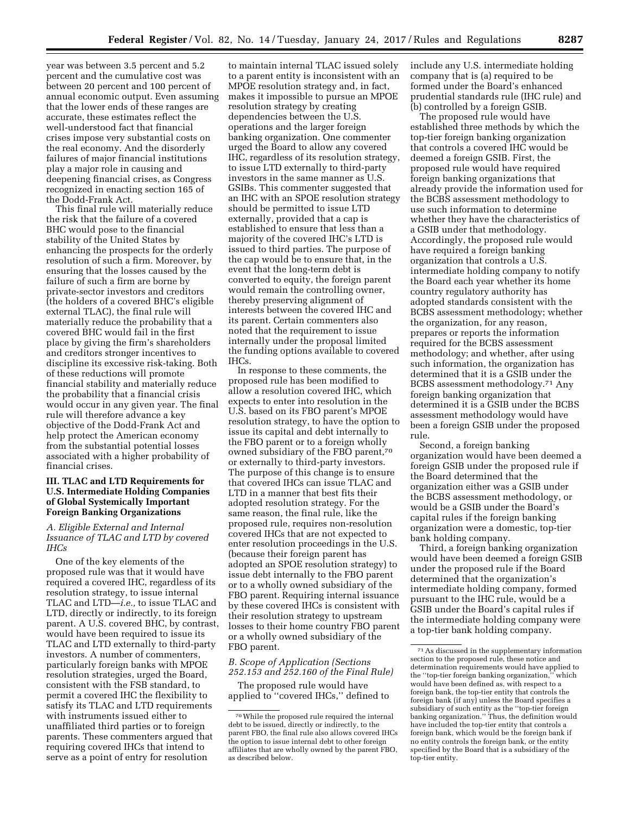year was between 3.5 percent and 5.2 percent and the cumulative cost was between 20 percent and 100 percent of annual economic output. Even assuming that the lower ends of these ranges are accurate, these estimates reflect the well-understood fact that financial crises impose very substantial costs on the real economy. And the disorderly failures of major financial institutions play a major role in causing and deepening financial crises, as Congress recognized in enacting section 165 of the Dodd-Frank Act.

This final rule will materially reduce the risk that the failure of a covered BHC would pose to the financial stability of the United States by enhancing the prospects for the orderly resolution of such a firm. Moreover, by ensuring that the losses caused by the failure of such a firm are borne by private-sector investors and creditors (the holders of a covered BHC's eligible external TLAC), the final rule will materially reduce the probability that a covered BHC would fail in the first place by giving the firm's shareholders and creditors stronger incentives to discipline its excessive risk-taking. Both of these reductions will promote financial stability and materially reduce the probability that a financial crisis would occur in any given year. The final rule will therefore advance a key objective of the Dodd-Frank Act and help protect the American economy from the substantial potential losses associated with a higher probability of financial crises.

## **III. TLAC and LTD Requirements for U.S. Intermediate Holding Companies of Global Systemically Important Foreign Banking Organizations**

## *A. Eligible External and Internal Issuance of TLAC and LTD by covered IHCs*

One of the key elements of the proposed rule was that it would have required a covered IHC, regardless of its resolution strategy, to issue internal TLAC and LTD—*i.e.,* to issue TLAC and LTD, directly or indirectly, to its foreign parent. A U.S. covered BHC, by contrast, would have been required to issue its TLAC and LTD externally to third-party investors. A number of commenters, particularly foreign banks with MPOE resolution strategies, urged the Board, consistent with the FSB standard, to permit a covered IHC the flexibility to satisfy its TLAC and LTD requirements with instruments issued either to unaffiliated third parties or to foreign parents. These commenters argued that requiring covered IHCs that intend to serve as a point of entry for resolution

to maintain internal TLAC issued solely to a parent entity is inconsistent with an MPOE resolution strategy and, in fact, makes it impossible to pursue an MPOE resolution strategy by creating dependencies between the U.S. operations and the larger foreign banking organization. One commenter urged the Board to allow any covered IHC, regardless of its resolution strategy, to issue LTD externally to third-party investors in the same manner as U.S. GSIBs. This commenter suggested that an IHC with an SPOE resolution strategy should be permitted to issue LTD externally, provided that a cap is established to ensure that less than a majority of the covered IHC's LTD is issued to third parties. The purpose of the cap would be to ensure that, in the event that the long-term debt is converted to equity, the foreign parent would remain the controlling owner, thereby preserving alignment of interests between the covered IHC and its parent. Certain commenters also noted that the requirement to issue internally under the proposal limited the funding options available to covered IHCs.

In response to these comments, the proposed rule has been modified to allow a resolution covered IHC, which expects to enter into resolution in the U.S. based on its FBO parent's MPOE resolution strategy, to have the option to issue its capital and debt internally to the FBO parent or to a foreign wholly owned subsidiary of the FBO parent,70 or externally to third-party investors. The purpose of this change is to ensure that covered IHCs can issue TLAC and LTD in a manner that best fits their adopted resolution strategy. For the same reason, the final rule, like the proposed rule, requires non-resolution covered IHCs that are not expected to enter resolution proceedings in the U.S. (because their foreign parent has adopted an SPOE resolution strategy) to issue debt internally to the FBO parent or to a wholly owned subsidiary of the FBO parent. Requiring internal issuance by these covered IHCs is consistent with their resolution strategy to upstream losses to their home country FBO parent or a wholly owned subsidiary of the FBO parent.

*B. Scope of Application (Sections 252.153 and 252.160 of the Final Rule)* 

The proposed rule would have applied to ''covered IHCs,'' defined to include any U.S. intermediate holding company that is (a) required to be formed under the Board's enhanced prudential standards rule (IHC rule) and (b) controlled by a foreign GSIB.

The proposed rule would have established three methods by which the top-tier foreign banking organization that controls a covered IHC would be deemed a foreign GSIB. First, the proposed rule would have required foreign banking organizations that already provide the information used for the BCBS assessment methodology to use such information to determine whether they have the characteristics of a GSIB under that methodology. Accordingly, the proposed rule would have required a foreign banking organization that controls a U.S. intermediate holding company to notify the Board each year whether its home country regulatory authority has adopted standards consistent with the BCBS assessment methodology; whether the organization, for any reason, prepares or reports the information required for the BCBS assessment methodology; and whether, after using such information, the organization has determined that it is a GSIB under the BCBS assessment methodology.71 Any foreign banking organization that determined it is a GSIB under the BCBS assessment methodology would have been a foreign GSIB under the proposed rule.

Second, a foreign banking organization would have been deemed a foreign GSIB under the proposed rule if the Board determined that the organization either was a GSIB under the BCBS assessment methodology, or would be a GSIB under the Board's capital rules if the foreign banking organization were a domestic, top-tier bank holding company.

Third, a foreign banking organization would have been deemed a foreign GSIB under the proposed rule if the Board determined that the organization's intermediate holding company, formed pursuant to the IHC rule, would be a GSIB under the Board's capital rules if the intermediate holding company were a top-tier bank holding company.

<sup>70</sup>While the proposed rule required the internal debt to be issued, directly or indirectly, to the parent FBO, the final rule also allows covered IHCs the option to issue internal debt to other foreign affiliates that are wholly owned by the parent FBO, as described below.

 $^{\mathrm{71}}$  As discussed in the supplementary information section to the proposed rule, these notice and determination requirements would have applied to the ''top-tier foreign banking organization,'' which would have been defined as, with respect to a foreign bank, the top-tier entity that controls the foreign bank (if any) unless the Board specifies a subsidiary of such entity as the ''top-tier foreign banking organization.'' Thus, the definition would have included the top-tier entity that controls a foreign bank, which would be the foreign bank if no entity controls the foreign bank, or the entity specified by the Board that is a subsidiary of the top-tier entity.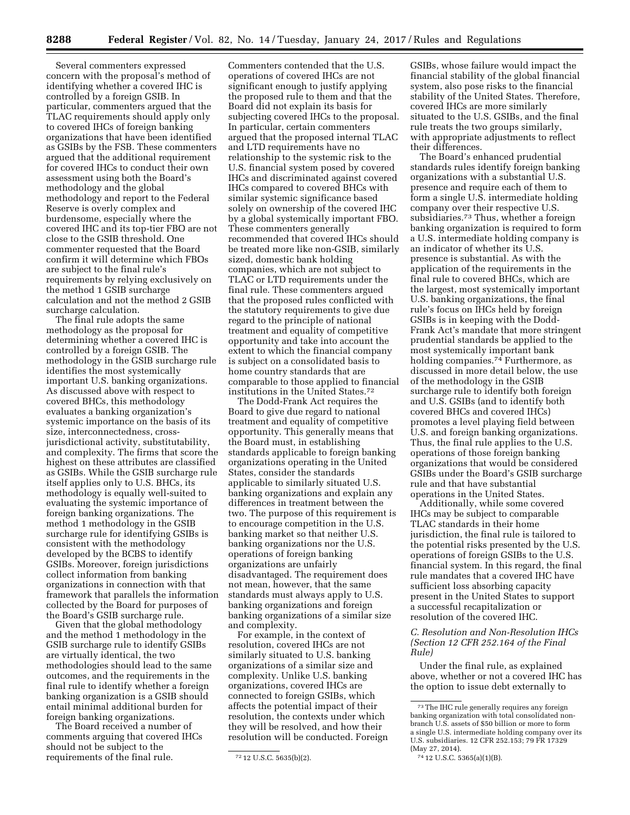Several commenters expressed concern with the proposal's method of identifying whether a covered IHC is controlled by a foreign GSIB. In particular, commenters argued that the TLAC requirements should apply only to covered IHCs of foreign banking organizations that have been identified as GSIBs by the FSB. These commenters argued that the additional requirement for covered IHCs to conduct their own assessment using both the Board's methodology and the global methodology and report to the Federal Reserve is overly complex and burdensome, especially where the covered IHC and its top-tier FBO are not close to the GSIB threshold. One commenter requested that the Board confirm it will determine which FBOs are subject to the final rule's requirements by relying exclusively on the method 1 GSIB surcharge calculation and not the method 2 GSIB surcharge calculation.

The final rule adopts the same methodology as the proposal for determining whether a covered IHC is controlled by a foreign GSIB. The methodology in the GSIB surcharge rule identifies the most systemically important U.S. banking organizations. As discussed above with respect to covered BHCs, this methodology evaluates a banking organization's systemic importance on the basis of its size, interconnectedness, crossjurisdictional activity, substitutability, and complexity. The firms that score the highest on these attributes are classified as GSIBs. While the GSIB surcharge rule itself applies only to U.S. BHCs, its methodology is equally well-suited to evaluating the systemic importance of foreign banking organizations. The method 1 methodology in the GSIB surcharge rule for identifying GSIBs is consistent with the methodology developed by the BCBS to identify GSIBs. Moreover, foreign jurisdictions collect information from banking organizations in connection with that framework that parallels the information collected by the Board for purposes of the Board's GSIB surcharge rule.

Given that the global methodology and the method 1 methodology in the GSIB surcharge rule to identify GSIBs are virtually identical, the two methodologies should lead to the same outcomes, and the requirements in the final rule to identify whether a foreign banking organization is a GSIB should entail minimal additional burden for foreign banking organizations.

The Board received a number of comments arguing that covered IHCs should not be subject to the requirements of the final rule.

Commenters contended that the U.S. operations of covered IHCs are not significant enough to justify applying the proposed rule to them and that the Board did not explain its basis for subjecting covered IHCs to the proposal. In particular, certain commenters argued that the proposed internal TLAC and LTD requirements have no relationship to the systemic risk to the U.S. financial system posed by covered IHCs and discriminated against covered IHCs compared to covered BHCs with similar systemic significance based solely on ownership of the covered IHC by a global systemically important FBO. These commenters generally recommended that covered IHCs should be treated more like non-GSIB, similarly sized, domestic bank holding companies, which are not subject to TLAC or LTD requirements under the final rule. These commenters argued that the proposed rules conflicted with the statutory requirements to give due regard to the principle of national treatment and equality of competitive opportunity and take into account the extent to which the financial company is subject on a consolidated basis to home country standards that are comparable to those applied to financial institutions in the United States.72

The Dodd-Frank Act requires the Board to give due regard to national treatment and equality of competitive opportunity. This generally means that the Board must, in establishing standards applicable to foreign banking organizations operating in the United States, consider the standards applicable to similarly situated U.S. banking organizations and explain any differences in treatment between the two. The purpose of this requirement is to encourage competition in the U.S. banking market so that neither U.S. banking organizations nor the U.S. operations of foreign banking organizations are unfairly disadvantaged. The requirement does not mean, however, that the same standards must always apply to U.S. banking organizations and foreign banking organizations of a similar size and complexity.

For example, in the context of resolution, covered IHCs are not similarly situated to U.S. banking organizations of a similar size and complexity. Unlike U.S. banking organizations, covered IHCs are connected to foreign GSIBs, which affects the potential impact of their resolution, the contexts under which they will be resolved, and how their resolution will be conducted. Foreign

GSIBs, whose failure would impact the financial stability of the global financial system, also pose risks to the financial stability of the United States. Therefore, covered IHCs are more similarly situated to the U.S. GSIBs, and the final rule treats the two groups similarly, with appropriate adjustments to reflect their differences.

The Board's enhanced prudential standards rules identify foreign banking organizations with a substantial U.S. presence and require each of them to form a single U.S. intermediate holding company over their respective U.S. subsidiaries.73 Thus, whether a foreign banking organization is required to form a U.S. intermediate holding company is an indicator of whether its U.S. presence is substantial. As with the application of the requirements in the final rule to covered BHCs, which are the largest, most systemically important U.S. banking organizations, the final rule's focus on IHCs held by foreign GSIBs is in keeping with the Dodd-Frank Act's mandate that more stringent prudential standards be applied to the most systemically important bank holding companies.<sup>74</sup> Furthermore, as discussed in more detail below, the use of the methodology in the GSIB surcharge rule to identify both foreign and U.S. GSIBs (and to identify both covered BHCs and covered IHCs) promotes a level playing field between U.S. and foreign banking organizations. Thus, the final rule applies to the U.S. operations of those foreign banking organizations that would be considered GSIBs under the Board's GSIB surcharge rule and that have substantial operations in the United States.

Additionally, while some covered IHCs may be subject to comparable TLAC standards in their home jurisdiction, the final rule is tailored to the potential risks presented by the U.S. operations of foreign GSIBs to the U.S. financial system. In this regard, the final rule mandates that a covered IHC have sufficient loss absorbing capacity present in the United States to support a successful recapitalization or resolution of the covered IHC.

## *C. Resolution and Non-Resolution IHCs (Section 12 CFR 252.164 of the Final Rule)*

Under the final rule, as explained above, whether or not a covered IHC has the option to issue debt externally to

<sup>72</sup> 12 U.S.C. 5635(b)(2).

 $^{\rm 73}\rm{The}$  IHC rule generally requires any foreign banking organization with total consolidated nonbranch U.S. assets of \$50 billion or more to form a single U.S. intermediate holding company over its U.S. subsidiaries. 12 CFR 252.153; 79 FR 17329 (May 27, 2014).

<sup>74</sup> 12 U.S.C. 5365(a)(1)(B).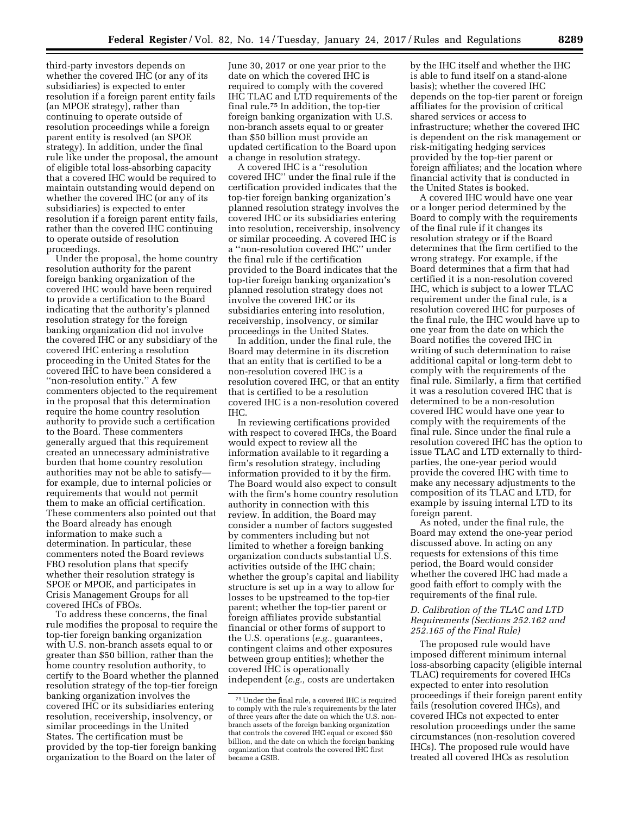third-party investors depends on whether the covered IHC (or any of its subsidiaries) is expected to enter resolution if a foreign parent entity fails (an MPOE strategy), rather than continuing to operate outside of resolution proceedings while a foreign parent entity is resolved (an SPOE strategy). In addition, under the final rule like under the proposal, the amount of eligible total loss-absorbing capacity that a covered IHC would be required to maintain outstanding would depend on whether the covered IHC (or any of its subsidiaries) is expected to enter resolution if a foreign parent entity fails, rather than the covered IHC continuing to operate outside of resolution proceedings.

Under the proposal, the home country resolution authority for the parent foreign banking organization of the covered IHC would have been required to provide a certification to the Board indicating that the authority's planned resolution strategy for the foreign banking organization did not involve the covered IHC or any subsidiary of the covered IHC entering a resolution proceeding in the United States for the covered IHC to have been considered a ''non-resolution entity.'' A few commenters objected to the requirement in the proposal that this determination require the home country resolution authority to provide such a certification to the Board. These commenters generally argued that this requirement created an unnecessary administrative burden that home country resolution authorities may not be able to satisfy for example, due to internal policies or requirements that would not permit them to make an official certification. These commenters also pointed out that the Board already has enough information to make such a determination. In particular, these commenters noted the Board reviews FBO resolution plans that specify whether their resolution strategy is SPOE or MPOE, and participates in Crisis Management Groups for all covered IHCs of FBOs.

To address these concerns, the final rule modifies the proposal to require the top-tier foreign banking organization with U.S. non-branch assets equal to or greater than \$50 billion, rather than the home country resolution authority, to certify to the Board whether the planned resolution strategy of the top-tier foreign banking organization involves the covered IHC or its subsidiaries entering resolution, receivership, insolvency, or similar proceedings in the United States. The certification must be provided by the top-tier foreign banking organization to the Board on the later of

June 30, 2017 or one year prior to the date on which the covered IHC is required to comply with the covered IHC TLAC and LTD requirements of the final rule.75 In addition, the top-tier foreign banking organization with U.S. non-branch assets equal to or greater than \$50 billion must provide an updated certification to the Board upon a change in resolution strategy.

A covered IHC is a ''resolution covered IHC'' under the final rule if the certification provided indicates that the top-tier foreign banking organization's planned resolution strategy involves the covered IHC or its subsidiaries entering into resolution, receivership, insolvency or similar proceeding. A covered IHC is a ''non-resolution covered IHC'' under the final rule if the certification provided to the Board indicates that the top-tier foreign banking organization's planned resolution strategy does not involve the covered IHC or its subsidiaries entering into resolution, receivership, insolvency, or similar proceedings in the United States.

In addition, under the final rule, the Board may determine in its discretion that an entity that is certified to be a non-resolution covered IHC is a resolution covered IHC, or that an entity that is certified to be a resolution covered IHC is a non-resolution covered IHC.

In reviewing certifications provided with respect to covered IHCs, the Board would expect to review all the information available to it regarding a firm's resolution strategy, including information provided to it by the firm. The Board would also expect to consult with the firm's home country resolution authority in connection with this review. In addition, the Board may consider a number of factors suggested by commenters including but not limited to whether a foreign banking organization conducts substantial U.S. activities outside of the IHC chain; whether the group's capital and liability structure is set up in a way to allow for losses to be upstreamed to the top-tier parent; whether the top-tier parent or foreign affiliates provide substantial financial or other forms of support to the U.S. operations (*e.g.,* guarantees, contingent claims and other exposures between group entities); whether the covered IHC is operationally independent (*e.g.,* costs are undertaken

by the IHC itself and whether the IHC is able to fund itself on a stand-alone basis); whether the covered IHC depends on the top-tier parent or foreign affiliates for the provision of critical shared services or access to infrastructure; whether the covered IHC is dependent on the risk management or risk-mitigating hedging services provided by the top-tier parent or foreign affiliates; and the location where financial activity that is conducted in the United States is booked.

A covered IHC would have one year or a longer period determined by the Board to comply with the requirements of the final rule if it changes its resolution strategy or if the Board determines that the firm certified to the wrong strategy. For example, if the Board determines that a firm that had certified it is a non-resolution covered IHC, which is subject to a lower TLAC requirement under the final rule, is a resolution covered IHC for purposes of the final rule, the IHC would have up to one year from the date on which the Board notifies the covered IHC in writing of such determination to raise additional capital or long-term debt to comply with the requirements of the final rule. Similarly, a firm that certified it was a resolution covered IHC that is determined to be a non-resolution covered IHC would have one year to comply with the requirements of the final rule. Since under the final rule a resolution covered IHC has the option to issue TLAC and LTD externally to thirdparties, the one-year period would provide the covered IHC with time to make any necessary adjustments to the composition of its TLAC and LTD, for example by issuing internal LTD to its foreign parent.

As noted, under the final rule, the Board may extend the one-year period discussed above. In acting on any requests for extensions of this time period, the Board would consider whether the covered IHC had made a good faith effort to comply with the requirements of the final rule.

## *D. Calibration of the TLAC and LTD Requirements (Sections 252.162 and 252.165 of the Final Rule)*

The proposed rule would have imposed different minimum internal loss-absorbing capacity (eligible internal TLAC) requirements for covered IHCs expected to enter into resolution proceedings if their foreign parent entity fails (resolution covered IHCs), and covered IHCs not expected to enter resolution proceedings under the same circumstances (non-resolution covered IHCs). The proposed rule would have treated all covered IHCs as resolution

<sup>75</sup>Under the final rule, a covered IHC is required to comply with the rule's requirements by the later of three years after the date on which the U.S. nonbranch assets of the foreign banking organization that controls the covered IHC equal or exceed \$50 billion, and the date on which the foreign banking organization that controls the covered IHC first became a GSIB.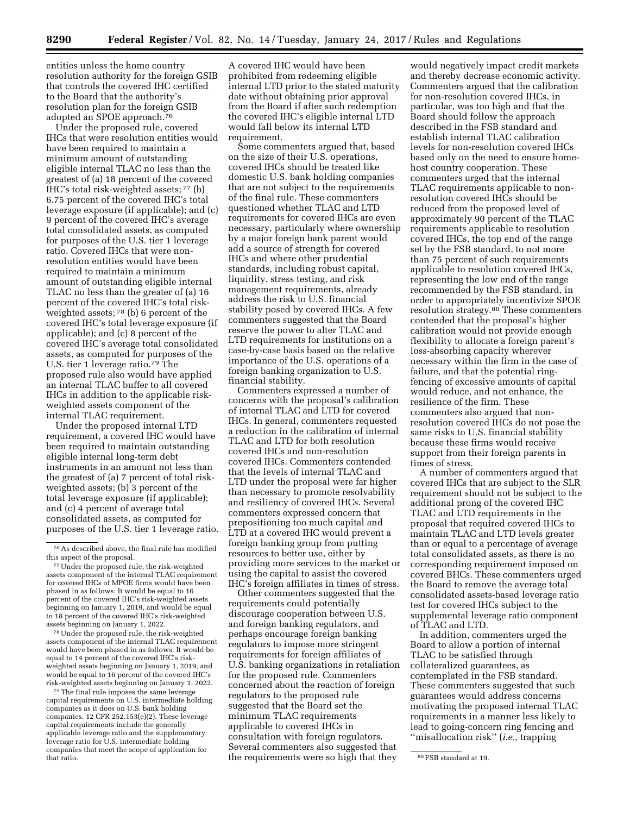entities unless the home country resolution authority for the foreign GSIB that controls the covered IHC certified to the Board that the authority's resolution plan for the foreign GSIB adopted an SPOE approach.76

Under the proposed rule, covered IHCs that were resolution entities would have been required to maintain a minimum amount of outstanding eligible internal TLAC no less than the greatest of (a) 18 percent of the covered IHC's total risk-weighted assets; 77 (b) 6.75 percent of the covered IHC's total leverage exposure (if applicable); and (c) 9 percent of the covered IHC's average total consolidated assets, as computed for purposes of the U.S. tier 1 leverage ratio. Covered IHCs that were nonresolution entities would have been required to maintain a minimum amount of outstanding eligible internal TLAC no less than the greater of (a) 16 percent of the covered IHC's total riskweighted assets;<sup>78</sup> (b) 6 percent of the covered IHC's total leverage exposure (if applicable); and (c) 8 percent of the covered IHC's average total consolidated assets, as computed for purposes of the U.S. tier 1 leverage ratio.79 The proposed rule also would have applied an internal TLAC buffer to all covered IHCs in addition to the applicable riskweighted assets component of the internal TLAC requirement.

Under the proposed internal LTD requirement, a covered IHC would have been required to maintain outstanding eligible internal long-term debt instruments in an amount not less than the greatest of (a) 7 percent of total riskweighted assets; (b) 3 percent of the total leverage exposure (if applicable); and (c) 4 percent of average total consolidated assets, as computed for purposes of the U.S. tier 1 leverage ratio.

77Under the proposed rule, the risk-weighted assets component of the internal TLAC requirement for covered IHCs of MPOE firms would have been phased in as follows: It would be equal to 16 percent of the covered IHC's risk-weighted assets beginning on January 1, 2019, and would be equal to 18 percent of the covered IHC's risk-weighted assets beginning on January 1, 2022.

78Under the proposed rule, the risk-weighted assets component of the internal TLAC requirement would have been phased in as follows: It would be equal to 14 percent of the covered IHC's riskweighted assets beginning on January 1, 2019, and would be equal to 16 percent of the covered IHC's risk-weighted assets beginning on January 1, 2022.

79The final rule imposes the same leverage capital requirements on U.S. intermediate holding companies as it does on U.S. bank holding companies. 12 CFR 252.153(e)(2). These leverage capital requirements include the generally applicable leverage ratio and the supplementary leverage ratio for U.S. intermediate holding companies that meet the scope of application for

A covered IHC would have been prohibited from redeeming eligible internal LTD prior to the stated maturity date without obtaining prior approval from the Board if after such redemption the covered IHC's eligible internal LTD would fall below its internal LTD requirement.

Some commenters argued that, based on the size of their U.S. operations, covered IHCs should be treated like domestic U.S. bank holding companies that are not subject to the requirements of the final rule. These commenters questioned whether TLAC and LTD requirements for covered IHCs are even necessary, particularly where ownership by a major foreign bank parent would add a source of strength for covered IHCs and where other prudential standards, including robust capital, liquidity, stress testing, and risk management requirements, already address the risk to U.S. financial stability posed by covered IHCs. A few commenters suggested that the Board reserve the power to alter TLAC and LTD requirements for institutions on a case-by-case basis based on the relative importance of the U.S. operations of a foreign banking organization to U.S. financial stability.

Commenters expressed a number of concerns with the proposal's calibration of internal TLAC and LTD for covered IHCs. In general, commenters requested a reduction in the calibration of internal TLAC and LTD for both resolution covered IHCs and non-resolution covered IHCs. Commenters contended that the levels of internal TLAC and LTD under the proposal were far higher than necessary to promote resolvability and resiliency of covered IHCs. Several commenters expressed concern that prepositioning too much capital and LTD at a covered IHC would prevent a foreign banking group from putting resources to better use, either by providing more services to the market or using the capital to assist the covered IHC's foreign affiliates in times of stress.

that ratio. The requirements were so high that they so FSB standard at 19. Other commenters suggested that the requirements could potentially discourage cooperation between U.S. and foreign banking regulators, and perhaps encourage foreign banking regulators to impose more stringent requirements for foreign affiliates of U.S. banking organizations in retaliation for the proposed rule. Commenters concerned about the reaction of foreign regulators to the proposed rule suggested that the Board set the minimum TLAC requirements applicable to covered IHCs in consultation with foreign regulators. Several commenters also suggested that

would negatively impact credit markets and thereby decrease economic activity. Commenters argued that the calibration for non-resolution covered IHCs, in particular, was too high and that the Board should follow the approach described in the FSB standard and establish internal TLAC calibration levels for non-resolution covered IHCs based only on the need to ensure homehost country cooperation. These commenters urged that the internal TLAC requirements applicable to nonresolution covered IHCs should be reduced from the proposed level of approximately 90 percent of the TLAC requirements applicable to resolution covered IHCs, the top end of the range set by the FSB standard, to not more than 75 percent of such requirements applicable to resolution covered IHCs, representing the low end of the range recommended by the FSB standard, in order to appropriately incentivize SPOE resolution strategy.80 These commenters contended that the proposal's higher calibration would not provide enough flexibility to allocate a foreign parent's loss-absorbing capacity wherever necessary within the firm in the case of failure, and that the potential ringfencing of excessive amounts of capital would reduce, and not enhance, the resilience of the firm. These commenters also argued that nonresolution covered IHCs do not pose the same risks to U.S. financial stability because these firms would receive support from their foreign parents in times of stress.

A number of commenters argued that covered IHCs that are subject to the SLR requirement should not be subject to the additional prong of the covered IHC TLAC and LTD requirements in the proposal that required covered IHCs to maintain TLAC and LTD levels greater than or equal to a percentage of average total consolidated assets, as there is no corresponding requirement imposed on covered BHCs. These commenters urged the Board to remove the average total consolidated assets-based leverage ratio test for covered IHCs subject to the supplemental leverage ratio component of TLAC and LTD.

In addition, commenters urged the Board to allow a portion of internal TLAC to be satisfied through collateralized guarantees, as contemplated in the FSB standard. These commenters suggested that such guarantees would address concerns motivating the proposed internal TLAC requirements in a manner less likely to lead to going-concern ring fencing and ''misallocation risk'' (*i.e.,* trapping

<sup>76</sup>As described above, the final rule has modified this aspect of the proposal.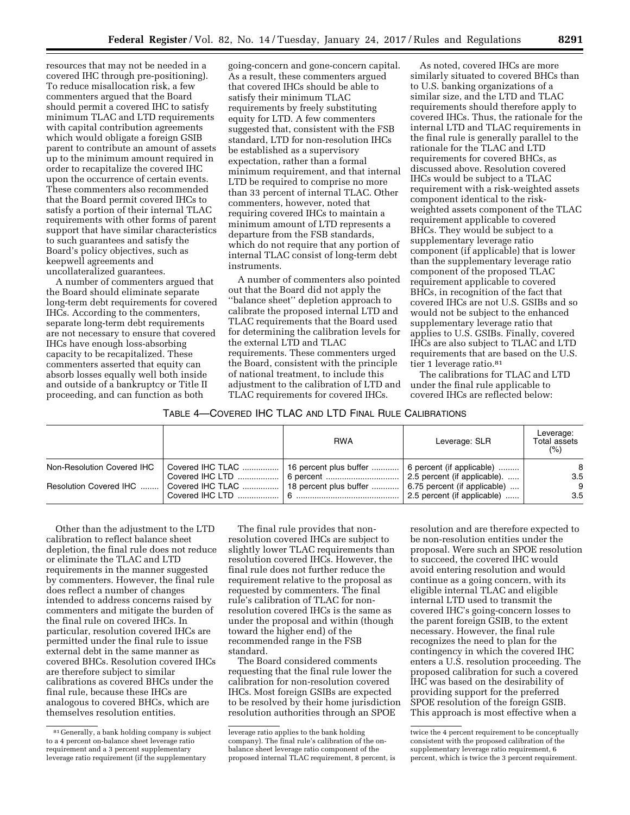resources that may not be needed in a covered IHC through pre-positioning). To reduce misallocation risk, a few commenters argued that the Board should permit a covered IHC to satisfy minimum TLAC and LTD requirements with capital contribution agreements which would obligate a foreign GSIB parent to contribute an amount of assets up to the minimum amount required in order to recapitalize the covered IHC upon the occurrence of certain events. These commenters also recommended that the Board permit covered IHCs to satisfy a portion of their internal TLAC requirements with other forms of parent support that have similar characteristics to such guarantees and satisfy the Board's policy objectives, such as keepwell agreements and uncollateralized guarantees.

A number of commenters argued that the Board should eliminate separate long-term debt requirements for covered IHCs. According to the commenters, separate long-term debt requirements are not necessary to ensure that covered IHCs have enough loss-absorbing capacity to be recapitalized. These commenters asserted that equity can absorb losses equally well both inside and outside of a bankruptcy or Title II proceeding, and can function as both

going-concern and gone-concern capital. As a result, these commenters argued that covered IHCs should be able to satisfy their minimum TLAC requirements by freely substituting equity for LTD. A few commenters suggested that, consistent with the FSB standard, LTD for non-resolution IHCs be established as a supervisory expectation, rather than a formal minimum requirement, and that internal LTD be required to comprise no more than 33 percent of internal TLAC. Other commenters, however, noted that requiring covered IHCs to maintain a minimum amount of LTD represents a departure from the FSB standards, which do not require that any portion of internal TLAC consist of long-term debt instruments.

A number of commenters also pointed out that the Board did not apply the ''balance sheet'' depletion approach to calibrate the proposed internal LTD and TLAC requirements that the Board used for determining the calibration levels for the external LTD and TLAC requirements. These commenters urged the Board, consistent with the principle of national treatment, to include this adjustment to the calibration of LTD and TLAC requirements for covered IHCs.

As noted, covered IHCs are more similarly situated to covered BHCs than to U.S. banking organizations of a similar size, and the LTD and TLAC requirements should therefore apply to covered IHCs. Thus, the rationale for the internal LTD and TLAC requirements in the final rule is generally parallel to the rationale for the TLAC and LTD requirements for covered BHCs, as discussed above. Resolution covered IHCs would be subject to a TLAC requirement with a risk-weighted assets component identical to the riskweighted assets component of the TLAC requirement applicable to covered BHCs. They would be subject to a supplementary leverage ratio component (if applicable) that is lower than the supplementary leverage ratio component of the proposed TLAC requirement applicable to covered BHCs, in recognition of the fact that covered IHCs are not U.S. GSIBs and so would not be subject to the enhanced supplementary leverage ratio that applies to U.S. GSIBs. Finally, covered IHCs are also subject to TLAC and LTD requirements that are based on the U.S. tier 1 leverage ratio.<sup>81</sup>

The calibrations for TLAC and LTD under the final rule applicable to covered IHCs are reflected below:

## TABLE 4—COVERED IHC TLAC AND LTD FINAL RULE CALIBRATIONS

|                            |                                            | <b>RWA</b> | Leverage: SLR                        | Leverage:<br>Total assets<br>(% ) |
|----------------------------|--------------------------------------------|------------|--------------------------------------|-----------------------------------|
| Non-Resolution Covered IHC | Covered IHC TLAC    16 percent plus buffer |            | 6 percent (if applicable)            | 8                                 |
| Resolution Covered IHC     | Covered IHC TLAC    18 percent plus buffer |            | $\vert$ 6.75 percent (if applicable) | 3.5<br>9                          |
|                            |                                            |            | 2.5 percent (if applicable)          | 3.5                               |

Other than the adjustment to the LTD calibration to reflect balance sheet depletion, the final rule does not reduce or eliminate the TLAC and LTD requirements in the manner suggested by commenters. However, the final rule does reflect a number of changes intended to address concerns raised by commenters and mitigate the burden of the final rule on covered IHCs. In particular, resolution covered IHCs are permitted under the final rule to issue external debt in the same manner as covered BHCs. Resolution covered IHCs are therefore subject to similar calibrations as covered BHCs under the final rule, because these IHCs are analogous to covered BHCs, which are themselves resolution entities.

The final rule provides that nonresolution covered IHCs are subject to slightly lower TLAC requirements than resolution covered IHCs. However, the final rule does not further reduce the requirement relative to the proposal as requested by commenters. The final rule's calibration of TLAC for nonresolution covered IHCs is the same as under the proposal and within (though toward the higher end) of the recommended range in the FSB standard.

The Board considered comments requesting that the final rule lower the calibration for non-resolution covered IHCs. Most foreign GSIBs are expected to be resolved by their home jurisdiction resolution authorities through an SPOE

resolution and are therefore expected to be non-resolution entities under the proposal. Were such an SPOE resolution to succeed, the covered IHC would avoid entering resolution and would continue as a going concern, with its eligible internal TLAC and eligible internal LTD used to transmit the covered IHC's going-concern losses to the parent foreign GSIB, to the extent necessary. However, the final rule recognizes the need to plan for the contingency in which the covered IHC enters a U.S. resolution proceeding. The proposed calibration for such a covered IHC was based on the desirability of providing support for the preferred SPOE resolution of the foreign GSIB. This approach is most effective when a

<sup>81</sup> Generally, a bank holding company is subject to a 4 percent on-balance sheet leverage ratio requirement and a 3 percent supplementary leverage ratio requirement (if the supplementary

leverage ratio applies to the bank holding company). The final rule's calibration of the onbalance sheet leverage ratio component of the proposed internal TLAC requirement, 8 percent, is

twice the 4 percent requirement to be conceptually consistent with the proposed calibration of the supplementary leverage ratio requirement, 6 percent, which is twice the 3 percent requirement.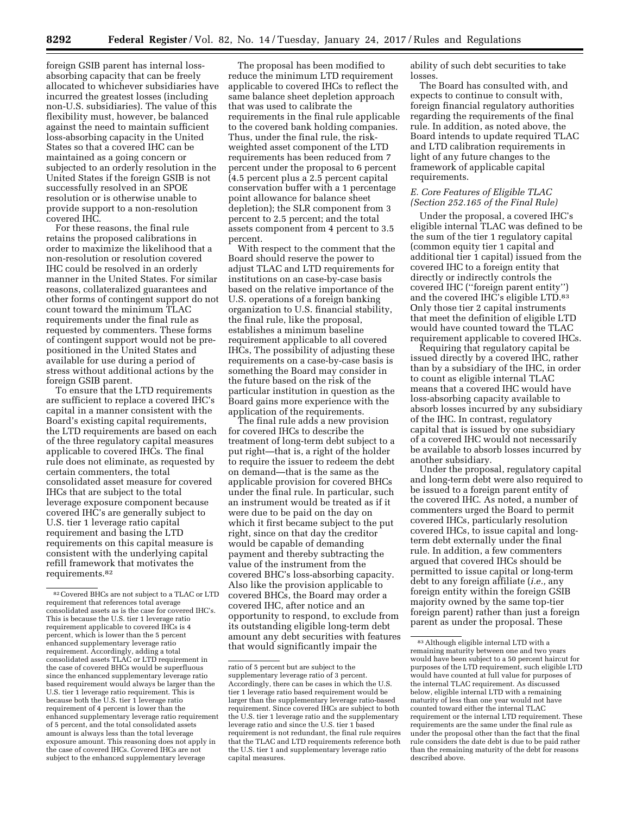foreign GSIB parent has internal lossabsorbing capacity that can be freely allocated to whichever subsidiaries have incurred the greatest losses (including non-U.S. subsidiaries). The value of this flexibility must, however, be balanced against the need to maintain sufficient loss-absorbing capacity in the United States so that a covered IHC can be maintained as a going concern or subjected to an orderly resolution in the United States if the foreign GSIB is not successfully resolved in an SPOE resolution or is otherwise unable to provide support to a non-resolution covered IHC.

For these reasons, the final rule retains the proposed calibrations in order to maximize the likelihood that a non-resolution or resolution covered IHC could be resolved in an orderly manner in the United States. For similar reasons, collateralized guarantees and other forms of contingent support do not count toward the minimum TLAC requirements under the final rule as requested by commenters. These forms of contingent support would not be prepositioned in the United States and available for use during a period of stress without additional actions by the foreign GSIB parent.

To ensure that the LTD requirements are sufficient to replace a covered IHC's capital in a manner consistent with the Board's existing capital requirements, the LTD requirements are based on each of the three regulatory capital measures applicable to covered IHCs. The final rule does not eliminate, as requested by certain commenters, the total consolidated asset measure for covered IHCs that are subject to the total leverage exposure component because covered IHC's are generally subject to U.S. tier 1 leverage ratio capital requirement and basing the LTD requirements on this capital measure is consistent with the underlying capital refill framework that motivates the requirements.82

The proposal has been modified to reduce the minimum LTD requirement applicable to covered IHCs to reflect the same balance sheet depletion approach that was used to calibrate the requirements in the final rule applicable to the covered bank holding companies. Thus, under the final rule, the riskweighted asset component of the LTD requirements has been reduced from 7 percent under the proposal to 6 percent (4.5 percent plus a 2.5 percent capital conservation buffer with a 1 percentage point allowance for balance sheet depletion); the SLR component from 3 percent to 2.5 percent; and the total assets component from 4 percent to 3.5 percent.

With respect to the comment that the Board should reserve the power to adjust TLAC and LTD requirements for institutions on an case-by-case basis based on the relative importance of the U.S. operations of a foreign banking organization to U.S. financial stability, the final rule, like the proposal, establishes a minimum baseline requirement applicable to all covered IHCs, The possibility of adjusting these requirements on a case-by-case basis is something the Board may consider in the future based on the risk of the particular institution in question as the Board gains more experience with the application of the requirements.

The final rule adds a new provision for covered IHCs to describe the treatment of long-term debt subject to a put right—that is, a right of the holder to require the issuer to redeem the debt on demand—that is the same as the applicable provision for covered BHCs under the final rule. In particular, such an instrument would be treated as if it were due to be paid on the day on which it first became subject to the put right, since on that day the creditor would be capable of demanding payment and thereby subtracting the value of the instrument from the covered BHC's loss-absorbing capacity. Also like the provision applicable to covered BHCs, the Board may order a covered IHC, after notice and an opportunity to respond, to exclude from its outstanding eligible long-term debt amount any debt securities with features that would significantly impair the

ability of such debt securities to take losses.

The Board has consulted with, and expects to continue to consult with, foreign financial regulatory authorities regarding the requirements of the final rule. In addition, as noted above, the Board intends to update required TLAC and LTD calibration requirements in light of any future changes to the framework of applicable capital requirements.

## *E. Core Features of Eligible TLAC (Section 252.165 of the Final Rule)*

Under the proposal, a covered IHC's eligible internal TLAC was defined to be the sum of the tier 1 regulatory capital (common equity tier 1 capital and additional tier 1 capital) issued from the covered IHC to a foreign entity that directly or indirectly controls the covered IHC (''foreign parent entity'') and the covered IHC's eligible LTD.83 Only those tier 2 capital instruments that meet the definition of eligible LTD would have counted toward the TLAC requirement applicable to covered IHCs.

Requiring that regulatory capital be issued directly by a covered IHC, rather than by a subsidiary of the IHC, in order to count as eligible internal TLAC means that a covered IHC would have loss-absorbing capacity available to absorb losses incurred by any subsidiary of the IHC. In contrast, regulatory capital that is issued by one subsidiary of a covered IHC would not necessarily be available to absorb losses incurred by another subsidiary.

Under the proposal, regulatory capital and long-term debt were also required to be issued to a foreign parent entity of the covered IHC. As noted, a number of commenters urged the Board to permit covered IHCs, particularly resolution covered IHCs, to issue capital and longterm debt externally under the final rule. In addition, a few commenters argued that covered IHCs should be permitted to issue capital or long-term debt to any foreign affiliate (*i.e.,* any foreign entity within the foreign GSIB majority owned by the same top-tier foreign parent) rather than just a foreign parent as under the proposal. These

<sup>82</sup>Covered BHCs are not subject to a TLAC or LTD requirement that references total average consolidated assets as is the case for covered IHC's. This is because the U.S. tier 1 leverage ratio requirement applicable to covered IHCs is 4 percent, which is lower than the 5 percent enhanced supplementary leverage ratio requirement. Accordingly, adding a total consolidated assets TLAC or LTD requirement in the case of covered BHCs would be superfluous since the enhanced supplementary leverage ratio based requirement would always be larger than the U.S. tier 1 leverage ratio requirement. This is because both the U.S. tier 1 leverage ratio requirement of 4 percent is lower than the enhanced supplementary leverage ratio requirement of 5 percent, and the total consolidated assets amount is always less than the total leverage exposure amount. This reasoning does not apply in the case of covered IHCs. Covered IHCs are not subject to the enhanced supplementary leverage

ratio of 5 percent but are subject to the supplementary leverage ratio of 3 percent. Accordingly, there can be cases in which the U.S. tier 1 leverage ratio based requirement would be larger than the supplementary leverage ratio-based requirement. Since covered IHCs are subject to both the U.S. tier 1 leverage ratio and the supplementary leverage ratio and since the U.S. tier 1 based requirement is not redundant, the final rule requires that the TLAC and LTD requirements reference both the U.S. tier 1 and supplementary leverage ratio capital measures.

<sup>83</sup>Although eligible internal LTD with a remaining maturity between one and two years would have been subject to a 50 percent haircut for purposes of the LTD requirement, such eligible LTD would have counted at full value for purposes of the internal TLAC requirement. As discussed below, eligible internal LTD with a remaining maturity of less than one year would not have counted toward either the internal TLAC requirement or the internal LTD requirement. These requirements are the same under the final rule as under the proposal other than the fact that the final rule considers the date debt is due to be paid rather than the remaining maturity of the debt for reasons described above.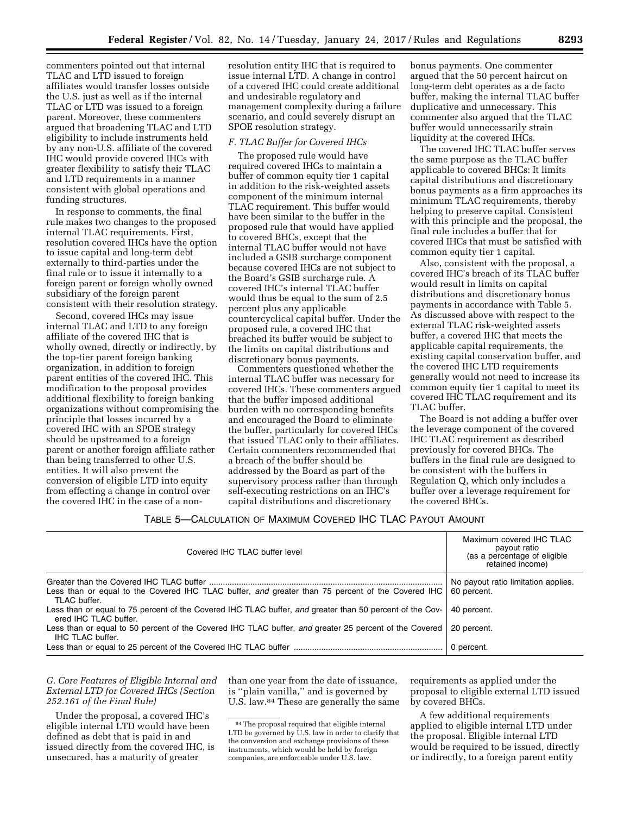commenters pointed out that internal TLAC and LTD issued to foreign affiliates would transfer losses outside the U.S. just as well as if the internal TLAC or LTD was issued to a foreign parent. Moreover, these commenters argued that broadening TLAC and LTD eligibility to include instruments held by any non-U.S. affiliate of the covered IHC would provide covered IHCs with greater flexibility to satisfy their TLAC and LTD requirements in a manner consistent with global operations and funding structures.

In response to comments, the final rule makes two changes to the proposed internal TLAC requirements. First, resolution covered IHCs have the option to issue capital and long-term debt externally to third-parties under the final rule or to issue it internally to a foreign parent or foreign wholly owned subsidiary of the foreign parent consistent with their resolution strategy.

Second, covered IHCs may issue internal TLAC and LTD to any foreign affiliate of the covered IHC that is wholly owned, directly or indirectly, by the top-tier parent foreign banking organization, in addition to foreign parent entities of the covered IHC. This modification to the proposal provides additional flexibility to foreign banking organizations without compromising the principle that losses incurred by a covered IHC with an SPOE strategy should be upstreamed to a foreign parent or another foreign affiliate rather than being transferred to other U.S. entities. It will also prevent the conversion of eligible LTD into equity from effecting a change in control over the covered IHC in the case of a non-

resolution entity IHC that is required to issue internal LTD. A change in control of a covered IHC could create additional and undesirable regulatory and management complexity during a failure scenario, and could severely disrupt an SPOE resolution strategy.

#### *F. TLAC Buffer for Covered IHCs*

The proposed rule would have required covered IHCs to maintain a buffer of common equity tier 1 capital in addition to the risk-weighted assets component of the minimum internal TLAC requirement. This buffer would have been similar to the buffer in the proposed rule that would have applied to covered BHCs, except that the internal TLAC buffer would not have included a GSIB surcharge component because covered IHCs are not subject to the Board's GSIB surcharge rule. A covered IHC's internal TLAC buffer would thus be equal to the sum of 2.5 percent plus any applicable countercyclical capital buffer. Under the proposed rule, a covered IHC that breached its buffer would be subject to the limits on capital distributions and discretionary bonus payments.

Commenters questioned whether the internal TLAC buffer was necessary for covered IHCs. These commenters argued that the buffer imposed additional burden with no corresponding benefits and encouraged the Board to eliminate the buffer, particularly for covered IHCs that issued TLAC only to their affiliates. Certain commenters recommended that a breach of the buffer should be addressed by the Board as part of the supervisory process rather than through self-executing restrictions on an IHC's capital distributions and discretionary

bonus payments. One commenter argued that the 50 percent haircut on long-term debt operates as a de facto buffer, making the internal TLAC buffer duplicative and unnecessary. This commenter also argued that the TLAC buffer would unnecessarily strain liquidity at the covered IHCs.

The covered IHC TLAC buffer serves the same purpose as the TLAC buffer applicable to covered BHCs: It limits capital distributions and discretionary bonus payments as a firm approaches its minimum TLAC requirements, thereby helping to preserve capital. Consistent with this principle and the proposal, the final rule includes a buffer that for covered IHCs that must be satisfied with common equity tier 1 capital.

Also, consistent with the proposal, a covered IHC's breach of its TLAC buffer would result in limits on capital distributions and discretionary bonus payments in accordance with Table 5. As discussed above with respect to the external TLAC risk-weighted assets buffer, a covered IHC that meets the applicable capital requirements, the existing capital conservation buffer, and the covered IHC LTD requirements generally would not need to increase its common equity tier 1 capital to meet its covered IHC TLAC requirement and its TLAC buffer.

The Board is not adding a buffer over the leverage component of the covered IHC TLAC requirement as described previously for covered BHCs. The buffers in the final rule are designed to be consistent with the buffers in Regulation Q, which only includes a buffer over a leverage requirement for the covered BHCs.

## TABLE 5—CALCULATION OF MAXIMUM COVERED IHC TLAC PAYOUT AMOUNT

| Covered IHC TLAC buffer level                                                                                                     | Maximum covered IHC TLAC<br>payout ratio<br>(as a percentage of eligible<br>retained income) |
|-----------------------------------------------------------------------------------------------------------------------------------|----------------------------------------------------------------------------------------------|
| Less than or equal to the Covered IHC TLAC buffer, and greater than 75 percent of the Covered IHC<br>TLAC buffer.                 | No payout ratio limitation applies.<br>60 percent.                                           |
| Less than or equal to 75 percent of the Covered IHC TLAC buffer, and greater than 50 percent of the Cov-<br>ered IHC TLAC buffer. | 40 percent.                                                                                  |
| Less than or equal to 50 percent of the Covered IHC TLAC buffer, and greater 25 percent of the Covered<br><b>IHC TLAC buffer.</b> | 20 percent.                                                                                  |
|                                                                                                                                   | 0 percent.                                                                                   |

*G. Core Features of Eligible Internal and External LTD for Covered IHCs (Section 252.161 of the Final Rule)* 

Under the proposal, a covered IHC's eligible internal LTD would have been defined as debt that is paid in and issued directly from the covered IHC, is unsecured, has a maturity of greater

than one year from the date of issuance, is ''plain vanilla,'' and is governed by U.S. law.84 These are generally the same

requirements as applied under the proposal to eligible external LTD issued by covered BHCs.

A few additional requirements applied to eligible internal LTD under the proposal. Eligible internal LTD would be required to be issued, directly or indirectly, to a foreign parent entity

<sup>84</sup>The proposal required that eligible internal LTD be governed by U.S. law in order to clarify that the conversion and exchange provisions of these instruments, which would be held by foreign companies, are enforceable under U.S. law.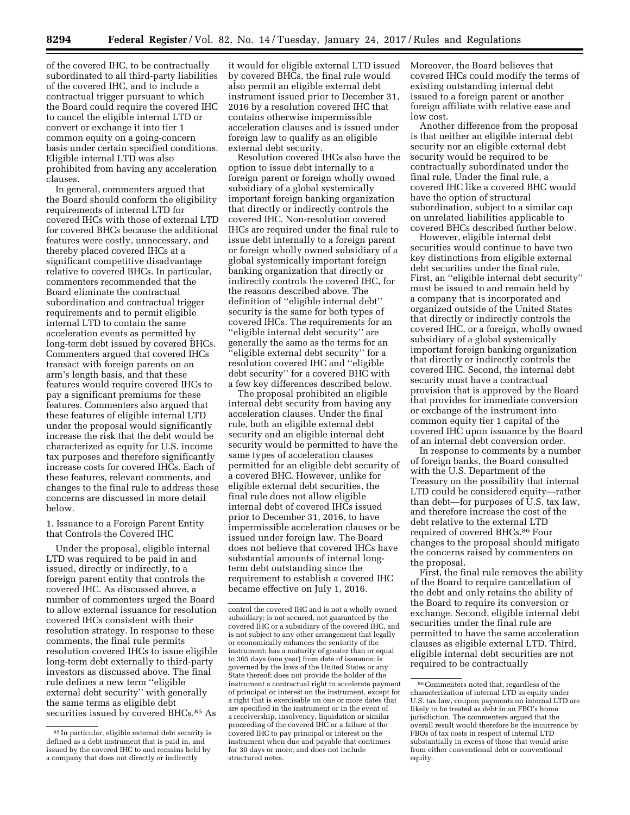of the covered IHC, to be contractually subordinated to all third-party liabilities of the covered IHC, and to include a contractual trigger pursuant to which the Board could require the covered IHC to cancel the eligible internal LTD or convert or exchange it into tier 1 common equity on a going-concern basis under certain specified conditions. Eligible internal LTD was also prohibited from having any acceleration clauses.

In general, commenters argued that the Board should conform the eligibility requirements of internal LTD for covered IHCs with those of external LTD for covered BHCs because the additional features were costly, unnecessary, and thereby placed covered IHCs at a significant competitive disadvantage relative to covered BHCs. In particular, commenters recommended that the Board eliminate the contractual subordination and contractual trigger requirements and to permit eligible internal LTD to contain the same acceleration events as permitted by long-term debt issued by covered BHCs. Commenters argued that covered IHCs transact with foreign parents on an arm's length basis, and that these features would require covered IHCs to pay a significant premiums for these features. Commenters also argued that these features of eligible internal LTD under the proposal would significantly increase the risk that the debt would be characterized as equity for U.S. income tax purposes and therefore significantly increase costs for covered IHCs. Each of these features, relevant comments, and changes to the final rule to address these concerns are discussed in more detail below.

1. Issuance to a Foreign Parent Entity that Controls the Covered IHC

Under the proposal, eligible internal LTD was required to be paid in and issued, directly or indirectly, to a foreign parent entity that controls the covered IHC. As discussed above, a number of commenters urged the Board to allow external issuance for resolution covered IHCs consistent with their resolution strategy. In response to these comments, the final rule permits resolution covered IHCs to issue eligible long-term debt externally to third-party investors as discussed above. The final rule defines a new term ''eligible external debt security'' with generally the same terms as eligible debt securities issued by covered BHCs.85 As

it would for eligible external LTD issued by covered BHCs, the final rule would also permit an eligible external debt instrument issued prior to December 31, 2016 by a resolution covered IHC that contains otherwise impermissible acceleration clauses and is issued under foreign law to qualify as an eligible external debt security.

Resolution covered IHCs also have the option to issue debt internally to a foreign parent or foreign wholly owned subsidiary of a global systemically important foreign banking organization that directly or indirectly controls the covered IHC. Non-resolution covered IHCs are required under the final rule to issue debt internally to a foreign parent or foreign wholly owned subsidiary of a global systemically important foreign banking organization that directly or indirectly controls the covered IHC, for the reasons described above. The definition of ''eligible internal debt'' security is the same for both types of covered IHCs. The requirements for an ''eligible internal debt security'' are generally the same as the terms for an ''eligible external debt security'' for a resolution covered IHC and ''eligible debt security'' for a covered BHC with a few key differences described below.

The proposal prohibited an eligible internal debt security from having any acceleration clauses. Under the final rule, both an eligible external debt security and an eligible internal debt security would be permitted to have the same types of acceleration clauses permitted for an eligible debt security of a covered BHC. However, unlike for eligible external debt securities, the final rule does not allow eligible internal debt of covered IHCs issued prior to December 31, 2016, to have impermissible acceleration clauses or be issued under foreign law. The Board does not believe that covered IHCs have substantial amounts of internal longterm debt outstanding since the requirement to establish a covered IHC became effective on July 1, 2016.

Moreover, the Board believes that covered IHCs could modify the terms of existing outstanding internal debt issued to a foreign parent or another foreign affiliate with relative ease and low cost.

Another difference from the proposal is that neither an eligible internal debt security nor an eligible external debt security would be required to be contractually subordinated under the final rule. Under the final rule, a covered IHC like a covered BHC would have the option of structural subordination, subject to a similar cap on unrelated liabilities applicable to covered BHCs described further below.

However, eligible internal debt securities would continue to have two key distinctions from eligible external debt securities under the final rule. First, an ''eligible internal debt security'' must be issued to and remain held by a company that is incorporated and organized outside of the United States that directly or indirectly controls the covered IHC, or a foreign, wholly owned subsidiary of a global systemically important foreign banking organization that directly or indirectly controls the covered IHC. Second, the internal debt security must have a contractual provision that is approved by the Board that provides for immediate conversion or exchange of the instrument into common equity tier 1 capital of the covered IHC upon issuance by the Board of an internal debt conversion order.

In response to comments by a number of foreign banks, the Board consulted with the U.S. Department of the Treasury on the possibility that internal LTD could be considered equity—rather than debt—for purposes of U.S. tax law, and therefore increase the cost of the debt relative to the external LTD required of covered BHCs.86 Four changes to the proposal should mitigate the concerns raised by commenters on the proposal.

First, the final rule removes the ability of the Board to require cancellation of the debt and only retains the ability of the Board to require its conversion or exchange. Second, eligible internal debt securities under the final rule are permitted to have the same acceleration clauses as eligible external LTD. Third, eligible internal debt securities are not required to be contractually

<sup>85</sup> In particular, eligible external debt security is defined as a debt instrument that is paid in, and issued by the covered IHC to and remains held by a company that does not directly or indirectly

control the covered IHC and is not a wholly owned subsidiary; is not secured, not guaranteed by the covered IHC or a subsidiary of the covered IHC, and is not subject to any other arrangement that legally or economically enhances the seniority of the instrument; has a maturity of greater than or equal to 365 days (one year) from date of issuance; is governed by the laws of the United States or any State thereof; does not provide the holder of the instrument a contractual right to accelerate payment of principal or interest on the instrument, except for a right that is exercisable on one or more dates that are specified in the instrument or in the event of a receivership, insolvency, liquidation or similar proceeding of the covered IHC or a failure of the covered IHC to pay principal or interest on the instrument when due and payable that continues for 30 days or more; and does not include structured notes.

<sup>86</sup>Commenters noted that, regardless of the characterization of internal LTD as equity under U.S. tax law, coupon payments on internal LTD are likely to be treated as debt in an FBO's home jurisdiction. The commenters argued that the overall result would therefore be the incurrence by FBOs of tax costs in respect of internal LTD substantially in excess of those that would arise from either conventional debt or conventional equity.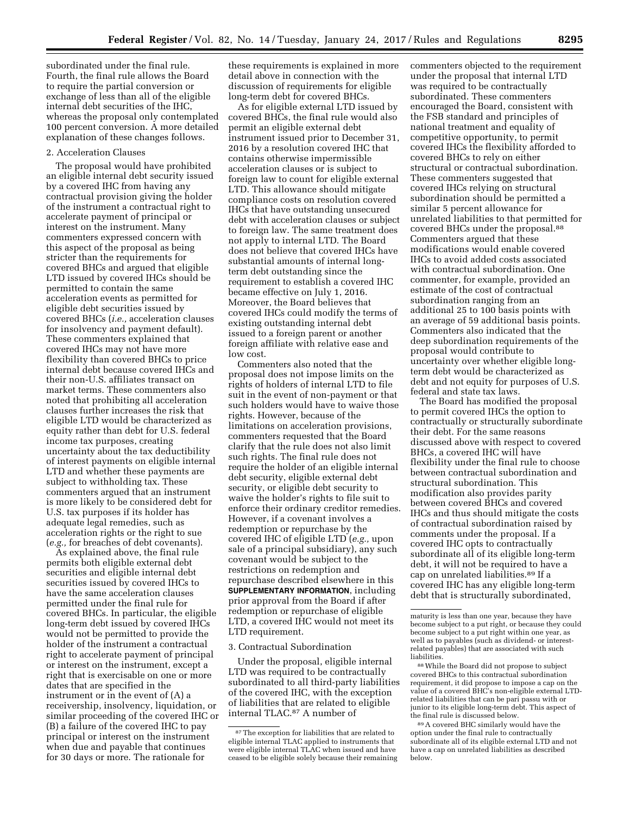subordinated under the final rule. Fourth, the final rule allows the Board to require the partial conversion or exchange of less than all of the eligible internal debt securities of the IHC, whereas the proposal only contemplated 100 percent conversion. A more detailed explanation of these changes follows.

## 2. Acceleration Clauses

The proposal would have prohibited an eligible internal debt security issued by a covered IHC from having any contractual provision giving the holder of the instrument a contractual right to accelerate payment of principal or interest on the instrument. Many commenters expressed concern with this aspect of the proposal as being stricter than the requirements for covered BHCs and argued that eligible LTD issued by covered IHCs should be permitted to contain the same acceleration events as permitted for eligible debt securities issued by covered BHCs (*i.e.,* acceleration clauses for insolvency and payment default). These commenters explained that covered IHCs may not have more flexibility than covered BHCs to price internal debt because covered IHCs and their non-U.S. affiliates transact on market terms. These commenters also noted that prohibiting all acceleration clauses further increases the risk that eligible LTD would be characterized as equity rather than debt for U.S. federal income tax purposes, creating uncertainty about the tax deductibility of interest payments on eligible internal LTD and whether these payments are subject to withholding tax. These commenters argued that an instrument is more likely to be considered debt for U.S. tax purposes if its holder has adequate legal remedies, such as acceleration rights or the right to sue (*e.g.,* for breaches of debt covenants).

As explained above, the final rule permits both eligible external debt securities and eligible internal debt securities issued by covered IHCs to have the same acceleration clauses permitted under the final rule for covered BHCs. In particular, the eligible long-term debt issued by covered IHCs would not be permitted to provide the holder of the instrument a contractual right to accelerate payment of principal or interest on the instrument, except a right that is exercisable on one or more dates that are specified in the instrument or in the event of (A) a receivership, insolvency, liquidation, or similar proceeding of the covered IHC or (B) a failure of the covered IHC to pay principal or interest on the instrument when due and payable that continues for 30 days or more. The rationale for

these requirements is explained in more detail above in connection with the discussion of requirements for eligible long-term debt for covered BHCs.

As for eligible external LTD issued by covered BHCs, the final rule would also permit an eligible external debt instrument issued prior to December 31, 2016 by a resolution covered IHC that contains otherwise impermissible acceleration clauses or is subject to foreign law to count for eligible external LTD. This allowance should mitigate compliance costs on resolution covered IHCs that have outstanding unsecured debt with acceleration clauses or subject to foreign law. The same treatment does not apply to internal LTD. The Board does not believe that covered IHCs have substantial amounts of internal longterm debt outstanding since the requirement to establish a covered IHC became effective on July 1, 2016. Moreover, the Board believes that covered IHCs could modify the terms of existing outstanding internal debt issued to a foreign parent or another foreign affiliate with relative ease and low cost.

Commenters also noted that the proposal does not impose limits on the rights of holders of internal LTD to file suit in the event of non-payment or that such holders would have to waive those rights. However, because of the limitations on acceleration provisions, commenters requested that the Board clarify that the rule does not also limit such rights. The final rule does not require the holder of an eligible internal debt security, eligible external debt security, or eligible debt security to waive the holder's rights to file suit to enforce their ordinary creditor remedies. However, if a covenant involves a redemption or repurchase by the covered IHC of eligible LTD (*e.g.,* upon sale of a principal subsidiary), any such covenant would be subject to the restrictions on redemption and repurchase described elsewhere in this **SUPPLEMENTARY INFORMATION**, including prior approval from the Board if after redemption or repurchase of eligible LTD, a covered IHC would not meet its LTD requirement.

#### 3. Contractual Subordination

Under the proposal, eligible internal LTD was required to be contractually subordinated to all third-party liabilities of the covered IHC, with the exception of liabilities that are related to eligible internal TLAC.87 A number of

commenters objected to the requirement under the proposal that internal LTD was required to be contractually subordinated. These commenters encouraged the Board, consistent with the FSB standard and principles of national treatment and equality of competitive opportunity, to permit covered IHCs the flexibility afforded to covered BHCs to rely on either structural or contractual subordination. These commenters suggested that covered IHCs relying on structural subordination should be permitted a similar 5 percent allowance for unrelated liabilities to that permitted for covered BHCs under the proposal.88 Commenters argued that these modifications would enable covered IHCs to avoid added costs associated with contractual subordination. One commenter, for example, provided an estimate of the cost of contractual subordination ranging from an additional 25 to 100 basis points with an average of 59 additional basis points. Commenters also indicated that the deep subordination requirements of the proposal would contribute to uncertainty over whether eligible longterm debt would be characterized as debt and not equity for purposes of U.S. federal and state tax laws.

The Board has modified the proposal to permit covered IHCs the option to contractually or structurally subordinate their debt. For the same reasons discussed above with respect to covered BHCs, a covered IHC will have flexibility under the final rule to choose between contractual subordination and structural subordination. This modification also provides parity between covered BHCs and covered IHCs and thus should mitigate the costs of contractual subordination raised by comments under the proposal. If a covered IHC opts to contractually subordinate all of its eligible long-term debt, it will not be required to have a cap on unrelated liabilities.89 If a covered IHC has any eligible long-term debt that is structurally subordinated,

<sup>87</sup>The exception for liabilities that are related to eligible internal TLAC applied to instruments that were eligible internal TLAC when issued and have ceased to be eligible solely because their remaining

maturity is less than one year, because they have become subject to a put right, or because they could become subject to a put right within one year, as well as to payables (such as dividend- or interestrelated payables) that are associated with such liabilities.

<sup>88</sup>While the Board did not propose to subject covered BHCs to this contractual subordination requirement, it did propose to impose a cap on the value of a covered BHC's non-eligible external LTDrelated liabilities that can be pari passu with or junior to its eligible long-term debt. This aspect of the final rule is discussed below.

<sup>89</sup>A covered BHC similarly would have the option under the final rule to contractually subordinate all of its eligible external LTD and not have a cap on unrelated liabilities as described below.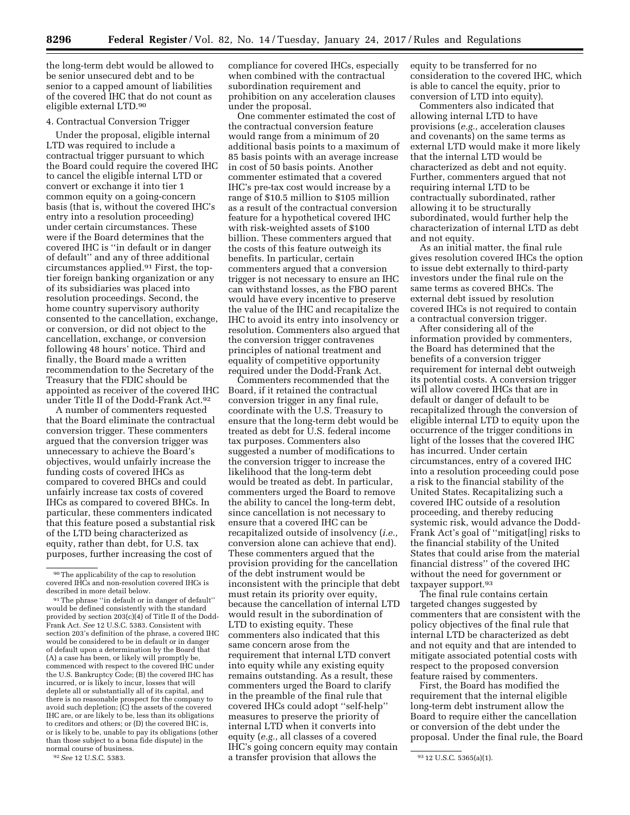the long-term debt would be allowed to be senior unsecured debt and to be senior to a capped amount of liabilities of the covered IHC that do not count as eligible external LTD.90

## 4. Contractual Conversion Trigger

Under the proposal, eligible internal LTD was required to include a contractual trigger pursuant to which the Board could require the covered IHC to cancel the eligible internal LTD or convert or exchange it into tier 1 common equity on a going-concern basis (that is, without the covered IHC's entry into a resolution proceeding) under certain circumstances. These were if the Board determines that the covered IHC is ''in default or in danger of default'' and any of three additional circumstances applied.91 First, the toptier foreign banking organization or any of its subsidiaries was placed into resolution proceedings. Second, the home country supervisory authority consented to the cancellation, exchange, or conversion, or did not object to the cancellation, exchange, or conversion following 48 hours' notice. Third and finally, the Board made a written recommendation to the Secretary of the Treasury that the FDIC should be appointed as receiver of the covered IHC under Title II of the Dodd-Frank Act.92

A number of commenters requested that the Board eliminate the contractual conversion trigger. These commenters argued that the conversion trigger was unnecessary to achieve the Board's objectives, would unfairly increase the funding costs of covered IHCs as compared to covered BHCs and could unfairly increase tax costs of covered IHCs as compared to covered BHCs. In particular, these commenters indicated that this feature posed a substantial risk of the LTD being characterized as equity, rather than debt, for U.S. tax purposes, further increasing the cost of

compliance for covered IHCs, especially when combined with the contractual subordination requirement and prohibition on any acceleration clauses under the proposal.

One commenter estimated the cost of the contractual conversion feature would range from a minimum of 20 additional basis points to a maximum of 85 basis points with an average increase in cost of 50 basis points. Another commenter estimated that a covered IHC's pre-tax cost would increase by a range of \$10.5 million to \$105 million as a result of the contractual conversion feature for a hypothetical covered IHC with risk-weighted assets of \$100 billion. These commenters argued that the costs of this feature outweigh its benefits. In particular, certain commenters argued that a conversion trigger is not necessary to ensure an IHC can withstand losses, as the FBO parent would have every incentive to preserve the value of the IHC and recapitalize the IHC to avoid its entry into insolvency or resolution. Commenters also argued that the conversion trigger contravenes principles of national treatment and equality of competitive opportunity required under the Dodd-Frank Act.

<sup>92</sup> See 12 U.S.C. 5383. **92 a** transfer provision that allows the  $\frac{93}{12}$  U.S.C. 5365(a)(1). Commenters recommended that the Board, if it retained the contractual conversion trigger in any final rule, coordinate with the U.S. Treasury to ensure that the long-term debt would be treated as debt for U.S. federal income tax purposes. Commenters also suggested a number of modifications to the conversion trigger to increase the likelihood that the long-term debt would be treated as debt. In particular, commenters urged the Board to remove the ability to cancel the long-term debt, since cancellation is not necessary to ensure that a covered IHC can be recapitalized outside of insolvency (*i.e.,*  conversion alone can achieve that end). These commenters argued that the provision providing for the cancellation of the debt instrument would be inconsistent with the principle that debt must retain its priority over equity, because the cancellation of internal LTD would result in the subordination of LTD to existing equity. These commenters also indicated that this same concern arose from the requirement that internal LTD convert into equity while any existing equity remains outstanding. As a result, these commenters urged the Board to clarify in the preamble of the final rule that covered IHCs could adopt ''self-help'' measures to preserve the priority of internal LTD when it converts into equity (*e.g.,* all classes of a covered IHC's going concern equity may contain

equity to be transferred for no consideration to the covered IHC, which is able to cancel the equity, prior to conversion of LTD into equity).

Commenters also indicated that allowing internal LTD to have provisions (*e.g.,* acceleration clauses and covenants) on the same terms as external LTD would make it more likely that the internal LTD would be characterized as debt and not equity. Further, commenters argued that not requiring internal LTD to be contractually subordinated, rather allowing it to be structurally subordinated, would further help the characterization of internal LTD as debt and not equity.

As an initial matter, the final rule gives resolution covered IHCs the option to issue debt externally to third-party investors under the final rule on the same terms as covered BHCs. The external debt issued by resolution covered IHCs is not required to contain a contractual conversion trigger.

After considering all of the information provided by commenters, the Board has determined that the benefits of a conversion trigger requirement for internal debt outweigh its potential costs. A conversion trigger will allow covered IHCs that are in default or danger of default to be recapitalized through the conversion of eligible internal LTD to equity upon the occurrence of the trigger conditions in light of the losses that the covered IHC has incurred. Under certain circumstances, entry of a covered IHC into a resolution proceeding could pose a risk to the financial stability of the United States. Recapitalizing such a covered IHC outside of a resolution proceeding, and thereby reducing systemic risk, would advance the Dodd-Frank Act's goal of ''mitigat[ing] risks to the financial stability of the United States that could arise from the material financial distress'' of the covered IHC without the need for government or taxpayer support.93

The final rule contains certain targeted changes suggested by commenters that are consistent with the policy objectives of the final rule that internal LTD be characterized as debt and not equity and that are intended to mitigate associated potential costs with respect to the proposed conversion feature raised by commenters.

First, the Board has modified the requirement that the internal eligible long-term debt instrument allow the Board to require either the cancellation or conversion of the debt under the proposal. Under the final rule, the Board

<sup>90</sup>The applicability of the cap to resolution covered IHCs and non-resolution covered IHCs is described in more detail below.

<sup>91</sup>The phrase ''in default or in danger of default'' would be defined consistently with the standard provided by section  $203(c)(4)$  of Title II of the Dodd-Frank Act. *See* 12 U.S.C. 5383. Consistent with section 203's definition of the phrase, a covered IHC would be considered to be in default or in danger of default upon a determination by the Board that (A) a case has been, or likely will promptly be, commenced with respect to the covered IHC under the U.S. Bankruptcy Code; (B) the covered IHC has incurred, or is likely to incur, losses that will deplete all or substantially all of its capital, and there is no reasonable prospect for the company to avoid such depletion; (C) the assets of the covered IHC are, or are likely to be, less than its obligations to creditors and others; or (D) the covered IHC is, or is likely to be, unable to pay its obligations (other than those subject to a bona fide dispute) in the normal course of business.<br><sup>92</sup> See 12 U.S.C. 5383.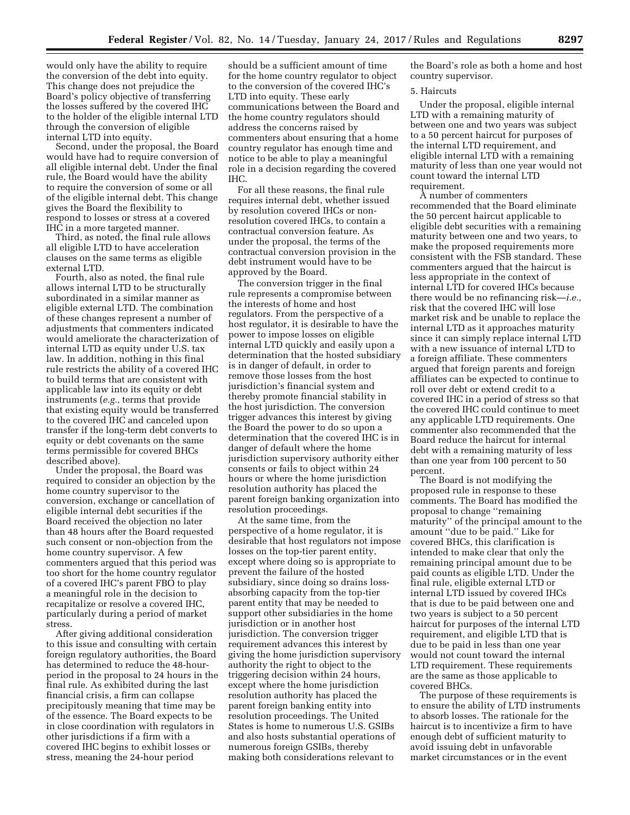would only have the ability to require the conversion of the debt into equity. This change does not prejudice the Board's policy objective of transferring the losses suffered by the covered IHC to the holder of the eligible internal LTD through the conversion of eligible internal LTD into equity.

Second, under the proposal, the Board would have had to require conversion of all eligible internal debt. Under the final rule, the Board would have the ability to require the conversion of some or all of the eligible internal debt. This change gives the Board the flexibility to respond to losses or stress at a covered IHC in a more targeted manner.

Third, as noted, the final rule allows all eligible LTD to have acceleration clauses on the same terms as eligible external LTD.

Fourth, also as noted, the final rule allows internal LTD to be structurally subordinated in a similar manner as eligible external LTD. The combination of these changes represent a number of adjustments that commenters indicated would ameliorate the characterization of internal LTD as equity under U.S. tax law. In addition, nothing in this final rule restricts the ability of a covered IHC to build terms that are consistent with applicable law into its equity or debt instruments (*e.g.,* terms that provide that existing equity would be transferred to the covered IHC and canceled upon transfer if the long-term debt converts to equity or debt covenants on the same terms permissible for covered BHCs described above).

Under the proposal, the Board was required to consider an objection by the home country supervisor to the conversion, exchange or cancellation of eligible internal debt securities if the Board received the objection no later than 48 hours after the Board requested such consent or non-objection from the home country supervisor. A few commenters argued that this period was too short for the home country regulator of a covered IHC's parent FBO to play a meaningful role in the decision to recapitalize or resolve a covered IHC, particularly during a period of market stress.

After giving additional consideration to this issue and consulting with certain foreign regulatory authorities, the Board has determined to reduce the 48-hourperiod in the proposal to 24 hours in the final rule. As exhibited during the last financial crisis, a firm can collapse precipitously meaning that time may be of the essence. The Board expects to be in close coordination with regulators in other jurisdictions if a firm with a covered IHC begins to exhibit losses or stress, meaning the 24-hour period

should be a sufficient amount of time for the home country regulator to object to the conversion of the covered IHC's LTD into equity. These early communications between the Board and the home country regulators should address the concerns raised by commenters about ensuring that a home country regulator has enough time and notice to be able to play a meaningful role in a decision regarding the covered IHC.

For all these reasons, the final rule requires internal debt, whether issued by resolution covered IHCs or nonresolution covered IHCs, to contain a contractual conversion feature. As under the proposal, the terms of the contractual conversion provision in the debt instrument would have to be approved by the Board.

The conversion trigger in the final rule represents a compromise between the interests of home and host regulators. From the perspective of a host regulator, it is desirable to have the power to impose losses on eligible internal LTD quickly and easily upon a determination that the hosted subsidiary is in danger of default, in order to remove those losses from the host jurisdiction's financial system and thereby promote financial stability in the host jurisdiction. The conversion trigger advances this interest by giving the Board the power to do so upon a determination that the covered IHC is in danger of default where the home jurisdiction supervisory authority either consents or fails to object within 24 hours or where the home jurisdiction resolution authority has placed the parent foreign banking organization into resolution proceedings.

At the same time, from the perspective of a home regulator, it is desirable that host regulators not impose losses on the top-tier parent entity, except where doing so is appropriate to prevent the failure of the hosted subsidiary, since doing so drains lossabsorbing capacity from the top-tier parent entity that may be needed to support other subsidiaries in the home jurisdiction or in another host jurisdiction. The conversion trigger requirement advances this interest by giving the home jurisdiction supervisory authority the right to object to the triggering decision within 24 hours, except where the home jurisdiction resolution authority has placed the parent foreign banking entity into resolution proceedings. The United States is home to numerous U.S. GSIBs and also hosts substantial operations of numerous foreign GSIBs, thereby making both considerations relevant to

the Board's role as both a home and host country supervisor.

#### 5. Haircuts

Under the proposal, eligible internal LTD with a remaining maturity of between one and two years was subject to a 50 percent haircut for purposes of the internal LTD requirement, and eligible internal LTD with a remaining maturity of less than one year would not count toward the internal LTD requirement.

A number of commenters recommended that the Board eliminate the 50 percent haircut applicable to eligible debt securities with a remaining maturity between one and two years, to make the proposed requirements more consistent with the FSB standard. These commenters argued that the haircut is less appropriate in the context of internal LTD for covered IHCs because there would be no refinancing risk—*i.e.,*  risk that the covered IHC will lose market risk and be unable to replace the internal LTD as it approaches maturity since it can simply replace internal LTD with a new issuance of internal LTD to a foreign affiliate. These commenters argued that foreign parents and foreign affiliates can be expected to continue to roll over debt or extend credit to a covered IHC in a period of stress so that the covered IHC could continue to meet any applicable LTD requirements. One commenter also recommended that the Board reduce the haircut for internal debt with a remaining maturity of less than one year from 100 percent to 50 percent.

The Board is not modifying the proposed rule in response to these comments. The Board has modified the proposal to change ''remaining maturity'' of the principal amount to the amount ''due to be paid.'' Like for covered BHCs, this clarification is intended to make clear that only the remaining principal amount due to be paid counts as eligible LTD. Under the final rule, eligible external LTD or internal LTD issued by covered IHCs that is due to be paid between one and two years is subject to a 50 percent haircut for purposes of the internal LTD requirement, and eligible LTD that is due to be paid in less than one year would not count toward the internal LTD requirement. These requirements are the same as those applicable to covered BHCs.

The purpose of these requirements is to ensure the ability of LTD instruments to absorb losses. The rationale for the haircut is to incentivize a firm to have enough debt of sufficient maturity to avoid issuing debt in unfavorable market circumstances or in the event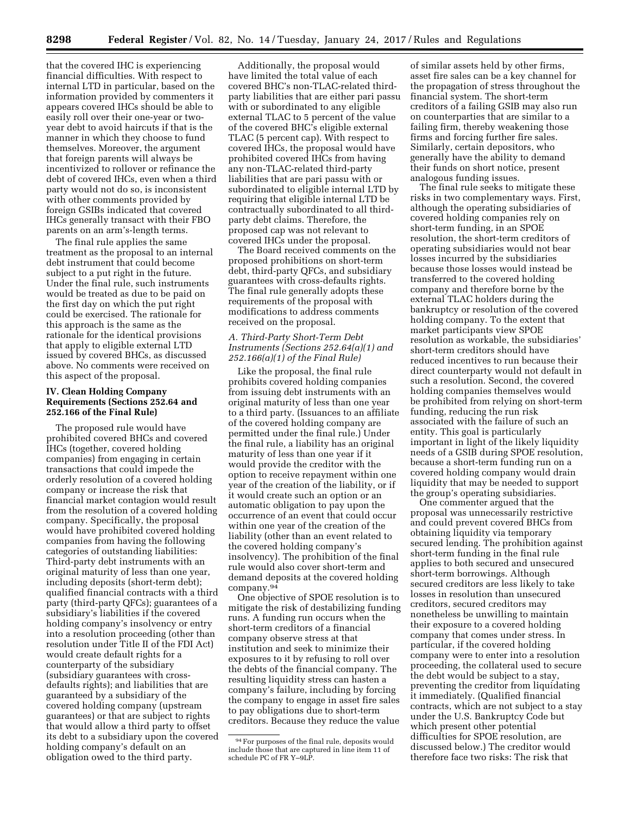that the covered IHC is experiencing financial difficulties. With respect to internal LTD in particular, based on the information provided by commenters it appears covered IHCs should be able to easily roll over their one-year or twoyear debt to avoid haircuts if that is the manner in which they choose to fund themselves. Moreover, the argument that foreign parents will always be incentivized to rollover or refinance the debt of covered IHCs, even when a third party would not do so, is inconsistent with other comments provided by foreign GSIBs indicated that covered IHCs generally transact with their FBO parents on an arm's-length terms.

The final rule applies the same treatment as the proposal to an internal debt instrument that could become subject to a put right in the future. Under the final rule, such instruments would be treated as due to be paid on the first day on which the put right could be exercised. The rationale for this approach is the same as the rationale for the identical provisions that apply to eligible external LTD issued by covered BHCs, as discussed above. No comments were received on this aspect of the proposal.

## **IV. Clean Holding Company Requirements (Sections 252.64 and 252.166 of the Final Rule)**

The proposed rule would have prohibited covered BHCs and covered IHCs (together, covered holding companies) from engaging in certain transactions that could impede the orderly resolution of a covered holding company or increase the risk that financial market contagion would result from the resolution of a covered holding company. Specifically, the proposal would have prohibited covered holding companies from having the following categories of outstanding liabilities: Third-party debt instruments with an original maturity of less than one year, including deposits (short-term debt); qualified financial contracts with a third party (third-party QFCs); guarantees of a subsidiary's liabilities if the covered holding company's insolvency or entry into a resolution proceeding (other than resolution under Title II of the FDI Act) would create default rights for a counterparty of the subsidiary (subsidiary guarantees with crossdefaults rights); and liabilities that are guaranteed by a subsidiary of the covered holding company (upstream guarantees) or that are subject to rights that would allow a third party to offset its debt to a subsidiary upon the covered holding company's default on an obligation owed to the third party.

Additionally, the proposal would have limited the total value of each covered BHC's non-TLAC-related thirdparty liabilities that are either pari passu with or subordinated to any eligible external TLAC to 5 percent of the value of the covered BHC's eligible external TLAC (5 percent cap). With respect to covered IHCs, the proposal would have prohibited covered IHCs from having any non-TLAC-related third-party liabilities that are pari passu with or subordinated to eligible internal LTD by requiring that eligible internal LTD be contractually subordinated to all thirdparty debt claims. Therefore, the proposed cap was not relevant to covered IHCs under the proposal.

The Board received comments on the proposed prohibitions on short-term debt, third-party QFCs, and subsidiary guarantees with cross-defaults rights. The final rule generally adopts these requirements of the proposal with modifications to address comments received on the proposal.

## *A. Third-Party Short-Term Debt Instruments (Sections 252.64(a)(1) and 252.166(a)(1) of the Final Rule)*

Like the proposal, the final rule prohibits covered holding companies from issuing debt instruments with an original maturity of less than one year to a third party. (Issuances to an affiliate of the covered holding company are permitted under the final rule.) Under the final rule, a liability has an original maturity of less than one year if it would provide the creditor with the option to receive repayment within one year of the creation of the liability, or if it would create such an option or an automatic obligation to pay upon the occurrence of an event that could occur within one year of the creation of the liability (other than an event related to the covered holding company's insolvency). The prohibition of the final rule would also cover short-term and demand deposits at the covered holding company.94

One objective of SPOE resolution is to mitigate the risk of destabilizing funding runs. A funding run occurs when the short-term creditors of a financial company observe stress at that institution and seek to minimize their exposures to it by refusing to roll over the debts of the financial company. The resulting liquidity stress can hasten a company's failure, including by forcing the company to engage in asset fire sales to pay obligations due to short-term creditors. Because they reduce the value

of similar assets held by other firms, asset fire sales can be a key channel for the propagation of stress throughout the financial system. The short-term creditors of a failing GSIB may also run on counterparties that are similar to a failing firm, thereby weakening those firms and forcing further fire sales. Similarly, certain depositors, who generally have the ability to demand their funds on short notice, present analogous funding issues.

The final rule seeks to mitigate these risks in two complementary ways. First, although the operating subsidiaries of covered holding companies rely on short-term funding, in an SPOE resolution, the short-term creditors of operating subsidiaries would not bear losses incurred by the subsidiaries because those losses would instead be transferred to the covered holding company and therefore borne by the external TLAC holders during the bankruptcy or resolution of the covered holding company. To the extent that market participants view SPOE resolution as workable, the subsidiaries' short-term creditors should have reduced incentives to run because their direct counterparty would not default in such a resolution. Second, the covered holding companies themselves would be prohibited from relying on short-term funding, reducing the run risk associated with the failure of such an entity. This goal is particularly important in light of the likely liquidity needs of a GSIB during SPOE resolution, because a short-term funding run on a covered holding company would drain liquidity that may be needed to support the group's operating subsidiaries.

One commenter argued that the proposal was unnecessarily restrictive and could prevent covered BHCs from obtaining liquidity via temporary secured lending. The prohibition against short-term funding in the final rule applies to both secured and unsecured short-term borrowings. Although secured creditors are less likely to take losses in resolution than unsecured creditors, secured creditors may nonetheless be unwilling to maintain their exposure to a covered holding company that comes under stress. In particular, if the covered holding company were to enter into a resolution proceeding, the collateral used to secure the debt would be subject to a stay, preventing the creditor from liquidating it immediately. (Qualified financial contracts, which are not subject to a stay under the U.S. Bankruptcy Code but which present other potential difficulties for SPOE resolution, are discussed below.) The creditor would therefore face two risks: The risk that

<sup>94</sup>For purposes of the final rule, deposits would include those that are captured in line item 11 of schedule PC of FR Y–9LP.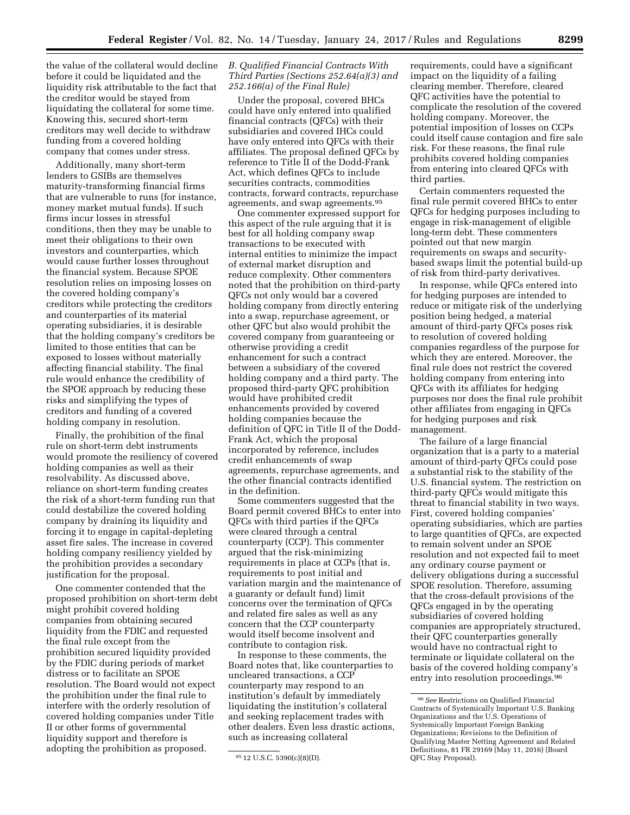the value of the collateral would decline before it could be liquidated and the liquidity risk attributable to the fact that the creditor would be stayed from liquidating the collateral for some time. Knowing this, secured short-term creditors may well decide to withdraw funding from a covered holding company that comes under stress.

Additionally, many short-term lenders to GSIBs are themselves maturity-transforming financial firms that are vulnerable to runs (for instance, money market mutual funds). If such firms incur losses in stressful conditions, then they may be unable to meet their obligations to their own investors and counterparties, which would cause further losses throughout the financial system. Because SPOE resolution relies on imposing losses on the covered holding company's creditors while protecting the creditors and counterparties of its material operating subsidiaries, it is desirable that the holding company's creditors be limited to those entities that can be exposed to losses without materially affecting financial stability. The final rule would enhance the credibility of the SPOE approach by reducing these risks and simplifying the types of creditors and funding of a covered holding company in resolution.

Finally, the prohibition of the final rule on short-term debt instruments would promote the resiliency of covered holding companies as well as their resolvability. As discussed above, reliance on short-term funding creates the risk of a short-term funding run that could destabilize the covered holding company by draining its liquidity and forcing it to engage in capital-depleting asset fire sales. The increase in covered holding company resiliency yielded by the prohibition provides a secondary justification for the proposal.

One commenter contended that the proposed prohibition on short-term debt might prohibit covered holding companies from obtaining secured liquidity from the FDIC and requested the final rule except from the prohibition secured liquidity provided by the FDIC during periods of market distress or to facilitate an SPOE resolution. The Board would not expect the prohibition under the final rule to interfere with the orderly resolution of covered holding companies under Title II or other forms of governmental liquidity support and therefore is adopting the prohibition as proposed.

## *B. Qualified Financial Contracts With Third Parties (Sections 252.64(a)(3) and 252.166(a) of the Final Rule)*

Under the proposal, covered BHCs could have only entered into qualified financial contracts (QFCs) with their subsidiaries and covered IHCs could have only entered into QFCs with their affiliates. The proposal defined QFCs by reference to Title II of the Dodd-Frank Act, which defines QFCs to include securities contracts, commodities contracts, forward contracts, repurchase agreements, and swap agreements.95

One commenter expressed support for this aspect of the rule arguing that it is best for all holding company swap transactions to be executed with internal entities to minimize the impact of external market disruption and reduce complexity. Other commenters noted that the prohibition on third-party QFCs not only would bar a covered holding company from directly entering into a swap, repurchase agreement, or other QFC but also would prohibit the covered company from guaranteeing or otherwise providing a credit enhancement for such a contract between a subsidiary of the covered holding company and a third party. The proposed third-party QFC prohibition would have prohibited credit enhancements provided by covered holding companies because the definition of QFC in Title II of the Dodd-Frank Act, which the proposal incorporated by reference, includes credit enhancements of swap agreements, repurchase agreements, and the other financial contracts identified in the definition.

Some commenters suggested that the Board permit covered BHCs to enter into QFCs with third parties if the QFCs were cleared through a central counterparty (CCP). This commenter argued that the risk-minimizing requirements in place at CCPs (that is, requirements to post initial and variation margin and the maintenance of a guaranty or default fund) limit concerns over the termination of QFCs and related fire sales as well as any concern that the CCP counterparty would itself become insolvent and contribute to contagion risk.

In response to these comments, the Board notes that, like counterparties to uncleared transactions, a CCP counterparty may respond to an institution's default by immediately liquidating the institution's collateral and seeking replacement trades with other dealers. Even less drastic actions, such as increasing collateral

requirements, could have a significant impact on the liquidity of a failing clearing member. Therefore, cleared QFC activities have the potential to complicate the resolution of the covered holding company. Moreover, the potential imposition of losses on CCPs could itself cause contagion and fire sale risk. For these reasons, the final rule prohibits covered holding companies from entering into cleared QFCs with third parties.

Certain commenters requested the final rule permit covered BHCs to enter QFCs for hedging purposes including to engage in risk-management of eligible long-term debt. These commenters pointed out that new margin requirements on swaps and securitybased swaps limit the potential build-up of risk from third-party derivatives.

In response, while QFCs entered into for hedging purposes are intended to reduce or mitigate risk of the underlying position being hedged, a material amount of third-party QFCs poses risk to resolution of covered holding companies regardless of the purpose for which they are entered. Moreover, the final rule does not restrict the covered holding company from entering into QFCs with its affiliates for hedging purposes nor does the final rule prohibit other affiliates from engaging in QFCs for hedging purposes and risk management.

The failure of a large financial organization that is a party to a material amount of third-party QFCs could pose a substantial risk to the stability of the U.S. financial system. The restriction on third-party QFCs would mitigate this threat to financial stability in two ways. First, covered holding companies' operating subsidiaries, which are parties to large quantities of QFCs, are expected to remain solvent under an SPOE resolution and not expected fail to meet any ordinary course payment or delivery obligations during a successful SPOE resolution. Therefore, assuming that the cross-default provisions of the QFCs engaged in by the operating subsidiaries of covered holding companies are appropriately structured, their QFC counterparties generally would have no contractual right to terminate or liquidate collateral on the basis of the covered holding company's entry into resolution proceedings.<sup>96</sup>

<sup>95</sup> 12 U.S.C. 5390(c)(8)(D).

<sup>96</sup>*See* Restrictions on Qualified Financial Contracts of Systemically Important U.S. Banking Organizations and the U.S. Operations of Systemically Important Foreign Banking Organizations; Revisions to the Definition of Qualifying Master Netting Agreement and Related Definitions, 81 FR 29169 (May 11, 2016) (Board QFC Stay Proposal).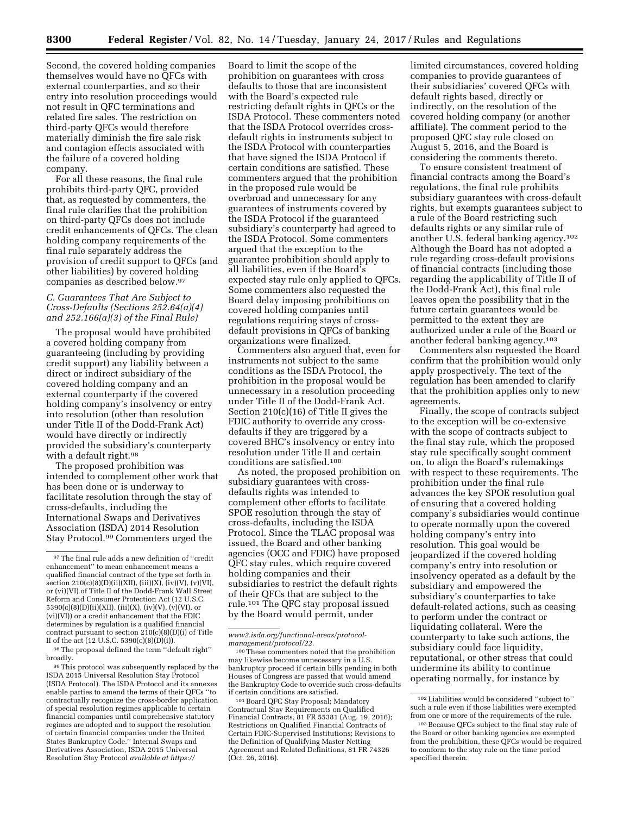Second, the covered holding companies themselves would have no QFCs with external counterparties, and so their entry into resolution proceedings would not result in QFC terminations and related fire sales. The restriction on third-party QFCs would therefore materially diminish the fire sale risk and contagion effects associated with the failure of a covered holding company.

For all these reasons, the final rule prohibits third-party QFC, provided that, as requested by commenters, the final rule clarifies that the prohibition on third-party QFCs does not include credit enhancements of QFCs. The clean holding company requirements of the final rule separately address the provision of credit support to QFCs (and other liabilities) by covered holding companies as described below.97

## *C. Guarantees That Are Subject to Cross-Defaults (Sections 252.64(a)(4) and 252.166(a)(3) of the Final Rule)*

The proposal would have prohibited a covered holding company from guaranteeing (including by providing credit support) any liability between a direct or indirect subsidiary of the covered holding company and an external counterparty if the covered holding company's insolvency or entry into resolution (other than resolution under Title II of the Dodd-Frank Act) would have directly or indirectly provided the subsidiary's counterparty with a default right.98

The proposed prohibition was intended to complement other work that has been done or is underway to facilitate resolution through the stay of cross-defaults, including the International Swaps and Derivatives Association (ISDA) 2014 Resolution Stay Protocol.99 Commenters urged the

99This protocol was subsequently replaced by the ISDA 2015 Universal Resolution Stay Protocol (ISDA Protocol). The ISDA Protocol and its annexes enable parties to amend the terms of their QFCs ''to contractually recognize the cross-border application of special resolution regimes applicable to certain financial companies until comprehensive statutory regimes are adopted and to support the resolution of certain financial companies under the United States Bankruptcy Code.'' Internal Swaps and Derivatives Association, ISDA 2015 Universal Resolution Stay Protocol *available at [https://](https://www2.isda.org/functional-areas/protocol-management/protocol/22)*

Board to limit the scope of the prohibition on guarantees with cross defaults to those that are inconsistent with the Board's expected rule restricting default rights in QFCs or the ISDA Protocol. These commenters noted that the ISDA Protocol overrides crossdefault rights in instruments subject to the ISDA Protocol with counterparties that have signed the ISDA Protocol if certain conditions are satisfied. These commenters argued that the prohibition in the proposed rule would be overbroad and unnecessary for any guarantees of instruments covered by the ISDA Protocol if the guaranteed subsidiary's counterparty had agreed to the ISDA Protocol. Some commenters argued that the exception to the guarantee prohibition should apply to all liabilities, even if the Board's expected stay rule only applied to QFCs. Some commenters also requested the Board delay imposing prohibitions on covered holding companies until regulations requiring stays of crossdefault provisions in QFCs of banking organizations were finalized.

Commenters also argued that, even for instruments not subject to the same conditions as the ISDA Protocol, the prohibition in the proposal would be unnecessary in a resolution proceeding under Title II of the Dodd-Frank Act. Section 210(c)(16) of Title II gives the FDIC authority to override any crossdefaults if they are triggered by a covered BHC's insolvency or entry into resolution under Title II and certain conditions are satisfied.100

As noted, the proposed prohibition on subsidiary guarantees with crossdefaults rights was intended to complement other efforts to facilitate SPOE resolution through the stay of cross-defaults, including the ISDA Protocol. Since the TLAC proposal was issued, the Board and other banking agencies (OCC and FDIC) have proposed QFC stay rules, which require covered holding companies and their subsidiaries to restrict the default rights of their QFCs that are subject to the rule.101 The QFC stay proposal issued by the Board would permit, under

*[www2.isda.org/functional-areas/protocol](https://www2.isda.org/functional-areas/protocol-management/protocol/22)[management/protocol/22.](https://www2.isda.org/functional-areas/protocol-management/protocol/22)* 

limited circumstances, covered holding companies to provide guarantees of their subsidiaries' covered QFCs with default rights based, directly or indirectly, on the resolution of the covered holding company (or another affiliate). The comment period to the proposed QFC stay rule closed on August 5, 2016, and the Board is considering the comments thereto.

To ensure consistent treatment of financial contracts among the Board's regulations, the final rule prohibits subsidiary guarantees with cross-default rights, but exempts guarantees subject to a rule of the Board restricting such defaults rights or any similar rule of another U.S. federal banking agency.102 Although the Board has not adopted a rule regarding cross-default provisions of financial contracts (including those regarding the applicability of Title II of the Dodd-Frank Act), this final rule leaves open the possibility that in the future certain guarantees would be permitted to the extent they are authorized under a rule of the Board or another federal banking agency.103

Commenters also requested the Board confirm that the prohibition would only apply prospectively. The text of the regulation has been amended to clarify that the prohibition applies only to new agreements.

Finally, the scope of contracts subject to the exception will be co-extensive with the scope of contracts subject to the final stay rule, which the proposed stay rule specifically sought comment on, to align the Board's rulemakings with respect to these requirements. The prohibition under the final rule advances the key SPOE resolution goal of ensuring that a covered holding company's subsidiaries would continue to operate normally upon the covered holding company's entry into resolution. This goal would be jeopardized if the covered holding company's entry into resolution or insolvency operated as a default by the subsidiary and empowered the subsidiary's counterparties to take default-related actions, such as ceasing to perform under the contract or liquidating collateral. Were the counterparty to take such actions, the subsidiary could face liquidity, reputational, or other stress that could undermine its ability to continue operating normally, for instance by

 $\,$  97 The final rule adds a new definition of ''credit enhancement'' to mean enhancement means a qualified financial contract of the type set forth in section 210(c)(8)(D)(ii)(XII), (iii)(X), (iv)(V), (v)(VI), or (vi)(VI) of Title II of the Dodd-Frank Wall Street Reform and Consumer Protection Act (12 U.S.C. 5390(c)(8)(D)(ii)(XII), (iii)(X), (iv)(V), (v)(VI), or (vi)(VI)) or a credit enhancement that the FDIC determines by regulation is a qualified financial contract pursuant to section 210(c)(8)(D)(i) of Title II of the act (12 U.S.C. 5390(c)(8)(D)(i)).

<sup>98</sup>The proposal defined the term ''default right'' broadly.

<sup>100</sup>These commenters noted that the prohibition may likewise become unnecessary in a U.S. bankruptcy proceed if certain bills pending in both Houses of Congress are passed that would amend the Bankruptcy Code to override such cross-defaults<br>if certain conditions are satisfied.

<sup>&</sup>lt;sup>101</sup> Board QFC Stay Proposal; Mandatory Contractual Stay Requirements on Qualified Financial Contracts, 81 FR 55381 (Aug. 19, 2016); Restrictions on Qualified Financial Contracts of Certain FDIC-Supervised Institutions; Revisions to the Definition of Qualifying Master Netting Agreement and Related Definitions, 81 FR 74326 (Oct. 26, 2016).

<sup>102</sup>Liabilities would be considered ''subject to'' such a rule even if those liabilities were exempted from one or more of the requirements of the rule.

<sup>103</sup>Because QFCs subject to the final stay rule of the Board or other banking agencies are exempted from the prohibition, these QFCs would be required to conform to the stay rule on the time period specified therein.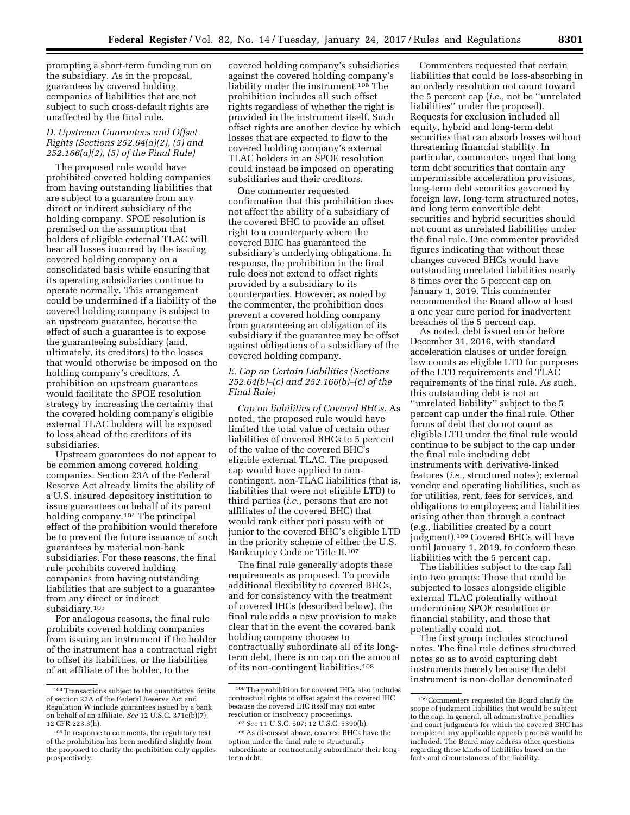prompting a short-term funding run on the subsidiary. As in the proposal, guarantees by covered holding companies of liabilities that are not subject to such cross-default rights are unaffected by the final rule.

## *D. Upstream Guarantees and Offset Rights (Sections 252.64(a)(2), (5) and 252.166(a)(2), (5) of the Final Rule)*

The proposed rule would have prohibited covered holding companies from having outstanding liabilities that are subject to a guarantee from any direct or indirect subsidiary of the holding company. SPOE resolution is premised on the assumption that holders of eligible external TLAC will bear all losses incurred by the issuing covered holding company on a consolidated basis while ensuring that its operating subsidiaries continue to operate normally. This arrangement could be undermined if a liability of the covered holding company is subject to an upstream guarantee, because the effect of such a guarantee is to expose the guaranteeing subsidiary (and, ultimately, its creditors) to the losses that would otherwise be imposed on the holding company's creditors. A prohibition on upstream guarantees would facilitate the SPOE resolution strategy by increasing the certainty that the covered holding company's eligible external TLAC holders will be exposed to loss ahead of the creditors of its subsidiaries.

Upstream guarantees do not appear to be common among covered holding companies. Section 23A of the Federal Reserve Act already limits the ability of a U.S. insured depository institution to issue guarantees on behalf of its parent holding company.104 The principal effect of the prohibition would therefore be to prevent the future issuance of such guarantees by material non-bank subsidiaries. For these reasons, the final rule prohibits covered holding companies from having outstanding liabilities that are subject to a guarantee from any direct or indirect subsidiary.105

For analogous reasons, the final rule prohibits covered holding companies from issuing an instrument if the holder of the instrument has a contractual right to offset its liabilities, or the liabilities of an affiliate of the holder, to the

covered holding company's subsidiaries against the covered holding company's liability under the instrument.106 The prohibition includes all such offset rights regardless of whether the right is provided in the instrument itself. Such offset rights are another device by which losses that are expected to flow to the covered holding company's external TLAC holders in an SPOE resolution could instead be imposed on operating subsidiaries and their creditors.

One commenter requested confirmation that this prohibition does not affect the ability of a subsidiary of the covered BHC to provide an offset right to a counterparty where the covered BHC has guaranteed the subsidiary's underlying obligations. In response, the prohibition in the final rule does not extend to offset rights provided by a subsidiary to its counterparties. However, as noted by the commenter, the prohibition does prevent a covered holding company from guaranteeing an obligation of its subsidiary if the guarantee may be offset against obligations of a subsidiary of the covered holding company.

## *E. Cap on Certain Liabilities (Sections 252.64(b)–(c) and 252.166(b)–(c) of the Final Rule)*

*Cap on liabilities of Covered BHCs.* As noted, the proposed rule would have limited the total value of certain other liabilities of covered BHCs to 5 percent of the value of the covered BHC's eligible external TLAC. The proposed cap would have applied to noncontingent, non-TLAC liabilities (that is, liabilities that were not eligible LTD) to third parties (*i.e.,* persons that are not affiliates of the covered BHC) that would rank either pari passu with or junior to the covered BHC's eligible LTD in the priority scheme of either the U.S. Bankruptcy Code or Title II.107

The final rule generally adopts these requirements as proposed. To provide additional flexibility to covered BHCs, and for consistency with the treatment of covered IHCs (described below), the final rule adds a new provision to make clear that in the event the covered bank holding company chooses to contractually subordinate all of its longterm debt, there is no cap on the amount of its non-contingent liabilities.108

Commenters requested that certain liabilities that could be loss-absorbing in an orderly resolution not count toward the 5 percent cap (*i.e.,* not be ''unrelated liabilities'' under the proposal). Requests for exclusion included all equity, hybrid and long-term debt securities that can absorb losses without threatening financial stability. In particular, commenters urged that long term debt securities that contain any impermissible acceleration provisions, long-term debt securities governed by foreign law, long-term structured notes, and long term convertible debt securities and hybrid securities should not count as unrelated liabilities under the final rule. One commenter provided figures indicating that without these changes covered BHCs would have outstanding unrelated liabilities nearly 8 times over the 5 percent cap on January 1, 2019. This commenter recommended the Board allow at least a one year cure period for inadvertent breaches of the 5 percent cap.

As noted, debt issued on or before December 31, 2016, with standard acceleration clauses or under foreign law counts as eligible LTD for purposes of the LTD requirements and TLAC requirements of the final rule. As such, this outstanding debt is not an ''unrelated liability'' subject to the 5 percent cap under the final rule. Other forms of debt that do not count as eligible LTD under the final rule would continue to be subject to the cap under the final rule including debt instruments with derivative-linked features (*i.e.,* structured notes); external vendor and operating liabilities, such as for utilities, rent, fees for services, and obligations to employees; and liabilities arising other than through a contract (*e.g.,* liabilities created by a court judgment).109 Covered BHCs will have until January 1, 2019, to conform these liabilities with the 5 percent cap.

The liabilities subject to the cap fall into two groups: Those that could be subjected to losses alongside eligible external TLAC potentially without undermining SPOE resolution or financial stability, and those that potentially could not.

The first group includes structured notes. The final rule defines structured notes so as to avoid capturing debt instruments merely because the debt instrument is non-dollar denominated

<sup>104</sup>Transactions subject to the quantitative limits of section 23A of the Federal Reserve Act and Regulation W include guarantees issued by a bank on behalf of an affiliate. *See* 12 U.S.C. 371c(b)(7); 12 CFR 223.3(h).

<sup>105</sup> In response to comments, the regulatory text of the prohibition has been modified slightly from the proposed to clarify the prohibition only applies prospectively.

<sup>106</sup>The prohibition for covered IHCs also includes contractual rights to offset against the covered IHC because the covered IHC itself may not enter resolution or insolvency proceedings. 107*See* 11 U.S.C. 507; 12 U.S.C. 5390(b).

<sup>108</sup>As discussed above, covered BHCs have the option under the final rule to structurally subordinate or contractually subordinate their longterm debt.

<sup>109</sup>Commenters requested the Board clarify the scope of judgment liabilities that would be subject to the cap. In general, all administrative penalties and court judgments for which the covered BHC has completed any applicable appeals process would be included. The Board may address other questions regarding these kinds of liabilities based on the facts and circumstances of the liability.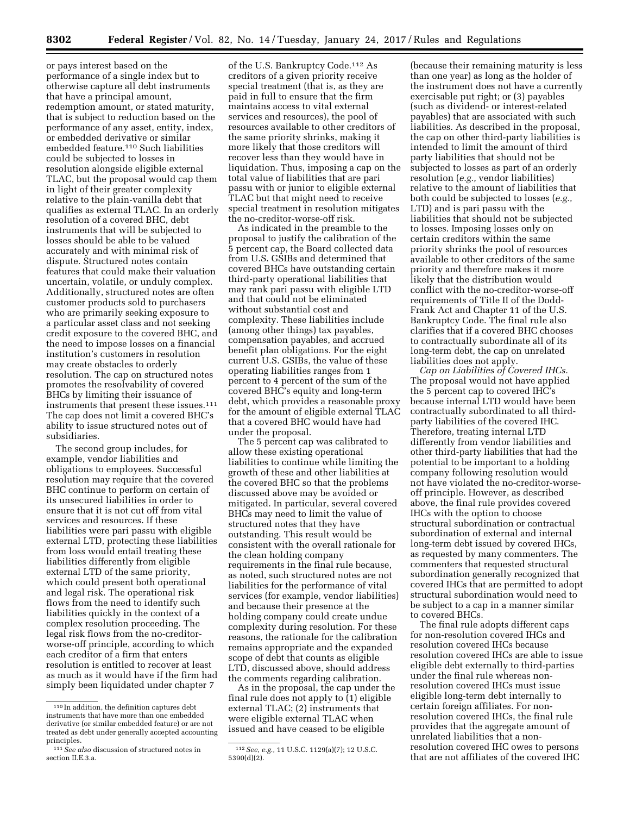or pays interest based on the performance of a single index but to otherwise capture all debt instruments that have a principal amount, redemption amount, or stated maturity, that is subject to reduction based on the performance of any asset, entity, index, or embedded derivative or similar embedded feature.110 Such liabilities could be subjected to losses in resolution alongside eligible external TLAC, but the proposal would cap them in light of their greater complexity relative to the plain-vanilla debt that qualifies as external TLAC. In an orderly resolution of a covered BHC, debt instruments that will be subjected to losses should be able to be valued accurately and with minimal risk of dispute. Structured notes contain features that could make their valuation uncertain, volatile, or unduly complex. Additionally, structured notes are often customer products sold to purchasers who are primarily seeking exposure to a particular asset class and not seeking credit exposure to the covered BHC, and the need to impose losses on a financial institution's customers in resolution may create obstacles to orderly resolution. The cap on structured notes promotes the resolvability of covered BHCs by limiting their issuance of instruments that present these issues.<sup>111</sup> The cap does not limit a covered BHC's ability to issue structured notes out of subsidiaries.

The second group includes, for example, vendor liabilities and obligations to employees. Successful resolution may require that the covered BHC continue to perform on certain of its unsecured liabilities in order to ensure that it is not cut off from vital services and resources. If these liabilities were pari passu with eligible external LTD, protecting these liabilities from loss would entail treating these liabilities differently from eligible external LTD of the same priority, which could present both operational and legal risk. The operational risk flows from the need to identify such liabilities quickly in the context of a complex resolution proceeding. The legal risk flows from the no-creditorworse-off principle, according to which each creditor of a firm that enters resolution is entitled to recover at least as much as it would have if the firm had simply been liquidated under chapter 7

of the U.S. Bankruptcy Code.112 As creditors of a given priority receive special treatment (that is, as they are paid in full to ensure that the firm maintains access to vital external services and resources), the pool of resources available to other creditors of the same priority shrinks, making it more likely that those creditors will recover less than they would have in liquidation. Thus, imposing a cap on the total value of liabilities that are pari passu with or junior to eligible external TLAC but that might need to receive special treatment in resolution mitigates the no-creditor-worse-off risk.

As indicated in the preamble to the proposal to justify the calibration of the 5 percent cap, the Board collected data from U.S. GSIBs and determined that covered BHCs have outstanding certain third-party operational liabilities that may rank pari passu with eligible LTD and that could not be eliminated without substantial cost and complexity. These liabilities include (among other things) tax payables, compensation payables, and accrued benefit plan obligations. For the eight current U.S. GSIBs, the value of these operating liabilities ranges from 1 percent to 4 percent of the sum of the covered BHC's equity and long-term debt, which provides a reasonable proxy for the amount of eligible external TLAC that a covered BHC would have had under the proposal.

The 5 percent cap was calibrated to allow these existing operational liabilities to continue while limiting the growth of these and other liabilities at the covered BHC so that the problems discussed above may be avoided or mitigated. In particular, several covered BHCs may need to limit the value of structured notes that they have outstanding. This result would be consistent with the overall rationale for the clean holding company requirements in the final rule because, as noted, such structured notes are not liabilities for the performance of vital services (for example, vendor liabilities) and because their presence at the holding company could create undue complexity during resolution. For these reasons, the rationale for the calibration remains appropriate and the expanded scope of debt that counts as eligible LTD, discussed above, should address the comments regarding calibration.

As in the proposal, the cap under the final rule does not apply to (1) eligible external TLAC; (2) instruments that were eligible external TLAC when issued and have ceased to be eligible

(because their remaining maturity is less than one year) as long as the holder of the instrument does not have a currently exercisable put right; or (3) payables (such as dividend- or interest-related payables) that are associated with such liabilities. As described in the proposal, the cap on other third-party liabilities is intended to limit the amount of third party liabilities that should not be subjected to losses as part of an orderly resolution (*e.g.,* vendor liabilities) relative to the amount of liabilities that both could be subjected to losses (*e.g.,*  LTD) and is pari passu with the liabilities that should not be subjected to losses. Imposing losses only on certain creditors within the same priority shrinks the pool of resources available to other creditors of the same priority and therefore makes it more likely that the distribution would conflict with the no-creditor-worse-off requirements of Title II of the Dodd-Frank Act and Chapter 11 of the U.S. Bankruptcy Code. The final rule also clarifies that if a covered BHC chooses to contractually subordinate all of its long-term debt, the cap on unrelated liabilities does not apply.

*Cap on Liabilities of Covered IHCs.*  The proposal would not have applied the 5 percent cap to covered IHC's because internal LTD would have been contractually subordinated to all thirdparty liabilities of the covered IHC. Therefore, treating internal LTD differently from vendor liabilities and other third-party liabilities that had the potential to be important to a holding company following resolution would not have violated the no-creditor-worseoff principle. However, as described above, the final rule provides covered IHCs with the option to choose structural subordination or contractual subordination of external and internal long-term debt issued by covered IHCs, as requested by many commenters. The commenters that requested structural subordination generally recognized that covered IHCs that are permitted to adopt structural subordination would need to be subject to a cap in a manner similar to covered BHCs.

The final rule adopts different caps for non-resolution covered IHCs and resolution covered IHCs because resolution covered IHCs are able to issue eligible debt externally to third-parties under the final rule whereas nonresolution covered IHCs must issue eligible long-term debt internally to certain foreign affiliates. For nonresolution covered IHCs, the final rule provides that the aggregate amount of unrelated liabilities that a nonresolution covered IHC owes to persons that are not affiliates of the covered IHC

<sup>110</sup> In addition, the definition captures debt instruments that have more than one embedded derivative (or similar embedded feature) or are not treated as debt under generally accepted accounting principles.

<sup>111</sup>*See also* discussion of structured notes in section II.E.3.a.

<sup>112</sup>*See, e.g.,* 11 U.S.C. 1129(a)(7); 12 U.S.C. 5390(d)(2).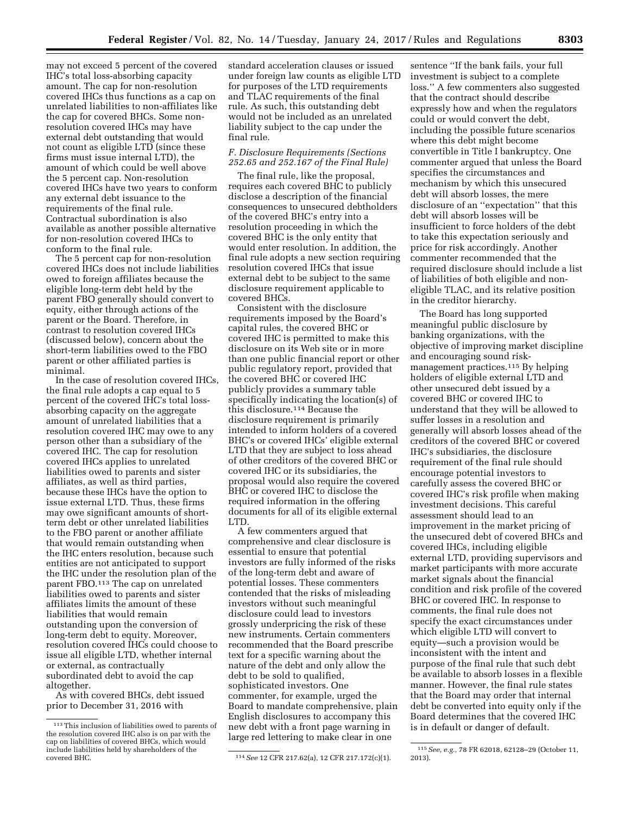may not exceed 5 percent of the covered IHC's total loss-absorbing capacity amount. The cap for non-resolution covered IHCs thus functions as a cap on unrelated liabilities to non-affiliates like the cap for covered BHCs. Some nonresolution covered IHCs may have external debt outstanding that would not count as eligible LTD (since these firms must issue internal LTD), the amount of which could be well above the 5 percent cap. Non-resolution covered IHCs have two years to conform any external debt issuance to the requirements of the final rule. Contractual subordination is also available as another possible alternative for non-resolution covered IHCs to conform to the final rule.

The 5 percent cap for non-resolution covered IHCs does not include liabilities owed to foreign affiliates because the eligible long-term debt held by the parent FBO generally should convert to equity, either through actions of the parent or the Board. Therefore, in contrast to resolution covered IHCs (discussed below), concern about the short-term liabilities owed to the FBO parent or other affiliated parties is minimal.

In the case of resolution covered IHCs, the final rule adopts a cap equal to 5 percent of the covered IHC's total lossabsorbing capacity on the aggregate amount of unrelated liabilities that a resolution covered IHC may owe to any person other than a subsidiary of the covered IHC. The cap for resolution covered IHCs applies to unrelated liabilities owed to parents and sister affiliates, as well as third parties, because these IHCs have the option to issue external LTD. Thus, these firms may owe significant amounts of shortterm debt or other unrelated liabilities to the FBO parent or another affiliate that would remain outstanding when the IHC enters resolution, because such entities are not anticipated to support the IHC under the resolution plan of the parent FBO.<sup>113</sup> The cap on unrelated liabilities owed to parents and sister affiliates limits the amount of these liabilities that would remain outstanding upon the conversion of long-term debt to equity. Moreover, resolution covered IHCs could choose to issue all eligible LTD, whether internal or external, as contractually subordinated debt to avoid the cap altogether.

As with covered BHCs, debt issued prior to December 31, 2016 with

standard acceleration clauses or issued under foreign law counts as eligible LTD for purposes of the LTD requirements and TLAC requirements of the final rule. As such, this outstanding debt would not be included as an unrelated liability subject to the cap under the final rule.

## *F. Disclosure Requirements (Sections 252.65 and 252.167 of the Final Rule)*

The final rule, like the proposal, requires each covered BHC to publicly disclose a description of the financial consequences to unsecured debtholders of the covered BHC's entry into a resolution proceeding in which the covered BHC is the only entity that would enter resolution. In addition, the final rule adopts a new section requiring resolution covered IHCs that issue external debt to be subject to the same disclosure requirement applicable to covered BHCs.

Consistent with the disclosure requirements imposed by the Board's capital rules, the covered BHC or covered IHC is permitted to make this disclosure on its Web site or in more than one public financial report or other public regulatory report, provided that the covered BHC or covered IHC publicly provides a summary table specifically indicating the location(s) of this disclosure.114 Because the disclosure requirement is primarily intended to inform holders of a covered BHC's or covered IHCs' eligible external LTD that they are subject to loss ahead of other creditors of the covered BHC or covered IHC or its subsidiaries, the proposal would also require the covered BHC or covered IHC to disclose the required information in the offering documents for all of its eligible external LTD.

A few commenters argued that comprehensive and clear disclosure is essential to ensure that potential investors are fully informed of the risks of the long-term debt and aware of potential losses. These commenters contended that the risks of misleading investors without such meaningful disclosure could lead to investors grossly underpricing the risk of these new instruments. Certain commenters recommended that the Board prescribe text for a specific warning about the nature of the debt and only allow the debt to be sold to qualified, sophisticated investors. One commenter, for example, urged the Board to mandate comprehensive, plain English disclosures to accompany this new debt with a front page warning in large red lettering to make clear in one

sentence ''If the bank fails, your full investment is subject to a complete loss.'' A few commenters also suggested that the contract should describe expressly how and when the regulators could or would convert the debt, including the possible future scenarios where this debt might become convertible in Title I bankruptcy. One commenter argued that unless the Board specifies the circumstances and mechanism by which this unsecured debt will absorb losses, the mere disclosure of an ''expectation'' that this debt will absorb losses will be insufficient to force holders of the debt to take this expectation seriously and price for risk accordingly. Another commenter recommended that the required disclosure should include a list of liabilities of both eligible and noneligible TLAC, and its relative position in the creditor hierarchy.

The Board has long supported meaningful public disclosure by banking organizations, with the objective of improving market discipline and encouraging sound riskmanagement practices.115 By helping holders of eligible external LTD and other unsecured debt issued by a covered BHC or covered IHC to understand that they will be allowed to suffer losses in a resolution and generally will absorb losses ahead of the creditors of the covered BHC or covered IHC's subsidiaries, the disclosure requirement of the final rule should encourage potential investors to carefully assess the covered BHC or covered IHC's risk profile when making investment decisions. This careful assessment should lead to an improvement in the market pricing of the unsecured debt of covered BHCs and covered IHCs, including eligible external LTD, providing supervisors and market participants with more accurate market signals about the financial condition and risk profile of the covered BHC or covered IHC. In response to comments, the final rule does not specify the exact circumstances under which eligible LTD will convert to equity—such a provision would be inconsistent with the intent and purpose of the final rule that such debt be available to absorb losses in a flexible manner. However, the final rule states that the Board may order that internal debt be converted into equity only if the Board determines that the covered IHC is in default or danger of default.

<sup>113</sup>This inclusion of liabilities owed to parents of the resolution covered IHC also is on par with the cap on liabilities of covered BHCs, which would include liabilities held by shareholders of the

<sup>114</sup> See 12 CFR 217.62(a), 12 CFR 217.172(c)(1).

<sup>115</sup>*See, e.g.,* 78 FR 62018, 62128–29 (October 11, 2013).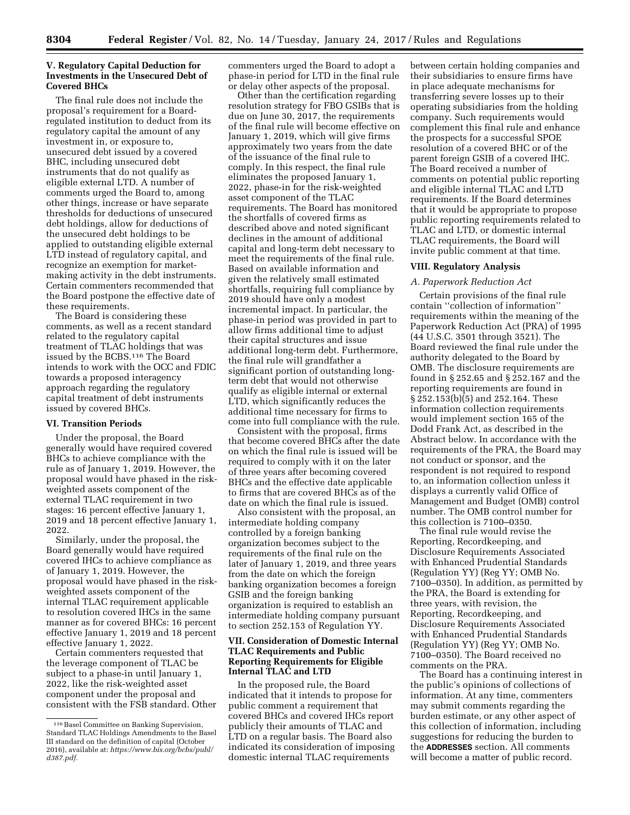## **V. Regulatory Capital Deduction for Investments in the Unsecured Debt of Covered BHCs**

The final rule does not include the proposal's requirement for a Boardregulated institution to deduct from its regulatory capital the amount of any investment in, or exposure to, unsecured debt issued by a covered BHC, including unsecured debt instruments that do not qualify as eligible external LTD. A number of comments urged the Board to, among other things, increase or have separate thresholds for deductions of unsecured debt holdings, allow for deductions of the unsecured debt holdings to be applied to outstanding eligible external LTD instead of regulatory capital, and recognize an exemption for marketmaking activity in the debt instruments. Certain commenters recommended that the Board postpone the effective date of these requirements.

The Board is considering these comments, as well as a recent standard related to the regulatory capital treatment of TLAC holdings that was issued by the BCBS.116 The Board intends to work with the OCC and FDIC towards a proposed interagency approach regarding the regulatory capital treatment of debt instruments issued by covered BHCs.

#### **VI. Transition Periods**

Under the proposal, the Board generally would have required covered BHCs to achieve compliance with the rule as of January 1, 2019. However, the proposal would have phased in the riskweighted assets component of the external TLAC requirement in two stages: 16 percent effective January 1, 2019 and 18 percent effective January 1, 2022.

Similarly, under the proposal, the Board generally would have required covered IHCs to achieve compliance as of January 1, 2019. However, the proposal would have phased in the riskweighted assets component of the internal TLAC requirement applicable to resolution covered IHCs in the same manner as for covered BHCs: 16 percent effective January 1, 2019 and 18 percent effective January 1, 2022.

Certain commenters requested that the leverage component of TLAC be subject to a phase-in until January 1, 2022, like the risk-weighted asset component under the proposal and consistent with the FSB standard. Other commenters urged the Board to adopt a phase-in period for LTD in the final rule or delay other aspects of the proposal.

Other than the certification regarding resolution strategy for FBO GSIBs that is due on June 30, 2017, the requirements of the final rule will become effective on January 1, 2019, which will give firms approximately two years from the date of the issuance of the final rule to comply. In this respect, the final rule eliminates the proposed January 1, 2022, phase-in for the risk-weighted asset component of the TLAC requirements. The Board has monitored the shortfalls of covered firms as described above and noted significant declines in the amount of additional capital and long-term debt necessary to meet the requirements of the final rule. Based on available information and given the relatively small estimated shortfalls, requiring full compliance by 2019 should have only a modest incremental impact. In particular, the phase-in period was provided in part to allow firms additional time to adjust their capital structures and issue additional long-term debt. Furthermore, the final rule will grandfather a significant portion of outstanding longterm debt that would not otherwise qualify as eligible internal or external LTD, which significantly reduces the additional time necessary for firms to come into full compliance with the rule.

Consistent with the proposal, firms that become covered BHCs after the date on which the final rule is issued will be required to comply with it on the later of three years after becoming covered BHCs and the effective date applicable to firms that are covered BHCs as of the date on which the final rule is issued.

Also consistent with the proposal, an intermediate holding company controlled by a foreign banking organization becomes subject to the requirements of the final rule on the later of January 1, 2019, and three years from the date on which the foreign banking organization becomes a foreign GSIB and the foreign banking organization is required to establish an intermediate holding company pursuant to section 252.153 of Regulation YY.

## **VII. Consideration of Domestic Internal TLAC Requirements and Public Reporting Requirements for Eligible Internal TLAC and LTD**

In the proposed rule, the Board indicated that it intends to propose for public comment a requirement that covered BHCs and covered IHCs report publicly their amounts of TLAC and LTD on a regular basis. The Board also indicated its consideration of imposing domestic internal TLAC requirements

between certain holding companies and their subsidiaries to ensure firms have in place adequate mechanisms for transferring severe losses up to their operating subsidiaries from the holding company. Such requirements would complement this final rule and enhance the prospects for a successful SPOE resolution of a covered BHC or of the parent foreign GSIB of a covered IHC. The Board received a number of comments on potential public reporting and eligible internal TLAC and LTD requirements. If the Board determines that it would be appropriate to propose public reporting requirements related to TLAC and LTD, or domestic internal TLAC requirements, the Board will invite public comment at that time.

### **VIII. Regulatory Analysis**

## *A. Paperwork Reduction Act*

Certain provisions of the final rule contain ''collection of information'' requirements within the meaning of the Paperwork Reduction Act (PRA) of 1995 (44 U.S.C. 3501 through 3521). The Board reviewed the final rule under the authority delegated to the Board by OMB. The disclosure requirements are found in § 252.65 and § 252.167 and the reporting requirements are found in § 252.153(b)(5) and 252.164. These information collection requirements would implement section 165 of the Dodd Frank Act, as described in the Abstract below. In accordance with the requirements of the PRA, the Board may not conduct or sponsor, and the respondent is not required to respond to, an information collection unless it displays a currently valid Office of Management and Budget (OMB) control number. The OMB control number for this collection is 7100–0350.

The final rule would revise the Reporting, Recordkeeping, and Disclosure Requirements Associated with Enhanced Prudential Standards (Regulation YY) (Reg YY; OMB No. 7100–0350). In addition, as permitted by the PRA, the Board is extending for three years, with revision, the Reporting, Recordkeeping, and Disclosure Requirements Associated with Enhanced Prudential Standards (Regulation YY) (Reg YY; OMB No. 7100–0350). The Board received no comments on the PRA.

The Board has a continuing interest in the public's opinions of collections of information. At any time, commenters may submit comments regarding the burden estimate, or any other aspect of this collection of information, including suggestions for reducing the burden to the **ADDRESSES** section. All comments will become a matter of public record.

<sup>&</sup>lt;sup>116</sup> Basel Committee on Banking Supervision, Standard TLAC Holdings Amendments to the Basel III standard on the definition of capital (October 2016), available at: *[https://www.bis.org/bcbs/publ/](https://www.bis.org/bcbs/publ/d387.pdf) [d387.pdf.](https://www.bis.org/bcbs/publ/d387.pdf)*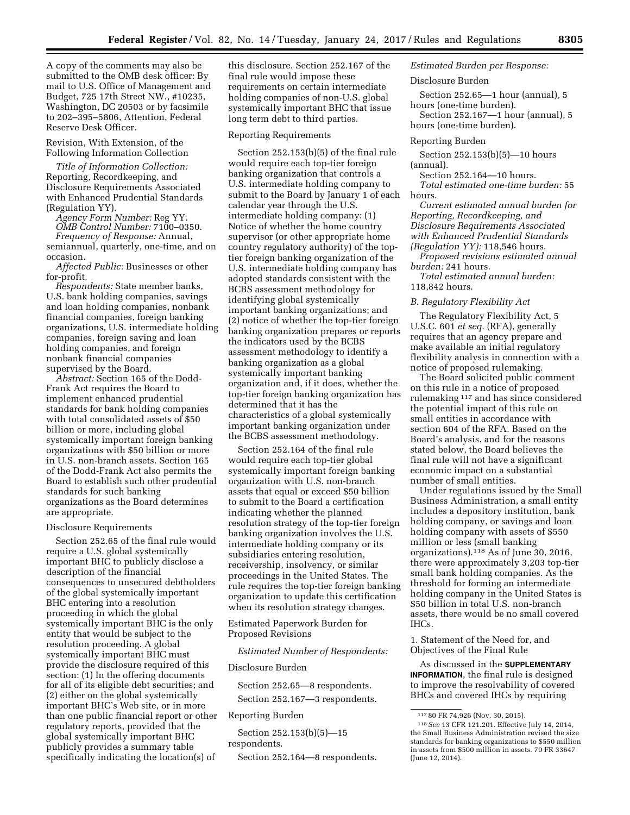A copy of the comments may also be submitted to the OMB desk officer: By mail to U.S. Office of Management and Budget, 725 17th Street NW., #10235, Washington, DC 20503 or by facsimile to 202–395–5806, Attention, Federal Reserve Desk Officer.

## Revision, With Extension, of the Following Information Collection

*Title of Information Collection:*  Reporting, Recordkeeping, and Disclosure Requirements Associated with Enhanced Prudential Standards (Regulation YY).

*Agency Form Number:* Reg YY. *OMB Control Number:* 7100–0350. *Frequency of Response:* Annual, semiannual, quarterly, one-time, and on occasion.

*Affected Public:* Businesses or other for-profit.

*Respondents:* State member banks, U.S. bank holding companies, savings and loan holding companies, nonbank financial companies, foreign banking organizations, U.S. intermediate holding companies, foreign saving and loan holding companies, and foreign nonbank financial companies supervised by the Board.

*Abstract:* Section 165 of the Dodd-Frank Act requires the Board to implement enhanced prudential standards for bank holding companies with total consolidated assets of \$50 billion or more, including global systemically important foreign banking organizations with \$50 billion or more in U.S. non-branch assets. Section 165 of the Dodd-Frank Act also permits the Board to establish such other prudential standards for such banking organizations as the Board determines are appropriate.

#### Disclosure Requirements

Section 252.65 of the final rule would require a U.S. global systemically important BHC to publicly disclose a description of the financial consequences to unsecured debtholders of the global systemically important BHC entering into a resolution proceeding in which the global systemically important BHC is the only entity that would be subject to the resolution proceeding. A global systemically important BHC must provide the disclosure required of this section: (1) In the offering documents for all of its eligible debt securities; and (2) either on the global systemically important BHC's Web site, or in more than one public financial report or other regulatory reports, provided that the global systemically important BHC publicly provides a summary table specifically indicating the location(s) of

this disclosure. Section 252.167 of the final rule would impose these requirements on certain intermediate holding companies of non-U.S. global systemically important BHC that issue long term debt to third parties.

#### Reporting Requirements

Section 252.153(b)(5) of the final rule would require each top-tier foreign banking organization that controls a U.S. intermediate holding company to submit to the Board by January 1 of each calendar year through the U.S. intermediate holding company: (1) Notice of whether the home country supervisor (or other appropriate home country regulatory authority) of the toptier foreign banking organization of the U.S. intermediate holding company has adopted standards consistent with the BCBS assessment methodology for identifying global systemically important banking organizations; and (2) notice of whether the top-tier foreign banking organization prepares or reports the indicators used by the BCBS assessment methodology to identify a banking organization as a global systemically important banking organization and, if it does, whether the top-tier foreign banking organization has determined that it has the characteristics of a global systemically important banking organization under the BCBS assessment methodology.

Section 252.164 of the final rule would require each top-tier global systemically important foreign banking organization with U.S. non-branch assets that equal or exceed \$50 billion to submit to the Board a certification indicating whether the planned resolution strategy of the top-tier foreign banking organization involves the U.S. intermediate holding company or its subsidiaries entering resolution, receivership, insolvency, or similar proceedings in the United States. The rule requires the top-tier foreign banking organization to update this certification when its resolution strategy changes.

Estimated Paperwork Burden for Proposed Revisions

*Estimated Number of Respondents:* 

### Disclosure Burden

Section 252.65—8 respondents.

Section 252.167—3 respondents.

#### Reporting Burden

Section 252.153(b)(5)—15 respondents.

Section 252.164—8 respondents.

## *Estimated Burden per Response:*

## Disclosure Burden

Section 252.65—1 hour (annual), 5 hours (one-time burden).

Section 252.167—1 hour (annual), 5 hours (one-time burden).

#### Reporting Burden

Section 252.153(b)(5)—10 hours (annual).

Section 252.164—10 hours.

*Total estimated one-time burden:* 55 hours.

*Current estimated annual burden for Reporting, Recordkeeping, and Disclosure Requirements Associated with Enhanced Prudential Standards (Regulation YY):* 118,546 hours.

*Proposed revisions estimated annual burden:* 241 hours.

*Total estimated annual burden:*  118,842 hours.

#### *B. Regulatory Flexibility Act*

The Regulatory Flexibility Act, 5 U.S.C. 601 *et seq.* (RFA), generally requires that an agency prepare and make available an initial regulatory flexibility analysis in connection with a notice of proposed rulemaking.

The Board solicited public comment on this rule in a notice of proposed rulemaking 117 and has since considered the potential impact of this rule on small entities in accordance with section 604 of the RFA. Based on the Board's analysis, and for the reasons stated below, the Board believes the final rule will not have a significant economic impact on a substantial number of small entities.

Under regulations issued by the Small Business Administration, a small entity includes a depository institution, bank holding company, or savings and loan holding company with assets of \$550 million or less (small banking organizations).118 As of June 30, 2016, there were approximately 3,203 top-tier small bank holding companies. As the threshold for forming an intermediate holding company in the United States is \$50 billion in total U.S. non-branch assets, there would be no small covered IHCs.

1. Statement of the Need for, and Objectives of the Final Rule

As discussed in the **SUPPLEMENTARY INFORMATION**, the final rule is designed to improve the resolvability of covered BHCs and covered IHCs by requiring

<sup>117</sup> 80 FR 74,926 (Nov. 30, 2015).

<sup>118</sup>*See* 13 CFR 121.201. Effective July 14, 2014, the Small Business Administration revised the size standards for banking organizations to \$550 million in assets from \$500 million in assets. 79 FR 33647 (June 12, 2014).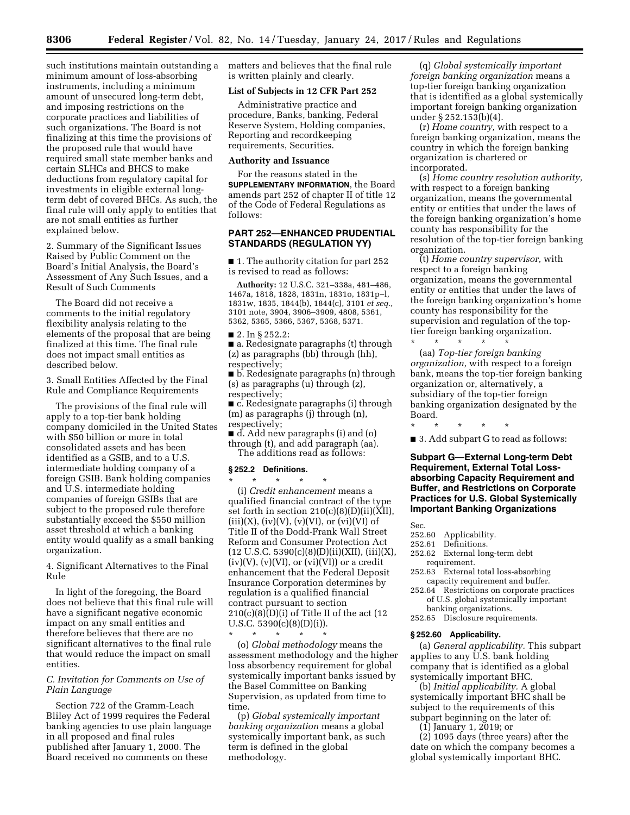such institutions maintain outstanding a minimum amount of loss-absorbing instruments, including a minimum amount of unsecured long-term debt, and imposing restrictions on the corporate practices and liabilities of such organizations. The Board is not finalizing at this time the provisions of the proposed rule that would have required small state member banks and certain SLHCs and BHCS to make deductions from regulatory capital for investments in eligible external longterm debt of covered BHCs. As such, the final rule will only apply to entities that are not small entities as further explained below.

2. Summary of the Significant Issues Raised by Public Comment on the Board's Initial Analysis, the Board's Assessment of Any Such Issues, and a Result of Such Comments

The Board did not receive a comments to the initial regulatory flexibility analysis relating to the elements of the proposal that are being finalized at this time. The final rule does not impact small entities as described below.

3. Small Entities Affected by the Final Rule and Compliance Requirements

The provisions of the final rule will apply to a top-tier bank holding company domiciled in the United States with \$50 billion or more in total consolidated assets and has been identified as a GSIB, and to a U.S. intermediate holding company of a foreign GSIB. Bank holding companies and U.S. intermediate holding companies of foreign GSIBs that are subject to the proposed rule therefore substantially exceed the \$550 million asset threshold at which a banking entity would qualify as a small banking organization.

4. Significant Alternatives to the Final Rule

In light of the foregoing, the Board does not believe that this final rule will have a significant negative economic impact on any small entities and therefore believes that there are no significant alternatives to the final rule that would reduce the impact on small entities.

### *C. Invitation for Comments on Use of Plain Language*

Section 722 of the Gramm-Leach Bliley Act of 1999 requires the Federal banking agencies to use plain language in all proposed and final rules published after January 1, 2000. The Board received no comments on these

matters and believes that the final rule is written plainly and clearly.

#### **List of Subjects in 12 CFR Part 252**

Administrative practice and procedure, Banks, banking, Federal Reserve System, Holding companies, Reporting and recordkeeping requirements, Securities.

## **Authority and Issuance**

For the reasons stated in the **SUPPLEMENTARY INFORMATION**, the Board amends part 252 of chapter II of title 12 of the Code of Federal Regulations as follows:

## **PART 252—ENHANCED PRUDENTIAL STANDARDS (REGULATION YY)**

■ 1. The authority citation for part 252 is revised to read as follows:

**Authority:** 12 U.S.C. 321–338a, 481–486, 1467a, 1818, 1828, 1831n, 1831o, 1831p–l, 1831w, 1835, 1844(b), 1844(c), 3101 *et seq.,*  3101 note, 3904, 3906–3909, 4808, 5361, 5362, 5365, 5366, 5367, 5368, 5371.

■ 2. In § 252.2:

■ a. Redesignate paragraphs (t) through (z) as paragraphs (bb) through (hh), respectively;

■ b. Redesignate paragraphs (n) through (s) as paragraphs (u) through (z), respectively;

■ c. Redesignate paragraphs (i) through (m) as paragraphs (j) through (n), respectively;

■ d. Add new paragraphs (i) and (o) through (t), and add paragraph (aa). The additions read as follows:

#### **§ 252.2 Definitions.**

\* \* \* \* \*

\* \* \* \* \* (i) *Credit enhancement* means a qualified financial contract of the type set forth in section 210(c)(8)(D)(ii)(XII),  $(iii)(X)$ ,  $(iv)(V)$ ,  $(v)(VI)$ , or  $(vi)(VI)$  of Title II of the Dodd-Frank Wall Street Reform and Consumer Protection Act  $(12 \text{ U.S.C. } 5390(c)(8)(D)(ii)(XII), (iii)(X),$  $(iv)(V)$ ,  $(v)(VI)$ , or  $(vi)(VI)$  or a credit enhancement that the Federal Deposit Insurance Corporation determines by regulation is a qualified financial contract pursuant to section  $210(c)(8)(D)(i)$  of Title II of the act (12 U.S.C.  $5390(c)(8)(D)(i)$ .

(o) *Global methodology* means the assessment methodology and the higher loss absorbency requirement for global systemically important banks issued by the Basel Committee on Banking Supervision, as updated from time to time.

(p) *Global systemically important banking organization* means a global systemically important bank, as such term is defined in the global methodology.

(q) *Global systemically important foreign banking organization* means a top-tier foreign banking organization that is identified as a global systemically important foreign banking organization under § 252.153(b)(4).

(r) *Home country,* with respect to a foreign banking organization, means the country in which the foreign banking organization is chartered or incorporated.

(s) *Home country resolution authority,*  with respect to a foreign banking organization, means the governmental entity or entities that under the laws of the foreign banking organization's home county has responsibility for the resolution of the top-tier foreign banking organization.

(t) *Home country supervisor,* with respect to a foreign banking organization, means the governmental entity or entities that under the laws of the foreign banking organization's home county has responsibility for the supervision and regulation of the toptier foreign banking organization.

\* \* \* \* \* (aa) *Top-tier foreign banking organization,* with respect to a foreign bank, means the top-tier foreign banking organization or, alternatively, a subsidiary of the top-tier foreign banking organization designated by the Board.

\* \* \* \* \* ■ 3. Add subpart G to read as follows:

**Subpart G—External Long-term Debt Requirement, External Total Lossabsorbing Capacity Requirement and Buffer, and Restrictions on Corporate Practices for U.S. Global Systemically Important Banking Organizations** 

Sec.

- 252.60 Applicability.
- 252.61 Definitions.
- 252.62 External long-term debt requirement.
- 252.63 External total loss-absorbing capacity requirement and buffer.
- 252.64 Restrictions on corporate practices of U.S. global systemically important banking organizations.
- 252.65 Disclosure requirements.

### **§ 252.60 Applicability.**

(a) *General applicability.* This subpart applies to any U.S. bank holding company that is identified as a global systemically important BHC.

(b) *Initial applicability.* A global systemically important BHC shall be subject to the requirements of this subpart beginning on the later of:

(1) January 1, 2019; or

(2) 1095 days (three years) after the date on which the company becomes a global systemically important BHC.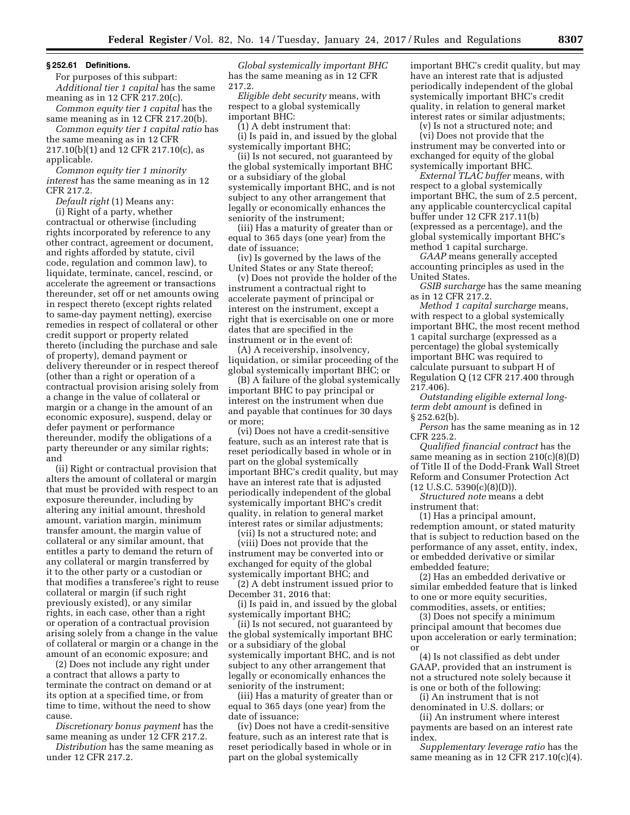#### **§ 252.61 Definitions.**

For purposes of this subpart: *Additional tier 1 capital* has the same meaning as in 12 CFR 217.20(c).

*Common equity tier 1 capital* has the

same meaning as in 12 CFR 217.20(b). *Common equity tier 1 capital ratio* has the same meaning as in 12 CFR 217.10(b)(1) and 12 CFR 217.10(c), as applicable.

*Common equity tier 1 minority interest* has the same meaning as in 12 CFR 217.2.

*Default right* (1) Means any:

(i) Right of a party, whether contractual or otherwise (including rights incorporated by reference to any other contract, agreement or document, and rights afforded by statute, civil code, regulation and common law), to liquidate, terminate, cancel, rescind, or accelerate the agreement or transactions thereunder, set off or net amounts owing in respect thereto (except rights related to same-day payment netting), exercise remedies in respect of collateral or other credit support or property related thereto (including the purchase and sale of property), demand payment or delivery thereunder or in respect thereof (other than a right or operation of a contractual provision arising solely from a change in the value of collateral or margin or a change in the amount of an economic exposure), suspend, delay or defer payment or performance thereunder, modify the obligations of a party thereunder or any similar rights; and

(ii) Right or contractual provision that alters the amount of collateral or margin that must be provided with respect to an exposure thereunder, including by altering any initial amount, threshold amount, variation margin, minimum transfer amount, the margin value of collateral or any similar amount, that entitles a party to demand the return of any collateral or margin transferred by it to the other party or a custodian or that modifies a transferee's right to reuse collateral or margin (if such right previously existed), or any similar rights, in each case, other than a right or operation of a contractual provision arising solely from a change in the value of collateral or margin or a change in the amount of an economic exposure; and

(2) Does not include any right under a contract that allows a party to terminate the contract on demand or at its option at a specified time, or from time to time, without the need to show cause.

*Discretionary bonus payment* has the same meaning as under 12 CFR 217.2.

*Distribution* has the same meaning as under 12 CFR 217.2.

*Global systemically important BHC*  has the same meaning as in 12 CFR 217.2.

*Eligible debt security* means, with respect to a global systemically important BHC:

(1) A debt instrument that:

(i) Is paid in, and issued by the global systemically important BHC;

(ii) Is not secured, not guaranteed by the global systemically important BHC or a subsidiary of the global systemically important BHC, and is not subject to any other arrangement that legally or economically enhances the seniority of the instrument;

(iii) Has a maturity of greater than or equal to 365 days (one year) from the date of issuance;

(iv) Is governed by the laws of the United States or any State thereof;

(v) Does not provide the holder of the instrument a contractual right to accelerate payment of principal or interest on the instrument, except a right that is exercisable on one or more dates that are specified in the instrument or in the event of:

(A) A receivership, insolvency, liquidation, or similar proceeding of the global systemically important BHC; or

(B) A failure of the global systemically important BHC to pay principal or interest on the instrument when due and payable that continues for 30 days or more;

(vi) Does not have a credit-sensitive feature, such as an interest rate that is reset periodically based in whole or in part on the global systemically important BHC's credit quality, but may have an interest rate that is adjusted periodically independent of the global systemically important BHC's credit quality, in relation to general market interest rates or similar adjustments;

(vii) Is not a structured note; and

(viii) Does not provide that the instrument may be converted into or exchanged for equity of the global systemically important BHC; and

(2) A debt instrument issued prior to December 31, 2016 that:

(i) Is paid in, and issued by the global systemically important BHC;

(ii) Is not secured, not guaranteed by the global systemically important BHC or a subsidiary of the global systemically important BHC, and is not subject to any other arrangement that legally or economically enhances the seniority of the instrument;

(iii) Has a maturity of greater than or equal to 365 days (one year) from the date of issuance;

(iv) Does not have a credit-sensitive feature, such as an interest rate that is reset periodically based in whole or in part on the global systemically

important BHC's credit quality, but may have an interest rate that is adjusted periodically independent of the global systemically important BHC's credit quality, in relation to general market interest rates or similar adjustments;

(v) Is not a structured note; and (vi) Does not provide that the instrument may be converted into or exchanged for equity of the global systemically important BHC.

*External TLAC buffer* means, with respect to a global systemically important BHC, the sum of 2.5 percent, any applicable countercyclical capital buffer under 12 CFR 217.11(b) (expressed as a percentage), and the global systemically important BHC's method 1 capital surcharge.

*GAAP* means generally accepted accounting principles as used in the United States.

*GSIB surcharge* has the same meaning as in 12 CFR 217.2.

*Method 1 capital surcharge* means, with respect to a global systemically important BHC, the most recent method 1 capital surcharge (expressed as a percentage) the global systemically important BHC was required to calculate pursuant to subpart H of Regulation Q (12 CFR 217.400 through 217.406).

*Outstanding eligible external longterm debt amount* is defined in § 252.62(b).

*Person* has the same meaning as in 12 CFR 225.2.

*Qualified financial contract* has the same meaning as in section  $210(c)(8)(D)$ of Title II of the Dodd-Frank Wall Street Reform and Consumer Protection Act  $(12 \text{ U.S.C. } 5390(c)(8)(D)).$ 

*Structured note* means a debt instrument that:

(1) Has a principal amount, redemption amount, or stated maturity that is subject to reduction based on the performance of any asset, entity, index, or embedded derivative or similar embedded feature;

(2) Has an embedded derivative or similar embedded feature that is linked to one or more equity securities, commodities, assets, or entities;

(3) Does not specify a minimum principal amount that becomes due upon acceleration or early termination; or

(4) Is not classified as debt under GAAP, provided that an instrument is not a structured note solely because it is one or both of the following:

(i) An instrument that is not denominated in U.S. dollars; or

(ii) An instrument where interest payments are based on an interest rate index.

*Supplementary leverage ratio* has the same meaning as in 12 CFR 217.10(c)(4).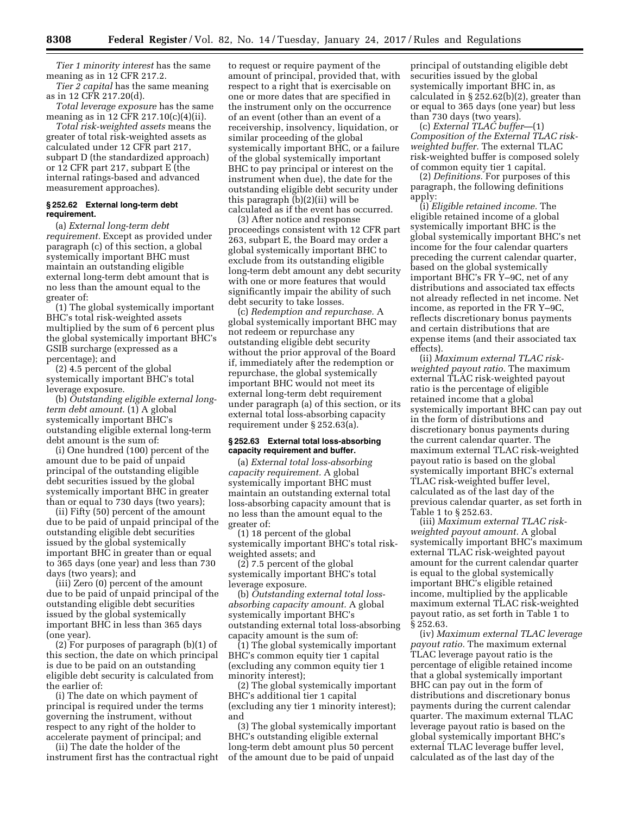*Tier 1 minority interest* has the same meaning as in 12 CFR 217.2.

*Tier 2 capital* has the same meaning as in 12 CFR 217.20(d).

*Total leverage exposure* has the same meaning as in 12 CFR 217.10(c)(4)(ii).

*Total risk-weighted assets* means the greater of total risk-weighted assets as calculated under 12 CFR part 217, subpart D (the standardized approach) or 12 CFR part 217, subpart E (the internal ratings-based and advanced measurement approaches).

#### **§ 252.62 External long-term debt requirement.**

(a) *External long-term debt requirement.* Except as provided under paragraph (c) of this section, a global systemically important BHC must maintain an outstanding eligible external long-term debt amount that is no less than the amount equal to the greater of:

(1) The global systemically important BHC's total risk-weighted assets multiplied by the sum of 6 percent plus the global systemically important BHC's GSIB surcharge (expressed as a percentage); and

(2) 4.5 percent of the global systemically important BHC's total leverage exposure.

(b) *Outstanding eligible external longterm debt amount.* (1) A global systemically important BHC's outstanding eligible external long-term debt amount is the sum of:

(i) One hundred (100) percent of the amount due to be paid of unpaid principal of the outstanding eligible debt securities issued by the global systemically important BHC in greater than or equal to 730 days (two years);

(ii) Fifty (50) percent of the amount due to be paid of unpaid principal of the outstanding eligible debt securities issued by the global systemically important BHC in greater than or equal to 365 days (one year) and less than 730 days (two years); and

(iii) Zero (0) percent of the amount due to be paid of unpaid principal of the outstanding eligible debt securities issued by the global systemically important BHC in less than 365 days (one year).

(2) For purposes of paragraph (b)(1) of this section, the date on which principal is due to be paid on an outstanding eligible debt security is calculated from the earlier of:

(i) The date on which payment of principal is required under the terms governing the instrument, without respect to any right of the holder to accelerate payment of principal; and

(ii) The date the holder of the instrument first has the contractual right to request or require payment of the amount of principal, provided that, with respect to a right that is exercisable on one or more dates that are specified in the instrument only on the occurrence of an event (other than an event of a receivership, insolvency, liquidation, or similar proceeding of the global systemically important BHC, or a failure of the global systemically important BHC to pay principal or interest on the instrument when due), the date for the outstanding eligible debt security under this paragraph (b)(2)(ii) will be calculated as if the event has occurred.

(3) After notice and response proceedings consistent with 12 CFR part 263, subpart E, the Board may order a global systemically important BHC to exclude from its outstanding eligible long-term debt amount any debt security with one or more features that would significantly impair the ability of such debt security to take losses.

(c) *Redemption and repurchase.* A global systemically important BHC may not redeem or repurchase any outstanding eligible debt security without the prior approval of the Board if, immediately after the redemption or repurchase, the global systemically important BHC would not meet its external long-term debt requirement under paragraph (a) of this section, or its external total loss-absorbing capacity requirement under § 252.63(a).

#### **§ 252.63 External total loss-absorbing capacity requirement and buffer.**

(a) *External total loss-absorbing capacity requirement.* A global systemically important BHC must maintain an outstanding external total loss-absorbing capacity amount that is no less than the amount equal to the greater of:

(1) 18 percent of the global systemically important BHC's total riskweighted assets; and

(2) 7.5 percent of the global systemically important BHC's total leverage exposure.

(b) *Outstanding external total lossabsorbing capacity amount.* A global systemically important BHC's outstanding external total loss-absorbing capacity amount is the sum of:

(1) The global systemically important BHC's common equity tier 1 capital (excluding any common equity tier 1 minority interest);

(2) The global systemically important BHC's additional tier 1 capital (excluding any tier 1 minority interest); and

(3) The global systemically important BHC's outstanding eligible external long-term debt amount plus 50 percent of the amount due to be paid of unpaid

principal of outstanding eligible debt securities issued by the global systemically important BHC in, as calculated in § 252.62(b)(2), greater than or equal to 365 days (one year) but less than 730 days (two years).

(c) *External TLAC buffer*—(1) *Composition of the External TLAC riskweighted buffer.* The external TLAC risk-weighted buffer is composed solely of common equity tier 1 capital.

(2) *Definitions.* For purposes of this paragraph, the following definitions apply:

(i) *Eligible retained income.* The eligible retained income of a global systemically important BHC is the global systemically important BHC's net income for the four calendar quarters preceding the current calendar quarter, based on the global systemically important BHC's FR Y–9C, net of any distributions and associated tax effects not already reflected in net income. Net income, as reported in the FR Y–9C, reflects discretionary bonus payments and certain distributions that are expense items (and their associated tax effects).

(ii) *Maximum external TLAC riskweighted payout ratio.* The maximum external TLAC risk-weighted payout ratio is the percentage of eligible retained income that a global systemically important BHC can pay out in the form of distributions and discretionary bonus payments during the current calendar quarter. The maximum external TLAC risk-weighted payout ratio is based on the global systemically important BHC's external TLAC risk-weighted buffer level, calculated as of the last day of the previous calendar quarter, as set forth in Table 1 to § 252.63.

(iii) *Maximum external TLAC riskweighted payout amount.* A global systemically important BHC's maximum external TLAC risk-weighted payout amount for the current calendar quarter is equal to the global systemically important BHC's eligible retained income, multiplied by the applicable maximum external TLAC risk-weighted payout ratio, as set forth in Table 1 to § 252.63.

(iv) *Maximum external TLAC leverage payout ratio.* The maximum external TLAC leverage payout ratio is the percentage of eligible retained income that a global systemically important BHC can pay out in the form of distributions and discretionary bonus payments during the current calendar quarter. The maximum external TLAC leverage payout ratio is based on the global systemically important BHC's external TLAC leverage buffer level, calculated as of the last day of the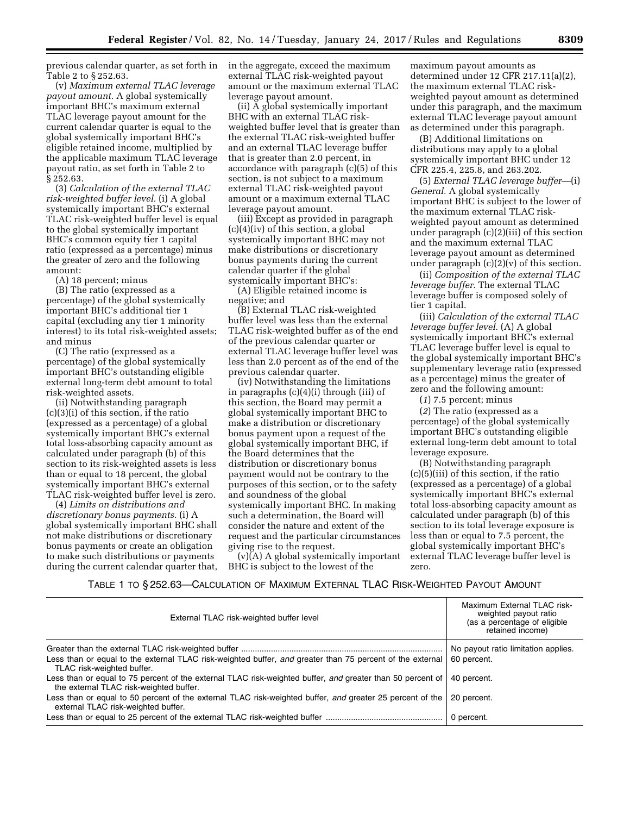previous calendar quarter, as set forth in Table 2 to § 252.63.

(v) *Maximum external TLAC leverage payout amount.* A global systemically important BHC's maximum external TLAC leverage payout amount for the current calendar quarter is equal to the global systemically important BHC's eligible retained income, multiplied by the applicable maximum TLAC leverage payout ratio, as set forth in Table 2 to § 252.63.

(3) *Calculation of the external TLAC risk-weighted buffer level.* (i) A global systemically important BHC's external TLAC risk-weighted buffer level is equal to the global systemically important BHC's common equity tier 1 capital ratio (expressed as a percentage) minus the greater of zero and the following amount:

(A) 18 percent; minus

(B) The ratio (expressed as a percentage) of the global systemically important BHC's additional tier 1 capital (excluding any tier 1 minority interest) to its total risk-weighted assets; and minus

(C) The ratio (expressed as a percentage) of the global systemically important BHC's outstanding eligible external long-term debt amount to total risk-weighted assets.

(ii) Notwithstanding paragraph (c)(3)(i) of this section, if the ratio (expressed as a percentage) of a global systemically important BHC's external total loss-absorbing capacity amount as calculated under paragraph (b) of this section to its risk-weighted assets is less than or equal to 18 percent, the global systemically important BHC's external TLAC risk-weighted buffer level is zero.

(4) *Limits on distributions and discretionary bonus payments.* (i) A global systemically important BHC shall not make distributions or discretionary bonus payments or create an obligation to make such distributions or payments during the current calendar quarter that, in the aggregate, exceed the maximum external TLAC risk-weighted payout amount or the maximum external TLAC leverage payout amount.

(ii) A global systemically important BHC with an external TLAC riskweighted buffer level that is greater than the external TLAC risk-weighted buffer and an external TLAC leverage buffer that is greater than 2.0 percent, in accordance with paragraph (c)(5) of this section, is not subject to a maximum external TLAC risk-weighted payout amount or a maximum external TLAC leverage payout amount.

(iii) Except as provided in paragraph (c)(4)(iv) of this section, a global systemically important BHC may not make distributions or discretionary bonus payments during the current calendar quarter if the global systemically important BHC's:

(A) Eligible retained income is negative; and

(B) External TLAC risk-weighted buffer level was less than the external TLAC risk-weighted buffer as of the end of the previous calendar quarter or external TLAC leverage buffer level was less than 2.0 percent as of the end of the previous calendar quarter.

(iv) Notwithstanding the limitations in paragraphs (c)(4)(i) through (iii) of this section, the Board may permit a global systemically important BHC to make a distribution or discretionary bonus payment upon a request of the global systemically important BHC, if the Board determines that the distribution or discretionary bonus payment would not be contrary to the purposes of this section, or to the safety and soundness of the global systemically important BHC. In making such a determination, the Board will consider the nature and extent of the request and the particular circumstances giving rise to the request.

(v)(A) A global systemically important BHC is subject to the lowest of the

maximum payout amounts as determined under 12 CFR 217.11(a)(2), the maximum external TLAC riskweighted payout amount as determined under this paragraph, and the maximum external TLAC leverage payout amount as determined under this paragraph.

(B) Additional limitations on distributions may apply to a global systemically important BHC under 12 CFR 225.4, 225.8, and 263.202.

(5) *External TLAC leverage buffer*—(i) *General.* A global systemically important BHC is subject to the lower of the maximum external TLAC riskweighted payout amount as determined under paragraph (c)(2)(iii) of this section and the maximum external TLAC leverage payout amount as determined under paragraph (c)(2)(v) of this section.

(ii) *Composition of the external TLAC leverage buffer.* The external TLAC leverage buffer is composed solely of tier 1 capital.

(iii) *Calculation of the external TLAC leverage buffer level.* (A) A global systemically important BHC's external TLAC leverage buffer level is equal to the global systemically important BHC's supplementary leverage ratio (expressed as a percentage) minus the greater of zero and the following amount:

(*1*) 7.5 percent; minus

(*2*) The ratio (expressed as a percentage) of the global systemically important BHC's outstanding eligible external long-term debt amount to total leverage exposure.

(B) Notwithstanding paragraph (c)(5)(iii) of this section, if the ratio (expressed as a percentage) of a global systemically important BHC's external total loss-absorbing capacity amount as calculated under paragraph (b) of this section to its total leverage exposure is less than or equal to 7.5 percent, the global systemically important BHC's external TLAC leverage buffer level is zero.

## TABLE 1 TO § 252.63—CALCULATION OF MAXIMUM EXTERNAL TLAC RISK-WEIGHTED PAYOUT AMOUNT

| External TLAC risk-weighted buffer level                                                                                                              | Maximum External TLAC risk-<br>weighted payout ratio<br>(as a percentage of eligible<br>retained income) |
|-------------------------------------------------------------------------------------------------------------------------------------------------------|----------------------------------------------------------------------------------------------------------|
| Less than or equal to the external TLAC risk-weighted buffer, and greater than 75 percent of the external<br>TLAC risk-weighted buffer.               | No payout ratio limitation applies.<br>60 percent.                                                       |
| Less than or equal to 75 percent of the external TLAC risk-weighted buffer, and greater than 50 percent of<br>the external TLAC risk-weighted buffer. | 40 percent.                                                                                              |
| Less than or equal to 50 percent of the external TLAC risk-weighted buffer, and greater 25 percent of the<br>external TLAC risk-weighted buffer.      | 20 percent.                                                                                              |
|                                                                                                                                                       |                                                                                                          |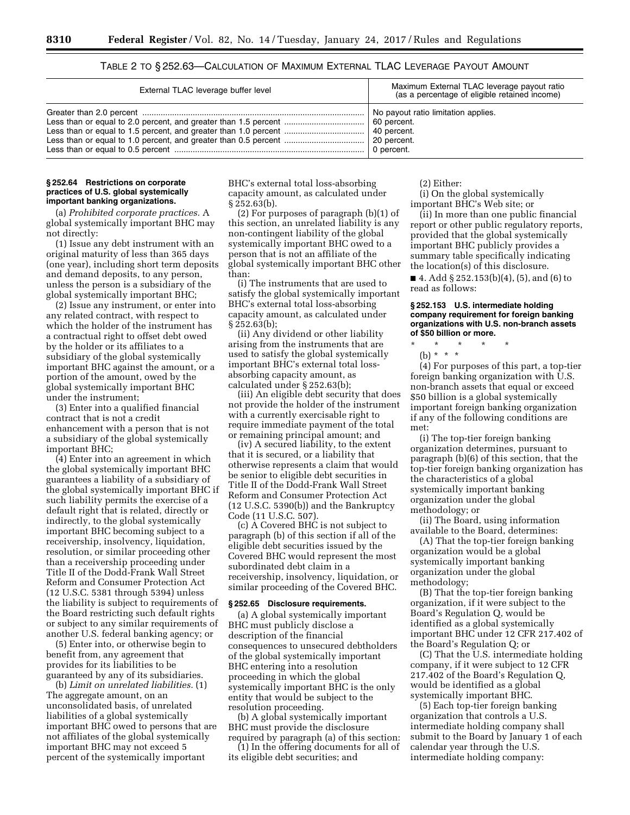| External TLAC leverage buffer level | Maximum External TLAC leverage payout ratio<br>(as a percentage of eligible retained income) |
|-------------------------------------|----------------------------------------------------------------------------------------------|
|                                     | No payout ratio limitation applies.<br>0 percent.                                            |

## TABLE 2 TO § 252.63—CALCULATION OF MAXIMUM EXTERNAL TLAC LEVERAGE PAYOUT AMOUNT

#### **§ 252.64 Restrictions on corporate practices of U.S. global systemically important banking organizations.**

(a) *Prohibited corporate practices.* A global systemically important BHC may not directly:

(1) Issue any debt instrument with an original maturity of less than 365 days (one year), including short term deposits and demand deposits, to any person, unless the person is a subsidiary of the global systemically important BHC;

(2) Issue any instrument, or enter into any related contract, with respect to which the holder of the instrument has a contractual right to offset debt owed by the holder or its affiliates to a subsidiary of the global systemically important BHC against the amount, or a portion of the amount, owed by the global systemically important BHC under the instrument;

(3) Enter into a qualified financial contract that is not a credit enhancement with a person that is not a subsidiary of the global systemically important BHC;

(4) Enter into an agreement in which the global systemically important BHC guarantees a liability of a subsidiary of the global systemically important BHC if such liability permits the exercise of a default right that is related, directly or indirectly, to the global systemically important BHC becoming subject to a receivership, insolvency, liquidation, resolution, or similar proceeding other than a receivership proceeding under Title II of the Dodd-Frank Wall Street Reform and Consumer Protection Act (12 U.S.C. 5381 through 5394) unless the liability is subject to requirements of the Board restricting such default rights or subject to any similar requirements of another U.S. federal banking agency; or

(5) Enter into, or otherwise begin to benefit from, any agreement that provides for its liabilities to be guaranteed by any of its subsidiaries.

(b) *Limit on unrelated liabilities.* (1) The aggregate amount, on an unconsolidated basis, of unrelated liabilities of a global systemically important BHC owed to persons that are not affiliates of the global systemically important BHC may not exceed 5 percent of the systemically important

BHC's external total loss-absorbing capacity amount, as calculated under § 252.63(b).

(2) For purposes of paragraph (b)(1) of this section, an unrelated liability is any non-contingent liability of the global systemically important BHC owed to a person that is not an affiliate of the global systemically important BHC other than:

(i) The instruments that are used to satisfy the global systemically important BHC's external total loss-absorbing capacity amount, as calculated under § 252.63(b);

(ii) Any dividend or other liability arising from the instruments that are used to satisfy the global systemically important BHC's external total lossabsorbing capacity amount, as calculated under § 252.63(b);

(iii) An eligible debt security that does not provide the holder of the instrument with a currently exercisable right to require immediate payment of the total or remaining principal amount; and

(iv) A secured liability, to the extent that it is secured, or a liability that otherwise represents a claim that would be senior to eligible debt securities in Title II of the Dodd-Frank Wall Street Reform and Consumer Protection Act (12 U.S.C. 5390(b)) and the Bankruptcy Code (11 U.S.C. 507).

(c) A Covered BHC is not subject to paragraph (b) of this section if all of the eligible debt securities issued by the Covered BHC would represent the most subordinated debt claim in a receivership, insolvency, liquidation, or similar proceeding of the Covered BHC.

## **§ 252.65 Disclosure requirements.**

(a) A global systemically important BHC must publicly disclose a description of the financial consequences to unsecured debtholders of the global systemically important BHC entering into a resolution proceeding in which the global systemically important BHC is the only entity that would be subject to the resolution proceeding.

(b) A global systemically important BHC must provide the disclosure required by paragraph (a) of this section:

(1) In the offering documents for all of its eligible debt securities; and

(2) Either:

(i) On the global systemically important BHC's Web site; or

(ii) In more than one public financial report or other public regulatory reports, provided that the global systemically important BHC publicly provides a summary table specifically indicating the location(s) of this disclosure.

■ 4. Add § 252.153(b)(4), (5), and (6) to read as follows:

#### **§ 252.153 U.S. intermediate holding company requirement for foreign banking organizations with U.S. non-branch assets of \$50 billion or more.**

\* \* \* \* \*

(b) \* \* \*

(4) For purposes of this part, a top-tier foreign banking organization with U.S. non-branch assets that equal or exceed \$50 billion is a global systemically important foreign banking organization if any of the following conditions are met:

(i) The top-tier foreign banking organization determines, pursuant to paragraph (b)(6) of this section, that the top-tier foreign banking organization has the characteristics of a global systemically important banking organization under the global methodology; or

(ii) The Board, using information available to the Board, determines:

(A) That the top-tier foreign banking organization would be a global systemically important banking organization under the global methodology;

(B) That the top-tier foreign banking organization, if it were subject to the Board's Regulation Q, would be identified as a global systemically important BHC under 12 CFR 217.402 of the Board's Regulation Q; or

(C) That the U.S. intermediate holding company, if it were subject to 12 CFR 217.402 of the Board's Regulation Q, would be identified as a global systemically important BHC.

(5) Each top-tier foreign banking organization that controls a U.S. intermediate holding company shall submit to the Board by January 1 of each calendar year through the U.S. intermediate holding company: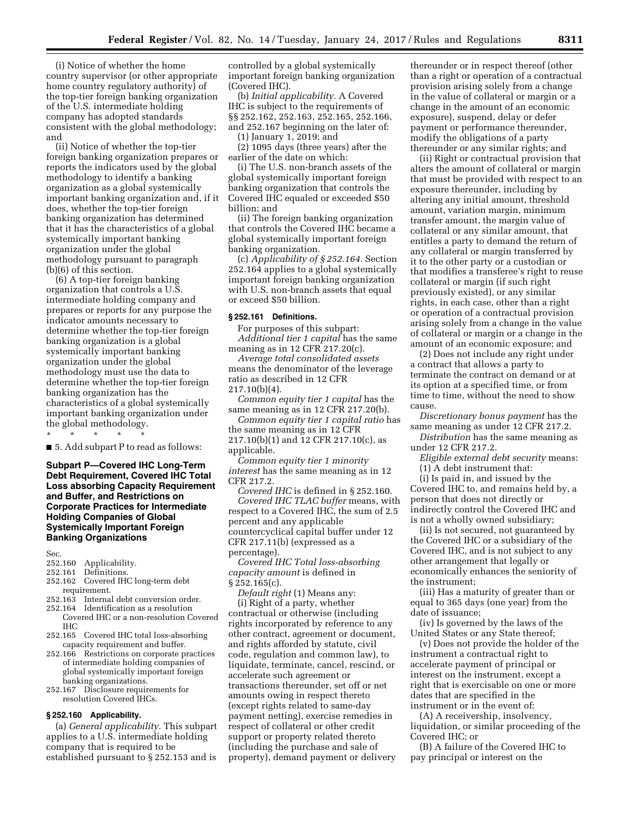(i) Notice of whether the home country supervisor (or other appropriate home country regulatory authority) of the top-tier foreign banking organization of the U.S. intermediate holding company has adopted standards consistent with the global methodology; and

(ii) Notice of whether the top-tier foreign banking organization prepares or reports the indicators used by the global methodology to identify a banking organization as a global systemically important banking organization and, if it does, whether the top-tier foreign banking organization has determined that it has the characteristics of a global systemically important banking organization under the global methodology pursuant to paragraph (b)(6) of this section.

(6) A top-tier foreign banking organization that controls a U.S. intermediate holding company and prepares or reports for any purpose the indicator amounts necessary to determine whether the top-tier foreign banking organization is a global systemically important banking organization under the global methodology must use the data to determine whether the top-tier foreign banking organization has the characteristics of a global systemically important banking organization under the global methodology. \* \* \* \* \*

■ 5. Add subpart P to read as follows:

**Subpart P—Covered IHC Long-Term Debt Requirement, Covered IHC Total Loss absorbing Capacity Requirement and Buffer, and Restrictions on Corporate Practices for Intermediate Holding Companies of Global Systemically Important Foreign Banking Organizations** 

- Sec.<br>252.160 252.160 Applicability.
- 252.161 Definitions.<br>252.162 Covered IH
- Covered IHC long-term debt requirement.
- 252.163 Internal debt conversion order.
- 252.164 Identification as a resolution Covered IHC or a non-resolution Covered IHC
- 252.165 Covered IHC total loss-absorbing capacity requirement and buffer.
- 252.166 Restrictions on corporate practices of intermediate holding companies of global systemically important foreign banking organizations.
- 252.167 Disclosure requirements for resolution Covered IHCs.

#### **§ 252.160 Applicability.**

(a) *General applicability.* This subpart applies to a U.S. intermediate holding company that is required to be established pursuant to § 252.153 and is

controlled by a global systemically important foreign banking organization (Covered IHC).

(b) *Initial applicability.* A Covered IHC is subject to the requirements of §§ 252.162, 252.163, 252.165, 252.166, and 252.167 beginning on the later of:

(1) January 1, 2019; and

(2) 1095 days (three years) after the earlier of the date on which:

(i) The U.S. non-branch assets of the global systemically important foreign banking organization that controls the Covered IHC equaled or exceeded \$50 billion; and

(ii) The foreign banking organization that controls the Covered IHC became a global systemically important foreign banking organization.

(c) *Applicability of § 252.164.* Section 252.164 applies to a global systemically important foreign banking organization with U.S. non-branch assets that equal or exceed \$50 billion.

#### **§ 252.161 Definitions.**

For purposes of this subpart: *Additional tier 1 capital* has the same meaning as in 12 CFR 217.20(c).

*Average total consolidated assets*  means the denominator of the leverage ratio as described in 12 CFR 217.10(b)(4).

*Common equity tier 1 capital* has the same meaning as in 12 CFR 217.20(b).

*Common equity tier 1 capital ratio* has the same meaning as in 12 CFR 217.10(b)(1) and 12 CFR 217.10(c), as applicable.

*Common equity tier 1 minority interest* has the same meaning as in 12 CFR 217.2.

*Covered IHC* is defined in § 252.160. *Covered IHC TLAC buffer* means, with respect to a Covered IHC, the sum of 2.5 percent and any applicable countercyclical capital buffer under 12 CFR 217.11(b) (expressed as a percentage).

*Covered IHC Total loss-absorbing capacity amount* is defined in § 252.165(c).

*Default right* (1) Means any: (i) Right of a party, whether contractual or otherwise (including rights incorporated by reference to any other contract, agreement or document, and rights afforded by statute, civil code, regulation and common law), to liquidate, terminate, cancel, rescind, or accelerate such agreement or transactions thereunder, set off or net amounts owing in respect thereto (except rights related to same-day payment netting), exercise remedies in respect of collateral or other credit support or property related thereto (including the purchase and sale of property), demand payment or delivery

thereunder or in respect thereof (other than a right or operation of a contractual provision arising solely from a change in the value of collateral or margin or a change in the amount of an economic exposure), suspend, delay or defer payment or performance thereunder, modify the obligations of a party thereunder or any similar rights; and

(ii) Right or contractual provision that alters the amount of collateral or margin that must be provided with respect to an exposure thereunder, including by altering any initial amount, threshold amount, variation margin, minimum transfer amount, the margin value of collateral or any similar amount, that entitles a party to demand the return of any collateral or margin transferred by it to the other party or a custodian or that modifies a transferee's right to reuse collateral or margin (if such right previously existed), or any similar rights, in each case, other than a right or operation of a contractual provision arising solely from a change in the value of collateral or margin or a change in the amount of an economic exposure; and

(2) Does not include any right under a contract that allows a party to terminate the contract on demand or at its option at a specified time, or from time to time, without the need to show cause.

*Discretionary bonus payment* has the same meaning as under 12 CFR 217.2.

*Distribution* has the same meaning as under 12 CFR 217.2.

*Eligible external debt security* means:

(1) A debt instrument that: (i) Is paid in, and issued by the Covered IHC to, and remains held by, a person that does not directly or indirectly control the Covered IHC and is not a wholly owned subsidiary;

(ii) Is not secured, not guaranteed by the Covered IHC or a subsidiary of the Covered IHC, and is not subject to any other arrangement that legally or economically enhances the seniority of the instrument;

(iii) Has a maturity of greater than or equal to 365 days (one year) from the date of issuance;

(iv) Is governed by the laws of the United States or any State thereof;

(v) Does not provide the holder of the instrument a contractual right to accelerate payment of principal or interest on the instrument, except a right that is exercisable on one or more dates that are specified in the instrument or in the event of:

(A) A receivership, insolvency, liquidation, or similar proceeding of the Covered IHC; or

(B) A failure of the Covered IHC to pay principal or interest on the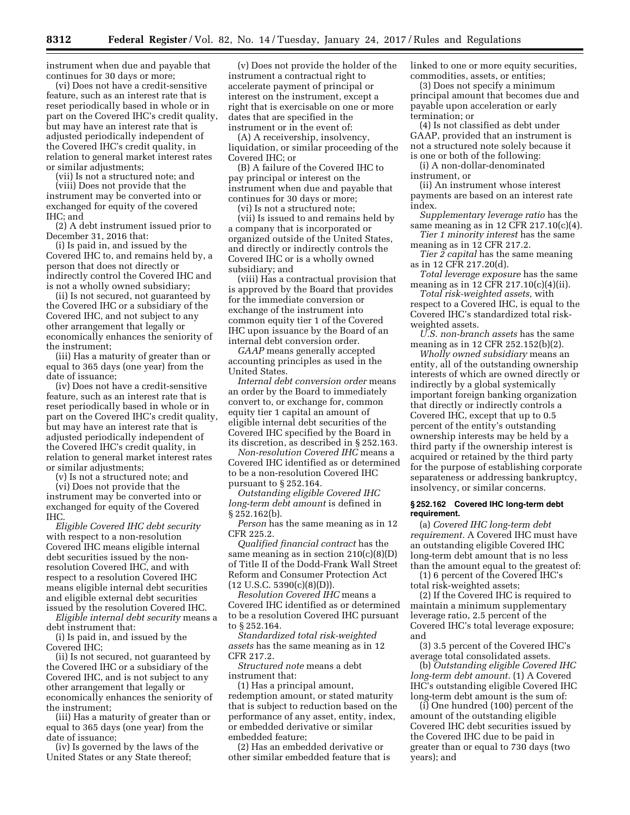instrument when due and payable that continues for 30 days or more;

(vi) Does not have a credit-sensitive feature, such as an interest rate that is reset periodically based in whole or in part on the Covered IHC's credit quality, but may have an interest rate that is adjusted periodically independent of the Covered IHC's credit quality, in relation to general market interest rates or similar adjustments;

(vii) Is not a structured note; and

(viii) Does not provide that the instrument may be converted into or exchanged for equity of the covered IHC; and

(2) A debt instrument issued prior to December 31, 2016 that:

(i) Is paid in, and issued by the Covered IHC to, and remains held by, a person that does not directly or indirectly control the Covered IHC and is not a wholly owned subsidiary;

(ii) Is not secured, not guaranteed by the Covered IHC or a subsidiary of the Covered IHC, and not subject to any other arrangement that legally or economically enhances the seniority of the instrument;

(iii) Has a maturity of greater than or equal to 365 days (one year) from the date of issuance;

(iv) Does not have a credit-sensitive feature, such as an interest rate that is reset periodically based in whole or in part on the Covered IHC's credit quality, but may have an interest rate that is adjusted periodically independent of the Covered IHC's credit quality, in relation to general market interest rates or similar adjustments;

(v) Is not a structured note; and

(vi) Does not provide that the instrument may be converted into or exchanged for equity of the Covered IHC.

*Eligible Covered IHC debt security*  with respect to a non-resolution Covered IHC means eligible internal debt securities issued by the nonresolution Covered IHC, and with respect to a resolution Covered IHC means eligible internal debt securities and eligible external debt securities issued by the resolution Covered IHC.

*Eligible internal debt security* means a debt instrument that:

(i) Is paid in, and issued by the Covered IHC;

(ii) Is not secured, not guaranteed by the Covered IHC or a subsidiary of the Covered IHC, and is not subject to any other arrangement that legally or economically enhances the seniority of the instrument;

(iii) Has a maturity of greater than or equal to 365 days (one year) from the date of issuance;

(iv) Is governed by the laws of the United States or any State thereof;

(v) Does not provide the holder of the instrument a contractual right to accelerate payment of principal or interest on the instrument, except a right that is exercisable on one or more dates that are specified in the instrument or in the event of:

(A) A receivership, insolvency, liquidation, or similar proceeding of the Covered IHC; or

(B) A failure of the Covered IHC to pay principal or interest on the instrument when due and payable that continues for 30 days or more;

(vi) Is not a structured note;

(vii) Is issued to and remains held by a company that is incorporated or organized outside of the United States, and directly or indirectly controls the Covered IHC or is a wholly owned subsidiary; and

(viii) Has a contractual provision that is approved by the Board that provides for the immediate conversion or exchange of the instrument into common equity tier 1 of the Covered IHC upon issuance by the Board of an internal debt conversion order.

*GAAP* means generally accepted accounting principles as used in the United States.

*Internal debt conversion order* means an order by the Board to immediately convert to, or exchange for, common equity tier 1 capital an amount of eligible internal debt securities of the Covered IHC specified by the Board in its discretion, as described in § 252.163.

*Non-resolution Covered IHC* means a Covered IHC identified as or determined to be a non-resolution Covered IHC pursuant to § 252.164.

*Outstanding eligible Covered IHC long-term debt amount* is defined in § 252.162(b).

*Person* has the same meaning as in 12 CFR 225.2.

*Qualified financial contract* has the same meaning as in section  $210(c)(8)(D)$ of Title II of the Dodd-Frank Wall Street Reform and Consumer Protection Act  $(12 \text{ U.S.C. } 5390(c)(8)(D)).$ 

*Resolution Covered IHC* means a Covered IHC identified as or determined to be a resolution Covered IHC pursuant to § 252.164.

*Standardized total risk-weighted assets* has the same meaning as in 12 CFR 217.2.

*Structured note* means a debt instrument that:

(1) Has a principal amount, redemption amount, or stated maturity that is subject to reduction based on the performance of any asset, entity, index, or embedded derivative or similar embedded feature;

(2) Has an embedded derivative or other similar embedded feature that is linked to one or more equity securities, commodities, assets, or entities;

(3) Does not specify a minimum principal amount that becomes due and payable upon acceleration or early termination; or

(4) Is not classified as debt under GAAP, provided that an instrument is not a structured note solely because it is one or both of the following:

(i) A non-dollar-denominated instrument, or

(ii) An instrument whose interest payments are based on an interest rate index.

*Supplementary leverage ratio* has the same meaning as in 12 CFR 217.10(c)(4).

*Tier 1 minority interest* has the same meaning as in 12 CFR 217.2.

*Tier 2 capital* has the same meaning as in 12 CFR 217.20(d).

*Total leverage exposure* has the same meaning as in 12 CFR 217.10(c)(4)(ii).

*Total risk-weighted assets,* with respect to a Covered IHC, is equal to the Covered IHC's standardized total riskweighted assets.

*U.S. non-branch assets* has the same meaning as in 12 CFR 252.152(b)(2).

*Wholly owned subsidiary* means an entity, all of the outstanding ownership interests of which are owned directly or indirectly by a global systemically important foreign banking organization that directly or indirectly controls a Covered IHC, except that up to 0.5 percent of the entity's outstanding ownership interests may be held by a third party if the ownership interest is acquired or retained by the third party for the purpose of establishing corporate separateness or addressing bankruptcy, insolvency, or similar concerns.

#### **§ 252.162 Covered IHC long-term debt requirement.**

(a) *Covered IHC long-term debt requirement.* A Covered IHC must have an outstanding eligible Covered IHC long-term debt amount that is no less than the amount equal to the greatest of:

(1) 6 percent of the Covered IHC's total risk-weighted assets;

(2) If the Covered IHC is required to maintain a minimum supplementary leverage ratio, 2.5 percent of the Covered IHC's total leverage exposure; and

(3) 3.5 percent of the Covered IHC's average total consolidated assets.

(b) *Outstanding eligible Covered IHC long-term debt amount.* (1) A Covered IHC's outstanding eligible Covered IHC long-term debt amount is the sum of:

(i) One hundred (100) percent of the amount of the outstanding eligible Covered IHC debt securities issued by the Covered IHC due to be paid in greater than or equal to 730 days (two years); and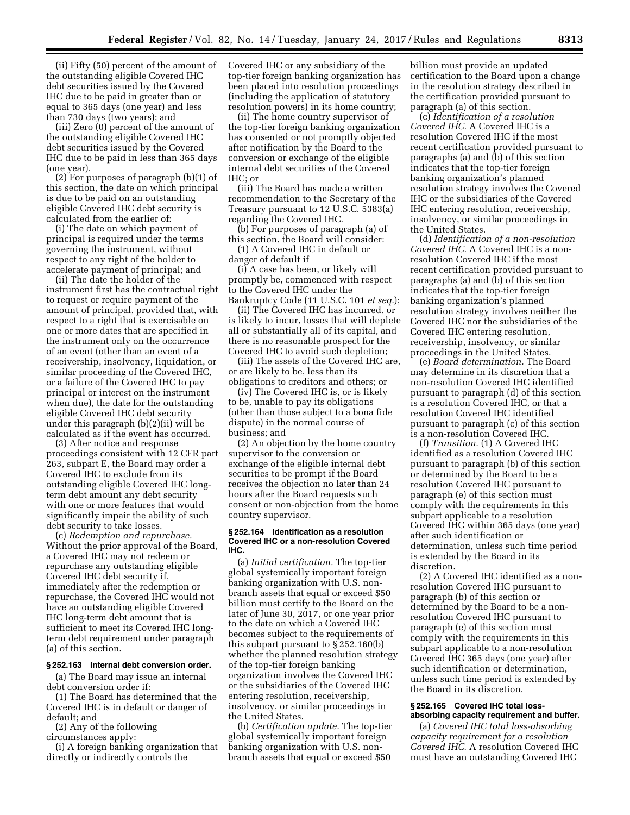(ii) Fifty (50) percent of the amount of the outstanding eligible Covered IHC debt securities issued by the Covered IHC due to be paid in greater than or equal to 365 days (one year) and less than 730 days (two years); and

(iii) Zero (0) percent of the amount of the outstanding eligible Covered IHC debt securities issued by the Covered IHC due to be paid in less than 365 days (one year).

(2) For purposes of paragraph (b)(1) of this section, the date on which principal is due to be paid on an outstanding eligible Covered IHC debt security is calculated from the earlier of:

(i) The date on which payment of principal is required under the terms governing the instrument, without respect to any right of the holder to accelerate payment of principal; and

(ii) The date the holder of the instrument first has the contractual right to request or require payment of the amount of principal, provided that, with respect to a right that is exercisable on one or more dates that are specified in the instrument only on the occurrence of an event (other than an event of a receivership, insolvency, liquidation, or similar proceeding of the Covered IHC, or a failure of the Covered IHC to pay principal or interest on the instrument when due), the date for the outstanding eligible Covered IHC debt security under this paragraph (b)(2)(ii) will be calculated as if the event has occurred.

(3) After notice and response proceedings consistent with 12 CFR part 263, subpart E, the Board may order a Covered IHC to exclude from its outstanding eligible Covered IHC longterm debt amount any debt security with one or more features that would significantly impair the ability of such debt security to take losses.

(c) *Redemption and repurchase.*  Without the prior approval of the Board, a Covered IHC may not redeem or repurchase any outstanding eligible Covered IHC debt security if, immediately after the redemption or repurchase, the Covered IHC would not have an outstanding eligible Covered IHC long-term debt amount that is sufficient to meet its Covered IHC longterm debt requirement under paragraph (a) of this section.

#### **§ 252.163 Internal debt conversion order.**

(a) The Board may issue an internal debt conversion order if:

(1) The Board has determined that the Covered IHC is in default or danger of default; and

(2) Any of the following

circumstances apply:

(i) A foreign banking organization that directly or indirectly controls the

Covered IHC or any subsidiary of the top-tier foreign banking organization has been placed into resolution proceedings (including the application of statutory resolution powers) in its home country;

(ii) The home country supervisor of the top-tier foreign banking organization has consented or not promptly objected after notification by the Board to the conversion or exchange of the eligible internal debt securities of the Covered  $IHC:$  or

(iii) The Board has made a written recommendation to the Secretary of the Treasury pursuant to 12 U.S.C. 5383(a) regarding the Covered IHC.

(b) For purposes of paragraph (a) of this section, the Board will consider:

(1) A Covered IHC in default or danger of default if

(i) A case has been, or likely will promptly be, commenced with respect to the Covered IHC under the Bankruptcy Code (11 U.S.C. 101 *et seq.*);

(ii) The Covered IHC has incurred, or is likely to incur, losses that will deplete all or substantially all of its capital, and there is no reasonable prospect for the Covered IHC to avoid such depletion;

(iii) The assets of the Covered IHC are, or are likely to be, less than its obligations to creditors and others; or

(iv) The Covered IHC is, or is likely to be, unable to pay its obligations (other than those subject to a bona fide dispute) in the normal course of business; and

(2) An objection by the home country supervisor to the conversion or exchange of the eligible internal debt securities to be prompt if the Board receives the objection no later than 24 hours after the Board requests such consent or non-objection from the home country supervisor.

#### **§ 252.164 Identification as a resolution Covered IHC or a non-resolution Covered IHC.**

(a) *Initial certification.* The top-tier global systemically important foreign banking organization with U.S. nonbranch assets that equal or exceed \$50 billion must certify to the Board on the later of June 30, 2017, or one year prior to the date on which a Covered IHC becomes subject to the requirements of this subpart pursuant to § 252.160(b) whether the planned resolution strategy of the top-tier foreign banking organization involves the Covered IHC or the subsidiaries of the Covered IHC entering resolution, receivership, insolvency, or similar proceedings in the United States.

(b) *Certification update.* The top-tier global systemically important foreign banking organization with U.S. nonbranch assets that equal or exceed \$50

billion must provide an updated certification to the Board upon a change in the resolution strategy described in the certification provided pursuant to paragraph (a) of this section.

(c) *Identification of a resolution Covered IHC.* A Covered IHC is a resolution Covered IHC if the most recent certification provided pursuant to paragraphs (a) and (b) of this section indicates that the top-tier foreign banking organization's planned resolution strategy involves the Covered IHC or the subsidiaries of the Covered IHC entering resolution, receivership, insolvency, or similar proceedings in the United States.

(d) *Identification of a non-resolution Covered IHC.* A Covered IHC is a nonresolution Covered IHC if the most recent certification provided pursuant to paragraphs (a) and (b) of this section indicates that the top-tier foreign banking organization's planned resolution strategy involves neither the Covered IHC nor the subsidiaries of the Covered IHC entering resolution, receivership, insolvency, or similar proceedings in the United States.

(e) *Board determination.* The Board may determine in its discretion that a non-resolution Covered IHC identified pursuant to paragraph (d) of this section is a resolution Covered IHC, or that a resolution Covered IHC identified pursuant to paragraph (c) of this section is a non-resolution Covered IHC.

(f) *Transition.* (1) A Covered IHC identified as a resolution Covered IHC pursuant to paragraph (b) of this section or determined by the Board to be a resolution Covered IHC pursuant to paragraph (e) of this section must comply with the requirements in this subpart applicable to a resolution Covered IHC within 365 days (one year) after such identification or determination, unless such time period is extended by the Board in its discretion.

(2) A Covered IHC identified as a nonresolution Covered IHC pursuant to paragraph (b) of this section or determined by the Board to be a nonresolution Covered IHC pursuant to paragraph (e) of this section must comply with the requirements in this subpart applicable to a non-resolution Covered IHC 365 days (one year) after such identification or determination, unless such time period is extended by the Board in its discretion.

## **§ 252.165 Covered IHC total lossabsorbing capacity requirement and buffer.**

(a) *Covered IHC total loss-absorbing capacity requirement for a resolution Covered IHC.* A resolution Covered IHC must have an outstanding Covered IHC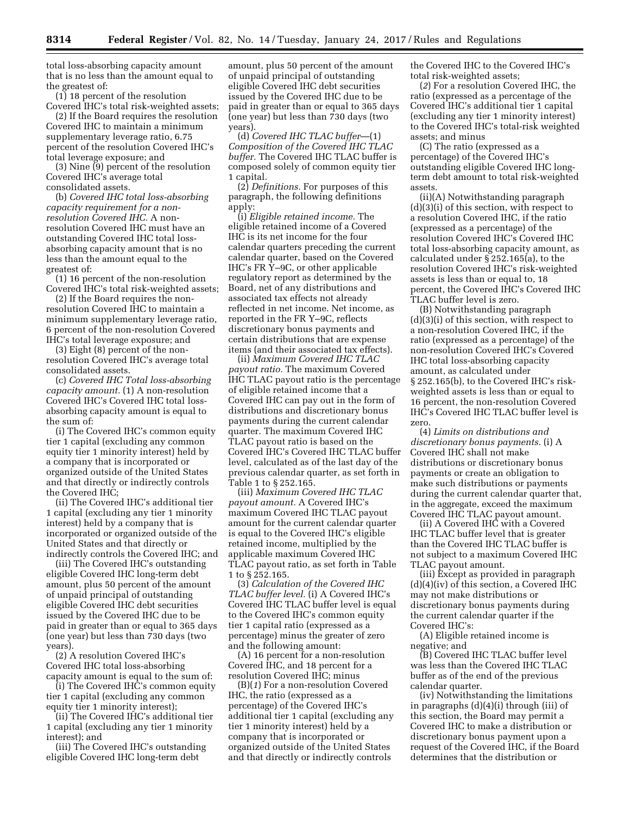total loss-absorbing capacity amount that is no less than the amount equal to the greatest of:

(1) 18 percent of the resolution Covered IHC's total risk-weighted assets;

(2) If the Board requires the resolution Covered IHC to maintain a minimum supplementary leverage ratio, 6.75 percent of the resolution Covered IHC's total leverage exposure; and

(3) Nine (9) percent of the resolution Covered IHC's average total consolidated assets.

(b) *Covered IHC total loss-absorbing capacity requirement for a nonresolution Covered IHC.* A nonresolution Covered IHC must have an outstanding Covered IHC total lossabsorbing capacity amount that is no less than the amount equal to the greatest of:

(1) 16 percent of the non-resolution Covered IHC's total risk-weighted assets;

(2) If the Board requires the nonresolution Covered IHC to maintain a minimum supplementary leverage ratio, 6 percent of the non-resolution Covered IHC's total leverage exposure; and

(3) Eight (8) percent of the nonresolution Covered IHC's average total consolidated assets.

(c) *Covered IHC Total loss-absorbing capacity amount.* (1) A non-resolution Covered IHC's Covered IHC total lossabsorbing capacity amount is equal to the sum of:

(i) The Covered IHC's common equity tier 1 capital (excluding any common equity tier 1 minority interest) held by a company that is incorporated or organized outside of the United States and that directly or indirectly controls the Covered IHC;

(ii) The Covered IHC's additional tier 1 capital (excluding any tier 1 minority interest) held by a company that is incorporated or organized outside of the United States and that directly or indirectly controls the Covered IHC; and

(iii) The Covered IHC's outstanding eligible Covered IHC long-term debt amount, plus 50 percent of the amount of unpaid principal of outstanding eligible Covered IHC debt securities issued by the Covered IHC due to be paid in greater than or equal to 365 days (one year) but less than 730 days (two years).

(2) A resolution Covered IHC's Covered IHC total loss-absorbing capacity amount is equal to the sum of:

(i) The Covered IHC's common equity tier 1 capital (excluding any common equity tier 1 minority interest);

(ii) The Covered IHC's additional tier 1 capital (excluding any tier 1 minority interest); and

(iii) The Covered IHC's outstanding eligible Covered IHC long-term debt

amount, plus 50 percent of the amount of unpaid principal of outstanding eligible Covered IHC debt securities issued by the Covered IHC due to be paid in greater than or equal to 365 days (one year) but less than 730 days (two years).

(d) *Covered IHC TLAC buffer*—(1) *Composition of the Covered IHC TLAC buffer.* The Covered IHC TLAC buffer is composed solely of common equity tier 1 capital.

(2) *Definitions.* For purposes of this paragraph, the following definitions apply:

(i) *Eligible retained income.* The eligible retained income of a Covered IHC is its net income for the four calendar quarters preceding the current calendar quarter, based on the Covered IHC's FR Y–9C, or other applicable regulatory report as determined by the Board, net of any distributions and associated tax effects not already reflected in net income. Net income, as reported in the FR Y–9C, reflects discretionary bonus payments and certain distributions that are expense items (and their associated tax effects).

(ii) *Maximum Covered IHC TLAC payout ratio.* The maximum Covered IHC TLAC payout ratio is the percentage of eligible retained income that a Covered IHC can pay out in the form of distributions and discretionary bonus payments during the current calendar quarter. The maximum Covered IHC TLAC payout ratio is based on the Covered IHC's Covered IHC TLAC buffer level, calculated as of the last day of the previous calendar quarter, as set forth in Table 1 to § 252.165.

(iii) *Maximum Covered IHC TLAC payout amount.* A Covered IHC's maximum Covered IHC TLAC payout amount for the current calendar quarter is equal to the Covered IHC's eligible retained income, multiplied by the applicable maximum Covered IHC TLAC payout ratio, as set forth in Table 1 to § 252.165.

(3) *Calculation of the Covered IHC TLAC buffer level.* (i) A Covered IHC's Covered IHC TLAC buffer level is equal to the Covered IHC's common equity tier 1 capital ratio (expressed as a percentage) minus the greater of zero and the following amount:

(A) 16 percent for a non-resolution Covered IHC, and 18 percent for a resolution Covered IHC; minus

(B)(*1*) For a non-resolution Covered IHC, the ratio (expressed as a percentage) of the Covered IHC's additional tier 1 capital (excluding any tier 1 minority interest) held by a company that is incorporated or organized outside of the United States and that directly or indirectly controls

the Covered IHC to the Covered IHC's total risk-weighted assets;

(*2*) For a resolution Covered IHC, the ratio (expressed as a percentage of the Covered IHC's additional tier 1 capital (excluding any tier 1 minority interest) to the Covered IHC's total-risk weighted assets; and minus

(C) The ratio (expressed as a percentage) of the Covered IHC's outstanding eligible Covered IHC longterm debt amount to total risk-weighted assets.

(ii)(A) Notwithstanding paragraph (d)(3)(i) of this section, with respect to a resolution Covered IHC, if the ratio (expressed as a percentage) of the resolution Covered IHC's Covered IHC total loss-absorbing capacity amount, as calculated under § 252.165(a), to the resolution Covered IHC's risk-weighted assets is less than or equal to, 18 percent, the Covered IHC's Covered IHC TLAC buffer level is zero.

(B) Notwithstanding paragraph (d)(3)(i) of this section, with respect to a non-resolution Covered IHC, if the ratio (expressed as a percentage) of the non-resolution Covered IHC's Covered IHC total loss-absorbing capacity amount, as calculated under § 252.165(b), to the Covered IHC's riskweighted assets is less than or equal to 16 percent, the non-resolution Covered IHC's Covered IHC TLAC buffer level is zero.

(4) *Limits on distributions and discretionary bonus payments.* (i) A Covered IHC shall not make distributions or discretionary bonus payments or create an obligation to make such distributions or payments during the current calendar quarter that, in the aggregate, exceed the maximum Covered IHC TLAC payout amount.

(ii) A Covered IHC with a Covered IHC TLAC buffer level that is greater than the Covered IHC TLAC buffer is not subject to a maximum Covered IHC TLAC payout amount.

(iii) Except as provided in paragraph (d)(4)(iv) of this section, a Covered IHC may not make distributions or discretionary bonus payments during the current calendar quarter if the Covered IHC's:

(A) Eligible retained income is negative; and

(B) Covered IHC TLAC buffer level was less than the Covered IHC TLAC buffer as of the end of the previous calendar quarter.

(iv) Notwithstanding the limitations in paragraphs (d)(4)(i) through (iii) of this section, the Board may permit a Covered IHC to make a distribution or discretionary bonus payment upon a request of the Covered IHC, if the Board determines that the distribution or